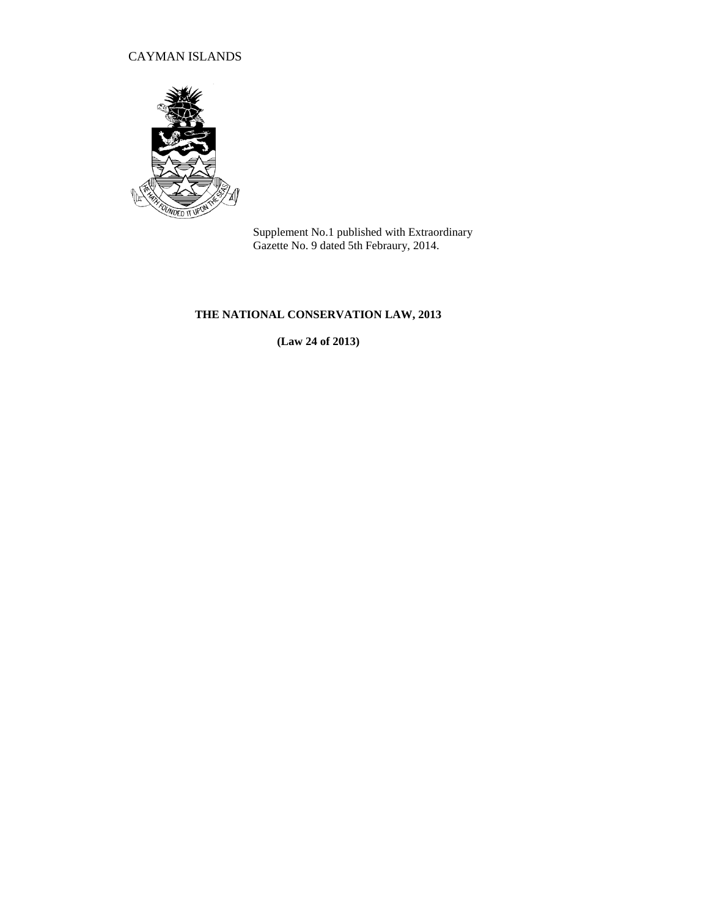# CAYMAN ISLANDS



Supplement No.1 published with Extraordinary Gazette No. 9 dated 5th Febraury, 2014.

# **THE NATIONAL CONSERVATION LAW, 2013**

**(Law 24 of 2013)**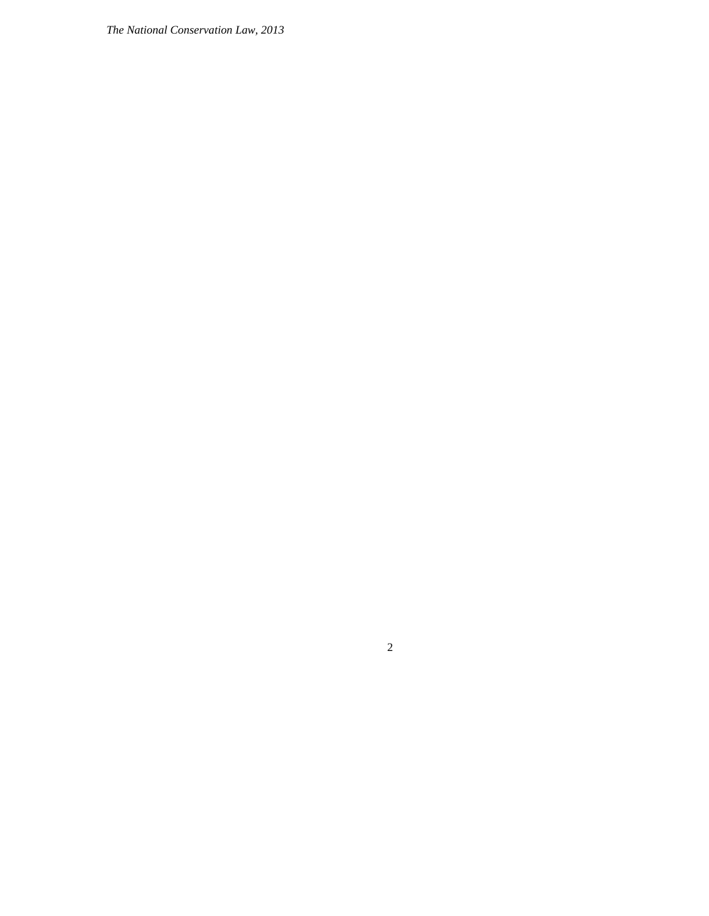*The National Conservation Law, 2013*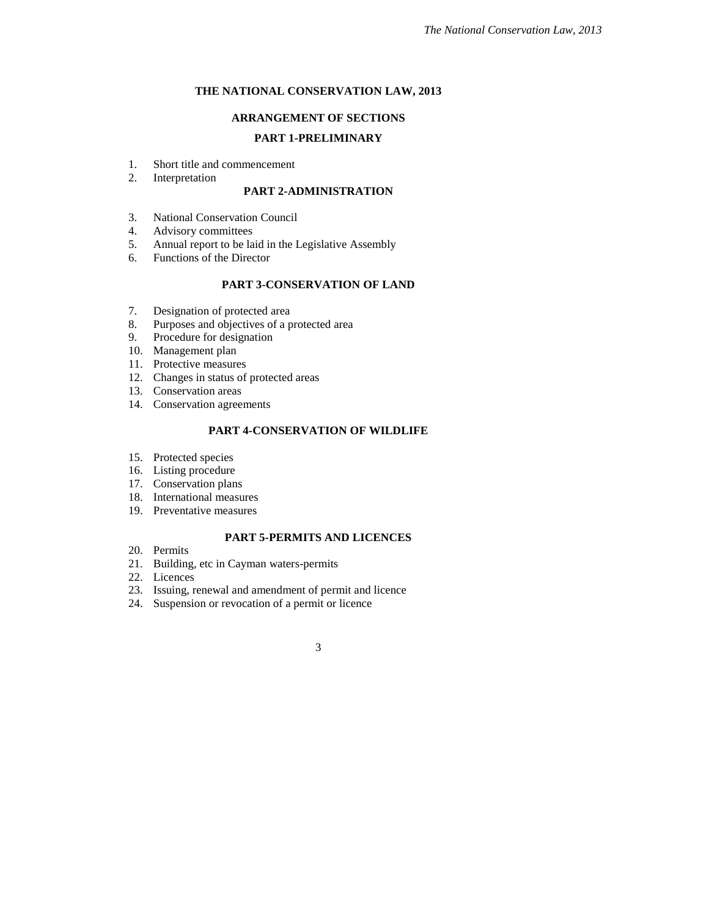## **THE NATIONAL CONSERVATION LAW, 2013**

# **ARRANGEMENT OF SECTIONS**

## **PART 1-PRELIMINARY**

- 1. Short title and commencement
- 2. Interpretation

## **PART 2-ADMINISTRATION**

- 3. National Conservation Council
- 4. Advisory committees
- 5. Annual report to be laid in the Legislative Assembly
- 6. Functions of the Director

## **PART 3-CONSERVATION OF LAND**

- 7. Designation of protected area<br>8. Purposes and objectives of a p
- Purposes and objectives of a protected area
- 9. Procedure for designation
- 10. Management plan
- 11. Protective measures
- 12. Changes in status of protected areas
- 13. Conservation areas
- 14. Conservation agreements

### **PART 4-CONSERVATION OF WILDLIFE**

- 15. Protected species
- 16. Listing procedure
- 17. Conservation plans
- 18. International measures
- 19. Preventative measures

## **PART 5-PERMITS AND LICENCES**

- 20. Permits
- 21. Building, etc in Cayman waters-permits
- 22. Licences
- 23. Issuing, renewal and amendment of permit and licence
- 24. Suspension or revocation of a permit or licence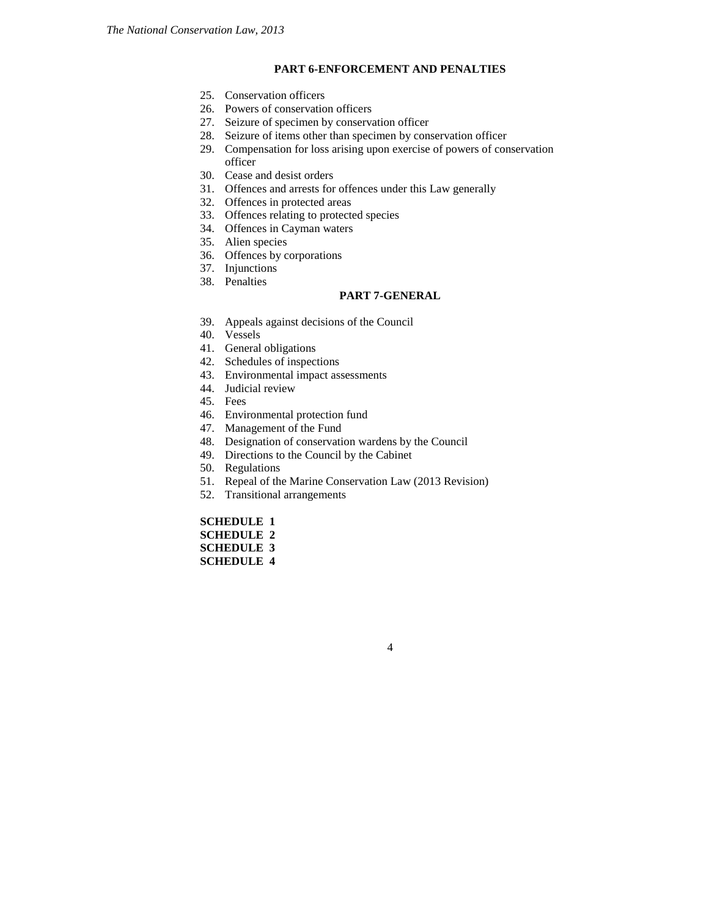## **PART 6-ENFORCEMENT AND PENALTIES**

- 25. Conservation officers
- 26. Powers of conservation officers
- 27. Seizure of specimen by conservation officer
- 28. Seizure of items other than specimen by conservation officer
- 29. Compensation for loss arising upon exercise of powers of conservation officer
- 30. Cease and desist orders
- 31. Offences and arrests for offences under this Law generally
- 32. Offences in protected areas
- 33. Offences relating to protected species
- 34. Offences in Cayman waters
- 35. Alien species
- 36. Offences by corporations
- 37. Injunctions
- 38. Penalties

## **PART 7-GENERAL**

- 39. Appeals against decisions of the Council
- 40. Vessels
- 41. General obligations
- 42. Schedules of inspections
- 43. Environmental impact assessments
- 44. Judicial review
- 45. Fees
- 46. Environmental protection fund
- 47. Management of the Fund
- 48. Designation of conservation wardens by the Council
- 49. Directions to the Council by the Cabinet
- 50. Regulations
- 51. Repeal of the Marine Conservation Law (2013 Revision)
- 52. Transitional arrangements

## **SCHEDULE 1 SCHEDULE 2 SCHEDULE 3 SCHEDULE 4**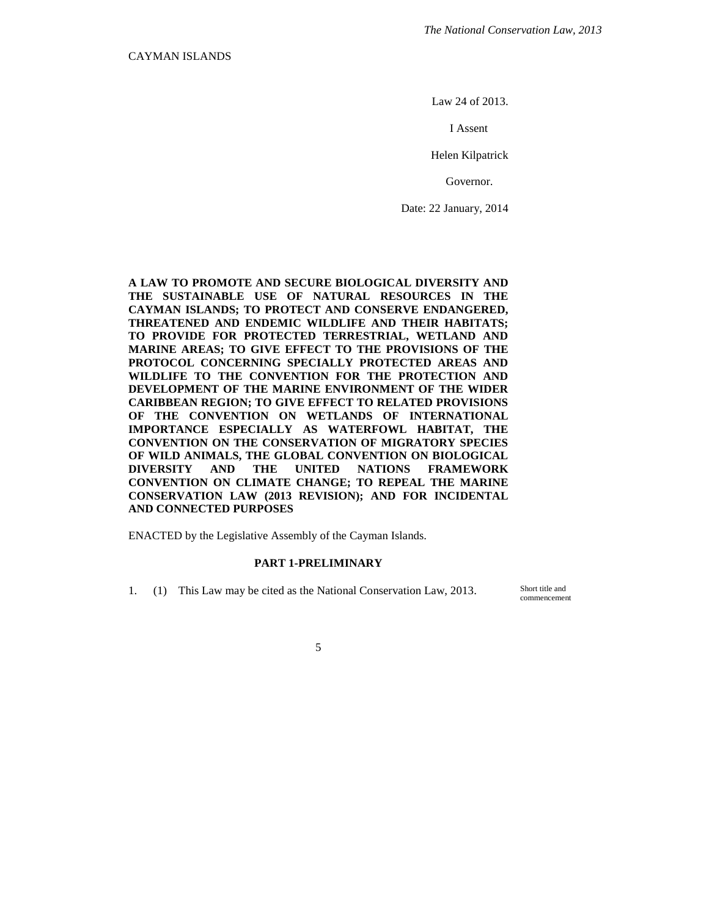Law 24 of 2013.

I Assent

Helen Kilpatrick

Governor.

Date: 22 January, 2014

**A LAW TO PROMOTE AND SECURE BIOLOGICAL DIVERSITY AND THE SUSTAINABLE USE OF NATURAL RESOURCES IN THE CAYMAN ISLANDS; TO PROTECT AND CONSERVE ENDANGERED, THREATENED AND ENDEMIC WILDLIFE AND THEIR HABITATS; TO PROVIDE FOR PROTECTED TERRESTRIAL, WETLAND AND MARINE AREAS; TO GIVE EFFECT TO THE PROVISIONS OF THE PROTOCOL CONCERNING SPECIALLY PROTECTED AREAS AND WILDLIFE TO THE CONVENTION FOR THE PROTECTION AND DEVELOPMENT OF THE MARINE ENVIRONMENT OF THE WIDER CARIBBEAN REGION; TO GIVE EFFECT TO RELATED PROVISIONS OF THE CONVENTION ON WETLANDS OF INTERNATIONAL IMPORTANCE ESPECIALLY AS WATERFOWL HABITAT, THE CONVENTION ON THE CONSERVATION OF MIGRATORY SPECIES OF WILD ANIMALS, THE GLOBAL CONVENTION ON BIOLOGICAL DIVERSITY AND THE UNITED NATIONS FRAMEWORK CONVENTION ON CLIMATE CHANGE; TO REPEAL THE MARINE CONSERVATION LAW (2013 REVISION); AND FOR INCIDENTAL AND CONNECTED PURPOSES**

ENACTED by the Legislative Assembly of the Cayman Islands.

## **PART 1-PRELIMINARY**

1. (1) This Law may be cited as the National Conservation Law, 2013.

Short title and commencement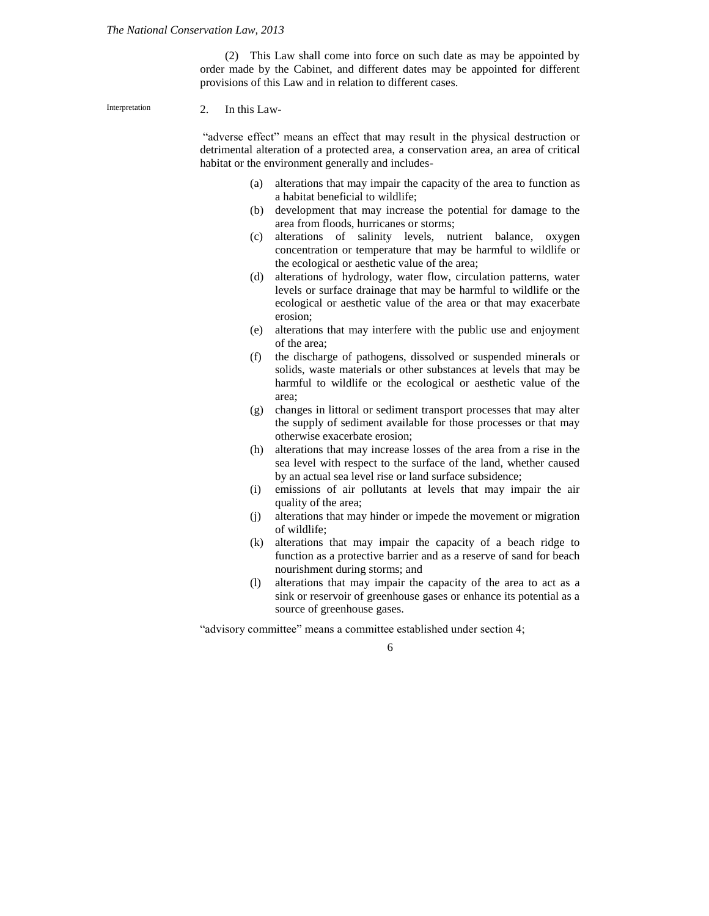(2) This Law shall come into force on such date as may be appointed by order made by the Cabinet, and different dates may be appointed for different provisions of this Law and in relation to different cases.

Interpretation

2. In this Law-

"adverse effect" means an effect that may result in the physical destruction or detrimental alteration of a protected area, a conservation area, an area of critical habitat or the environment generally and includes-

- (a) alterations that may impair the capacity of the area to function as a habitat beneficial to wildlife;
- (b) development that may increase the potential for damage to the area from floods, hurricanes or storms;
- (c) alterations of salinity levels, nutrient balance, oxygen concentration or temperature that may be harmful to wildlife or the ecological or aesthetic value of the area;
- (d) alterations of hydrology, water flow, circulation patterns, water levels or surface drainage that may be harmful to wildlife or the ecological or aesthetic value of the area or that may exacerbate erosion;
- (e) alterations that may interfere with the public use and enjoyment of the area;
- (f) the discharge of pathogens, dissolved or suspended minerals or solids, waste materials or other substances at levels that may be harmful to wildlife or the ecological or aesthetic value of the area;
- (g) changes in littoral or sediment transport processes that may alter the supply of sediment available for those processes or that may otherwise exacerbate erosion;
- (h) alterations that may increase losses of the area from a rise in the sea level with respect to the surface of the land, whether caused by an actual sea level rise or land surface subsidence;
- (i) emissions of air pollutants at levels that may impair the air quality of the area;
- (j) alterations that may hinder or impede the movement or migration of wildlife;
- (k) alterations that may impair the capacity of a beach ridge to function as a protective barrier and as a reserve of sand for beach nourishment during storms; and
- (l) alterations that may impair the capacity of the area to act as a sink or reservoir of greenhouse gases or enhance its potential as a source of greenhouse gases.

"advisory committee" means a committee established under section 4;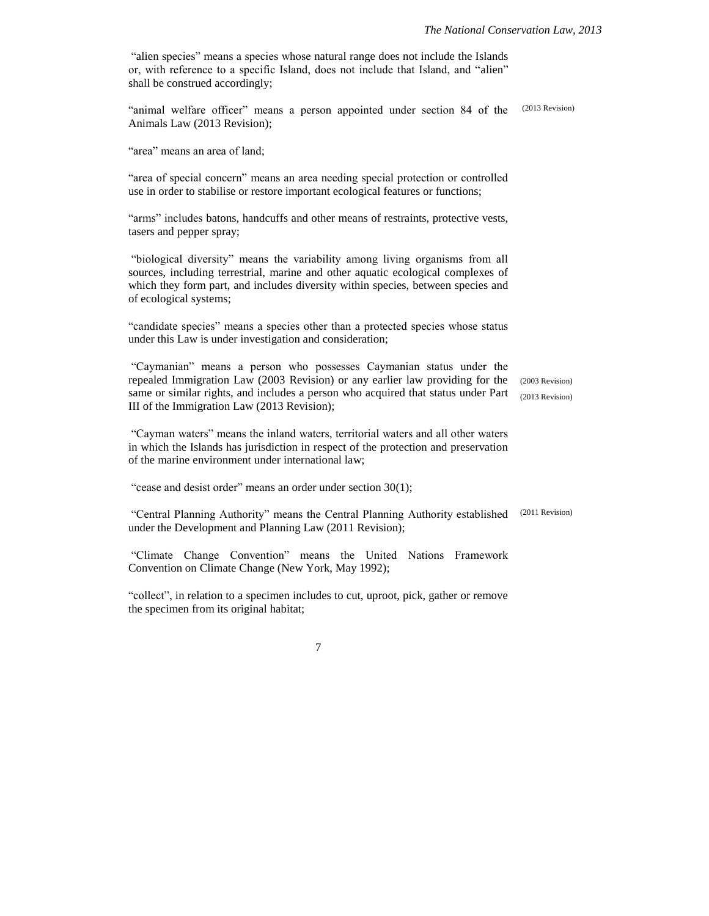"alien species" means a species whose natural range does not include the Islands or, with reference to a specific Island, does not include that Island, and "alien" shall be construed accordingly;

"animal welfare officer" means a person appointed under section 84 of the Animals Law (2013 Revision);

"area" means an area of land;

"area of special concern" means an area needing special protection or controlled use in order to stabilise or restore important ecological features or functions;

"arms" includes batons, handcuffs and other means of restraints, protective vests, tasers and pepper spray;

"biological diversity" means the variability among living organisms from all sources, including terrestrial, marine and other aquatic ecological complexes of which they form part, and includes diversity within species, between species and of ecological systems;

"candidate species" means a species other than a protected species whose status under this Law is under investigation and consideration;

"Caymanian" means a person who possesses Caymanian status under the repealed Immigration Law (2003 Revision) or any earlier law providing for the same or similar rights, and includes a person who acquired that status under Part (2013 Revision) III of the Immigration Law (2013 Revision);

"Cayman waters" means the inland waters, territorial waters and all other waters in which the Islands has jurisdiction in respect of the protection and preservation of the marine environment under international law;

"cease and desist order" means an order under section 30(1);

"Central Planning Authority" means the Central Planning Authority established under the Development and Planning Law (2011 Revision);

"Climate Change Convention" means the United Nations Framework Convention on Climate Change (New York, May 1992);

"collect", in relation to a specimen includes to cut, uproot, pick, gather or remove the specimen from its original habitat;

7

(2003 Revision)

(2011 Revision)

(2013 Revision)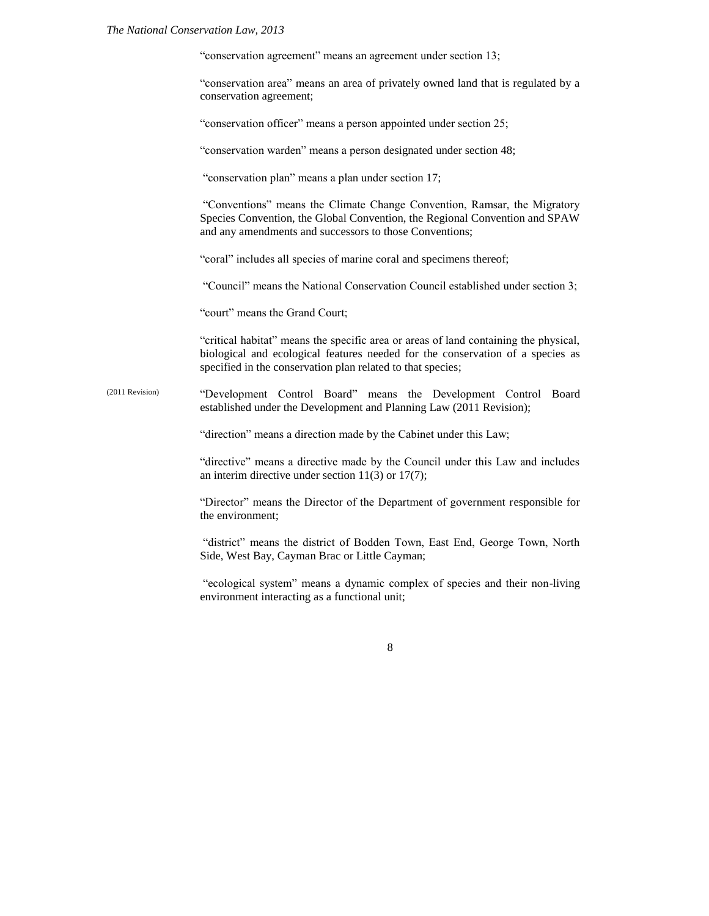#### *The National Conservation Law, 2013*

"conservation agreement" means an agreement under section 13;

"conservation area" means an area of privately owned land that is regulated by a conservation agreement;

"conservation officer" means a person appointed under section 25;

"conservation warden" means a person designated under section 48;

"conservation plan" means a plan under section 17;

"Conventions" means the Climate Change Convention, Ramsar, the Migratory Species Convention, the Global Convention, the Regional Convention and SPAW and any amendments and successors to those Conventions;

"coral" includes all species of marine coral and specimens thereof;

"Council" means the National Conservation Council established under section 3;

"court" means the Grand Court;

"critical habitat" means the specific area or areas of land containing the physical, biological and ecological features needed for the conservation of a species as specified in the conservation plan related to that species;

"Development Control Board" means the Development Control Board established under the Development and Planning Law (2011 Revision); (2011 Revision)

"direction" means a direction made by the Cabinet under this Law;

"directive" means a directive made by the Council under this Law and includes an interim directive under section 11(3) or 17(7);

"Director" means the Director of the Department of government responsible for the environment;

"district" means the district of Bodden Town, East End, George Town, North Side, West Bay, Cayman Brac or Little Cayman;

"ecological system" means a dynamic complex of species and their non-living environment interacting as a functional unit;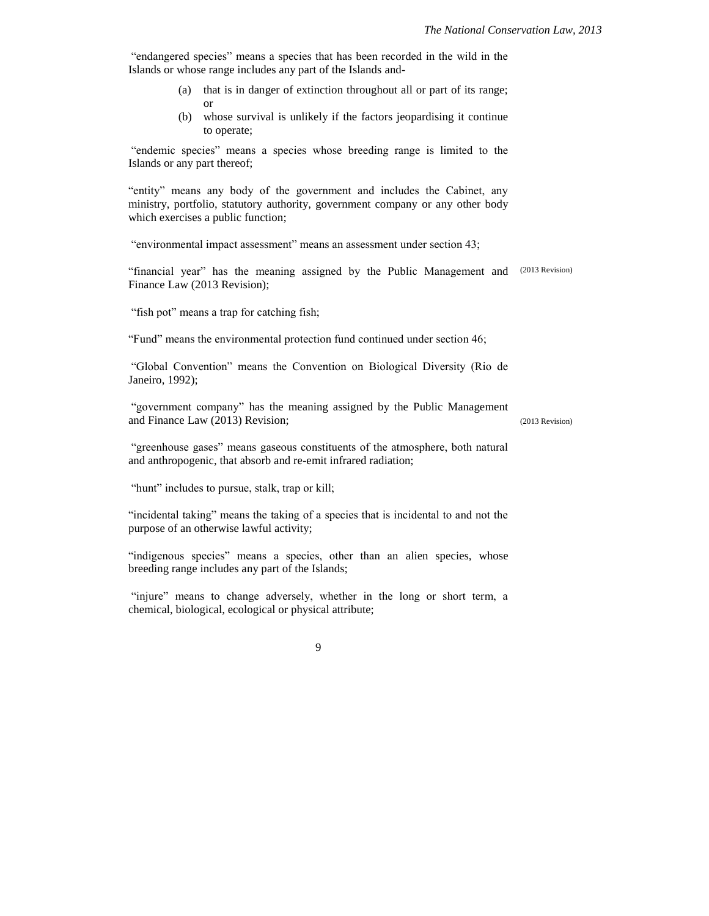"endangered species" means a species that has been recorded in the wild in the Islands or whose range includes any part of the Islands and-

- (a) that is in danger of extinction throughout all or part of its range; or
- (b) whose survival is unlikely if the factors jeopardising it continue to operate;

"endemic species" means a species whose breeding range is limited to the Islands or any part thereof;

"entity" means any body of the government and includes the Cabinet, any ministry, portfolio, statutory authority, government company or any other body which exercises a public function;

"environmental impact assessment" means an assessment under section 43;

"financial year" has the meaning assigned by the Public Management and (2013 Revision) Finance Law (2013 Revision);

"fish pot" means a trap for catching fish;

"Fund" means the environmental protection fund continued under section 46;

"Global Convention" means the Convention on Biological Diversity (Rio de Janeiro, 1992);

"government company" has the meaning assigned by the Public Management and Finance Law (2013) Revision;

"greenhouse gases" means gaseous constituents of the atmosphere, both natural and anthropogenic, that absorb and re-emit infrared radiation;

"hunt" includes to pursue, stalk, trap or kill;

"incidental taking" means the taking of a species that is incidental to and not the purpose of an otherwise lawful activity;

"indigenous species" means a species, other than an alien species, whose breeding range includes any part of the Islands;

"injure" means to change adversely, whether in the long or short term, a chemical, biological, ecological or physical attribute;

9

(2013 Revision)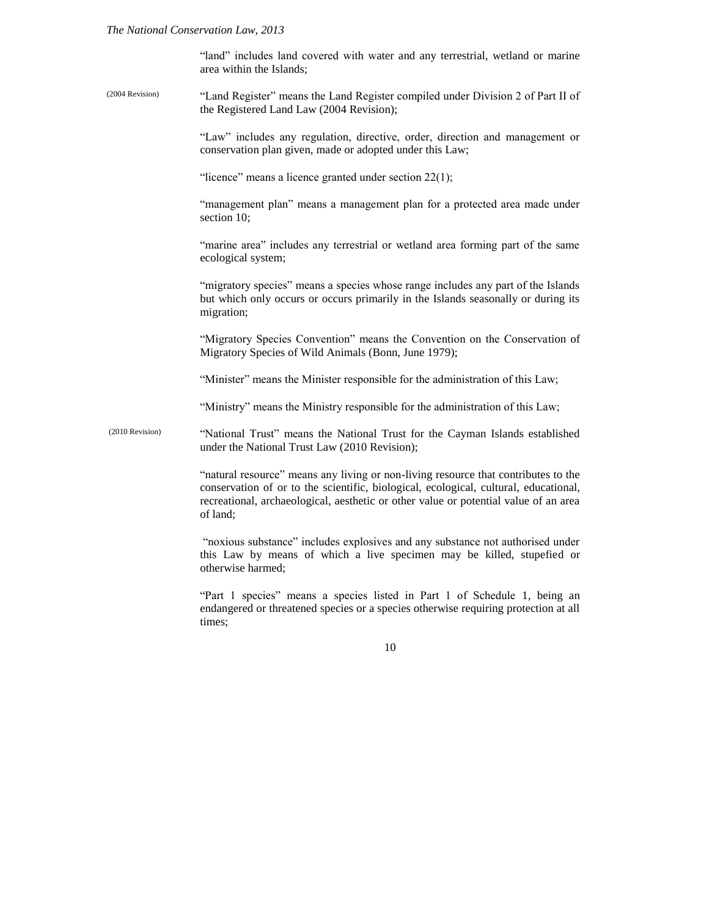#### *The National Conservation Law, 2013*

"land" includes land covered with water and any terrestrial, wetland or marine area within the Islands;

"Land Register" means the Land Register compiled under Division 2 of Part II of the Registered Land Law (2004 Revision); (2004 Revision)

> "Law" includes any regulation, directive, order, direction and management or conservation plan given, made or adopted under this Law;

"licence" means a licence granted under section  $22(1)$ ;

"management plan" means a management plan for a protected area made under section 10;

"marine area" includes any terrestrial or wetland area forming part of the same ecological system;

"migratory species" means a species whose range includes any part of the Islands but which only occurs or occurs primarily in the Islands seasonally or during its migration;

"Migratory Species Convention" means the Convention on the Conservation of Migratory Species of Wild Animals (Bonn, June 1979);

"Minister" means the Minister responsible for the administration of this Law;

"Ministry" means the Ministry responsible for the administration of this Law;

"National Trust" means the National Trust for the Cayman Islands established under the National Trust Law (2010 Revision); (2010 Revision)

> "natural resource" means any living or non-living resource that contributes to the conservation of or to the scientific, biological, ecological, cultural, educational, recreational, archaeological, aesthetic or other value or potential value of an area of land;

> "noxious substance" includes explosives and any substance not authorised under this Law by means of which a live specimen may be killed, stupefied or otherwise harmed;

> "Part 1 species" means a species listed in Part 1 of Schedule 1, being an endangered or threatened species or a species otherwise requiring protection at all times;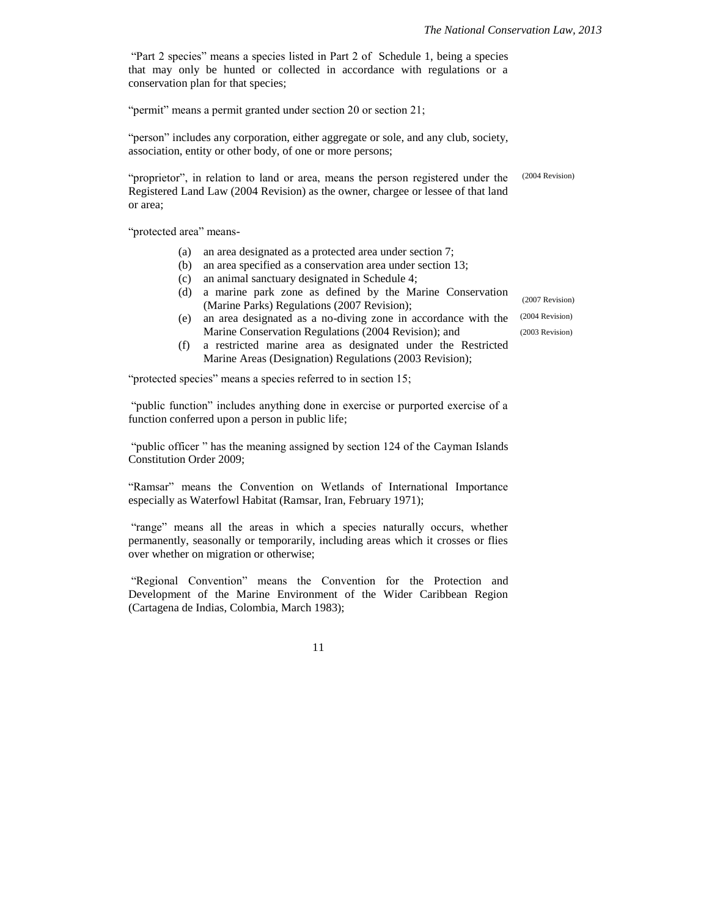"Part 2 species" means a species listed in Part 2 of Schedule 1, being a species that may only be hunted or collected in accordance with regulations or a conservation plan for that species;

"permit" means a permit granted under section 20 or section 21;

"person" includes any corporation, either aggregate or sole, and any club, society, association, entity or other body, of one or more persons;

"proprietor", in relation to land or area, means the person registered under the Registered Land Law (2004 Revision) as the owner, chargee or lessee of that land or area;

"protected area" means-

- (a) an area designated as a protected area under section 7;
- (b) an area specified as a conservation area under section 13;
- (c) an animal sanctuary designated in Schedule 4;
- (d) a marine park zone as defined by the Marine Conservation (Marine Parks) Regulations (2007 Revision);
- (e) an area designated as a no-diving zone in accordance with the Marine Conservation Regulations (2004 Revision); and
- (f) a restricted marine area as designated under the Restricted Marine Areas (Designation) Regulations (2003 Revision);

"protected species" means a species referred to in section 15;

"public function" includes anything done in exercise or purported exercise of a function conferred upon a person in public life;

"public officer " has the meaning assigned by section 124 of the Cayman Islands Constitution Order 2009;

"Ramsar" means the Convention on Wetlands of International Importance especially as Waterfowl Habitat (Ramsar, Iran, February 1971);

"range" means all the areas in which a species naturally occurs, whether permanently, seasonally or temporarily, including areas which it crosses or flies over whether on migration or otherwise;

"Regional Convention" means the Convention for the Protection and Development of the Marine Environment of the Wider Caribbean Region (Cartagena de Indias, Colombia, March 1983);

11

(2004 Revision)

(2007 Revision) (2004 Revision) (2003 Revision)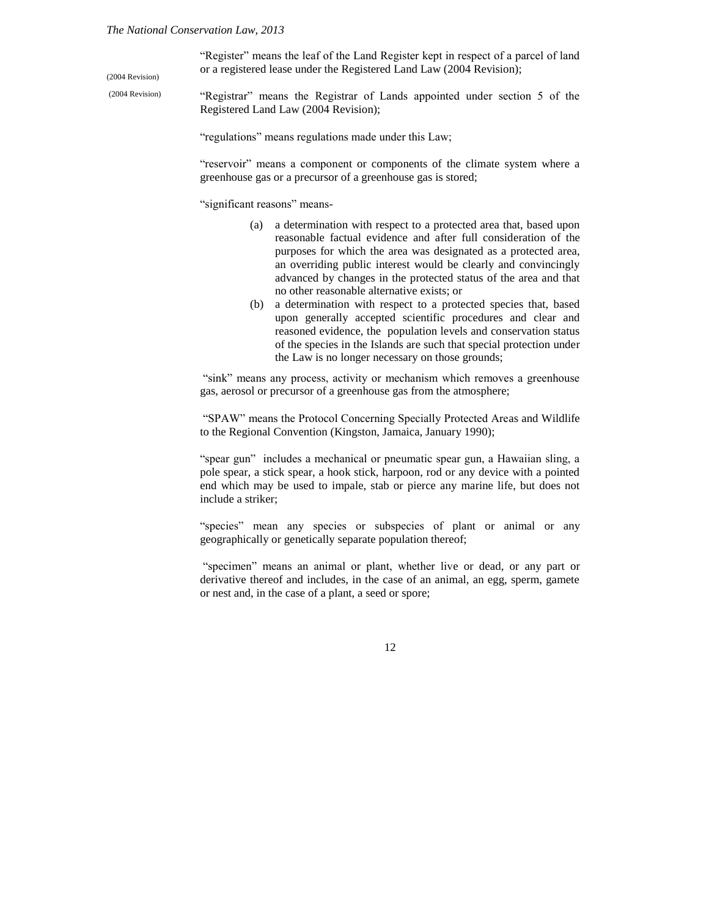#### *The National Conservation Law, 2013*

"Register" means the leaf of the Land Register kept in respect of a parcel of land or a registered lease under the Registered Land Law (2004 Revision);

(2004 Revision) (2004 Revision)

"Registrar" means the Registrar of Lands appointed under section 5 of the Registered Land Law (2004 Revision);

"regulations" means regulations made under this Law;

"reservoir" means a component or components of the climate system where a greenhouse gas or a precursor of a greenhouse gas is stored;

"significant reasons" means-

- (a) a determination with respect to a protected area that, based upon reasonable factual evidence and after full consideration of the purposes for which the area was designated as a protected area, an overriding public interest would be clearly and convincingly advanced by changes in the protected status of the area and that no other reasonable alternative exists; or
- (b) a determination with respect to a protected species that, based upon generally accepted scientific procedures and clear and reasoned evidence, the population levels and conservation status of the species in the Islands are such that special protection under the Law is no longer necessary on those grounds;

"sink" means any process, activity or mechanism which removes a greenhouse gas, aerosol or precursor of a greenhouse gas from the atmosphere;

"SPAW" means the Protocol Concerning Specially Protected Areas and Wildlife to the Regional Convention (Kingston, Jamaica, January 1990);

"spear gun" includes a mechanical or pneumatic spear gun, a Hawaiian sling, a pole spear, a stick spear, a hook stick, harpoon, rod or any device with a pointed end which may be used to impale, stab or pierce any marine life, but does not include a striker;

"species" mean any species or subspecies of plant or animal or any geographically or genetically separate population thereof;

"specimen" means an animal or plant, whether live or dead, or any part or derivative thereof and includes, in the case of an animal, an egg, sperm, gamete or nest and, in the case of a plant, a seed or spore;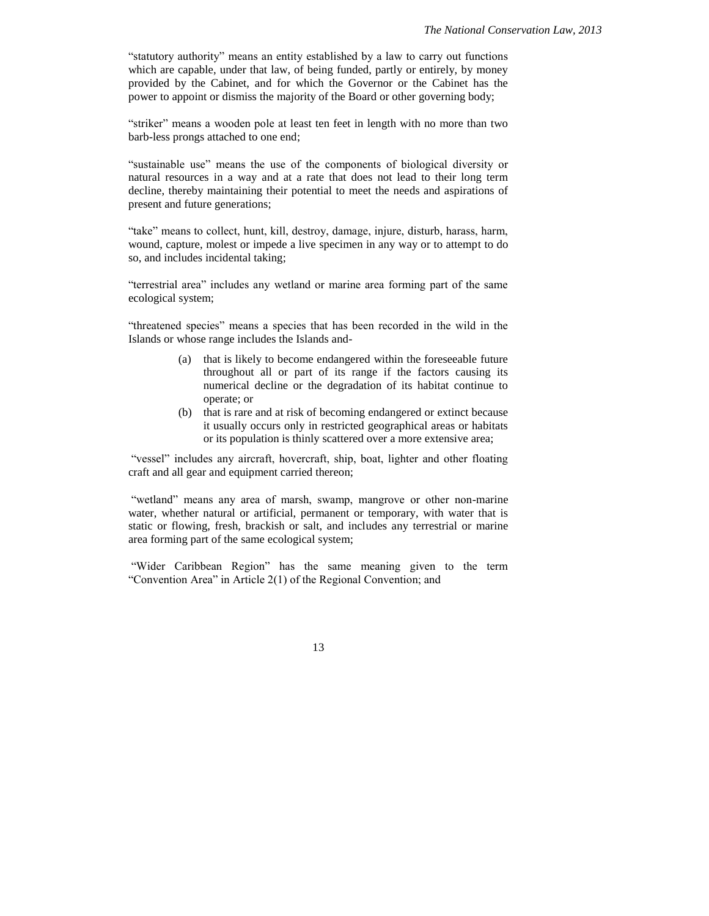"statutory authority" means an entity established by a law to carry out functions which are capable, under that law, of being funded, partly or entirely, by money provided by the Cabinet, and for which the Governor or the Cabinet has the power to appoint or dismiss the majority of the Board or other governing body;

"striker" means a wooden pole at least ten feet in length with no more than two barb-less prongs attached to one end;

"sustainable use" means the use of the components of biological diversity or natural resources in a way and at a rate that does not lead to their long term decline, thereby maintaining their potential to meet the needs and aspirations of present and future generations;

"take" means to collect, hunt, kill, destroy, damage, injure, disturb, harass, harm, wound, capture, molest or impede a live specimen in any way or to attempt to do so, and includes incidental taking;

"terrestrial area" includes any wetland or marine area forming part of the same ecological system;

"threatened species" means a species that has been recorded in the wild in the Islands or whose range includes the Islands and-

- (a) that is likely to become endangered within the foreseeable future throughout all or part of its range if the factors causing its numerical decline or the degradation of its habitat continue to operate; or
- (b) that is rare and at risk of becoming endangered or extinct because it usually occurs only in restricted geographical areas or habitats or its population is thinly scattered over a more extensive area;

"vessel" includes any aircraft, hovercraft, ship, boat, lighter and other floating craft and all gear and equipment carried thereon;

"wetland" means any area of marsh, swamp, mangrove or other non-marine water, whether natural or artificial, permanent or temporary, with water that is static or flowing, fresh, brackish or salt, and includes any terrestrial or marine area forming part of the same ecological system;

"Wider Caribbean Region" has the same meaning given to the term "Convention Area" in Article 2(1) of the Regional Convention; and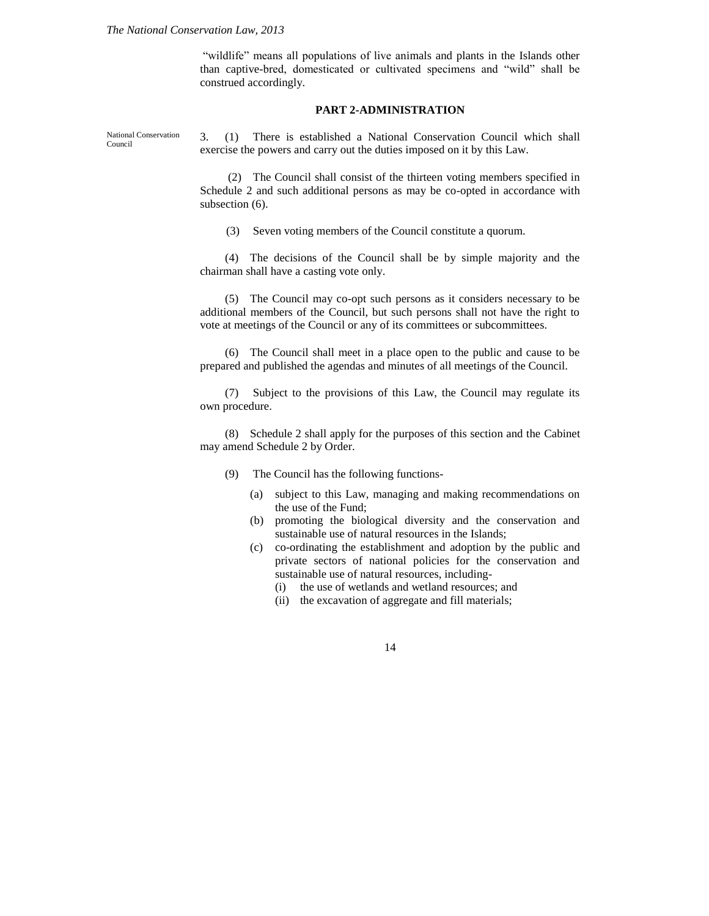"wildlife" means all populations of live animals and plants in the Islands other than captive-bred, domesticated or cultivated specimens and "wild" shall be construed accordingly.

#### **PART 2-ADMINISTRATION**

National Conservation Council

3. (1) There is established a National Conservation Council which shall exercise the powers and carry out the duties imposed on it by this Law.

(2) The Council shall consist of the thirteen voting members specified in Schedule 2 and such additional persons as may be co-opted in accordance with subsection  $(6)$ .

(3) Seven voting members of the Council constitute a quorum.

(4) The decisions of the Council shall be by simple majority and the chairman shall have a casting vote only.

(5) The Council may co-opt such persons as it considers necessary to be additional members of the Council, but such persons shall not have the right to vote at meetings of the Council or any of its committees or subcommittees.

(6) The Council shall meet in a place open to the public and cause to be prepared and published the agendas and minutes of all meetings of the Council.

(7) Subject to the provisions of this Law, the Council may regulate its own procedure.

(8) Schedule 2 shall apply for the purposes of this section and the Cabinet may amend Schedule 2 by Order.

(9) The Council has the following functions-

- (a) subject to this Law, managing and making recommendations on the use of the Fund;
- (b) promoting the biological diversity and the conservation and sustainable use of natural resources in the Islands;
- (c) co-ordinating the establishment and adoption by the public and private sectors of national policies for the conservation and sustainable use of natural resources, including-
	- (i) the use of wetlands and wetland resources; and
	- (ii) the excavation of aggregate and fill materials;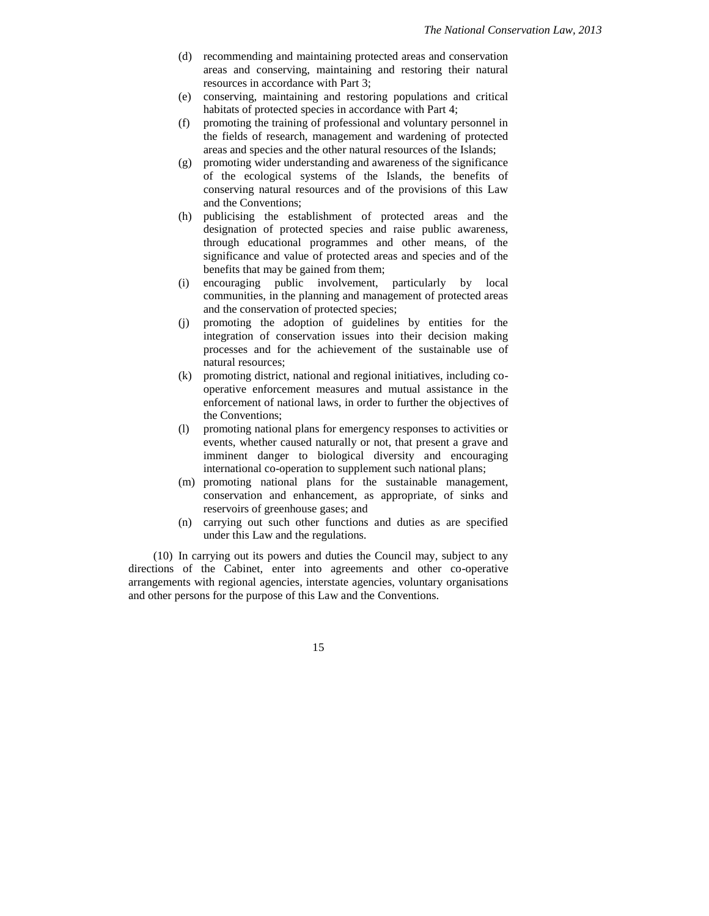- (d) recommending and maintaining protected areas and conservation areas and conserving, maintaining and restoring their natural resources in accordance with Part 3;
- (e) conserving, maintaining and restoring populations and critical habitats of protected species in accordance with Part 4;
- (f) promoting the training of professional and voluntary personnel in the fields of research, management and wardening of protected areas and species and the other natural resources of the Islands;
- (g) promoting wider understanding and awareness of the significance of the ecological systems of the Islands, the benefits of conserving natural resources and of the provisions of this Law and the Conventions;
- (h) publicising the establishment of protected areas and the designation of protected species and raise public awareness, through educational programmes and other means, of the significance and value of protected areas and species and of the benefits that may be gained from them;
- (i) encouraging public involvement, particularly by local communities, in the planning and management of protected areas and the conservation of protected species;
- (j) promoting the adoption of guidelines by entities for the integration of conservation issues into their decision making processes and for the achievement of the sustainable use of natural resources;
- (k) promoting district, national and regional initiatives, including cooperative enforcement measures and mutual assistance in the enforcement of national laws, in order to further the objectives of the Conventions;
- (l) promoting national plans for emergency responses to activities or events, whether caused naturally or not, that present a grave and imminent danger to biological diversity and encouraging international co-operation to supplement such national plans;
- (m) promoting national plans for the sustainable management, conservation and enhancement, as appropriate, of sinks and reservoirs of greenhouse gases; and
- (n) carrying out such other functions and duties as are specified under this Law and the regulations.

(10) In carrying out its powers and duties the Council may, subject to any directions of the Cabinet, enter into agreements and other co-operative arrangements with regional agencies, interstate agencies, voluntary organisations and other persons for the purpose of this Law and the Conventions.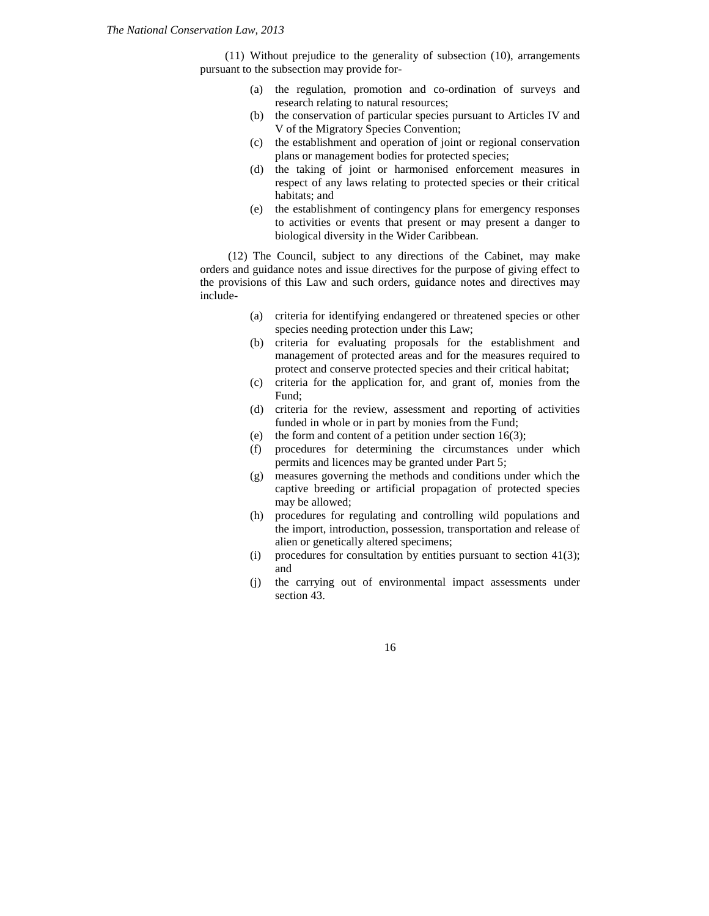(11) Without prejudice to the generality of subsection (10), arrangements pursuant to the subsection may provide for-

- (a) the regulation, promotion and co-ordination of surveys and research relating to natural resources;
- (b) the conservation of particular species pursuant to Articles IV and V of the Migratory Species Convention;
- (c) the establishment and operation of joint or regional conservation plans or management bodies for protected species;
- (d) the taking of joint or harmonised enforcement measures in respect of any laws relating to protected species or their critical habitats; and
- (e) the establishment of contingency plans for emergency responses to activities or events that present or may present a danger to biological diversity in the Wider Caribbean.

(12) The Council, subject to any directions of the Cabinet, may make orders and guidance notes and issue directives for the purpose of giving effect to the provisions of this Law and such orders, guidance notes and directives may include-

- (a) criteria for identifying endangered or threatened species or other species needing protection under this Law;
- (b) criteria for evaluating proposals for the establishment and management of protected areas and for the measures required to protect and conserve protected species and their critical habitat;
- (c) criteria for the application for, and grant of, monies from the Fund;
- (d) criteria for the review, assessment and reporting of activities funded in whole or in part by monies from the Fund;
- (e) the form and content of a petition under section 16(3);
- (f) procedures for determining the circumstances under which permits and licences may be granted under Part 5;
- (g) measures governing the methods and conditions under which the captive breeding or artificial propagation of protected species may be allowed;
- (h) procedures for regulating and controlling wild populations and the import, introduction, possession, transportation and release of alien or genetically altered specimens;
- (i) procedures for consultation by entities pursuant to section  $41(3)$ ; and
- (j) the carrying out of environmental impact assessments under section 43.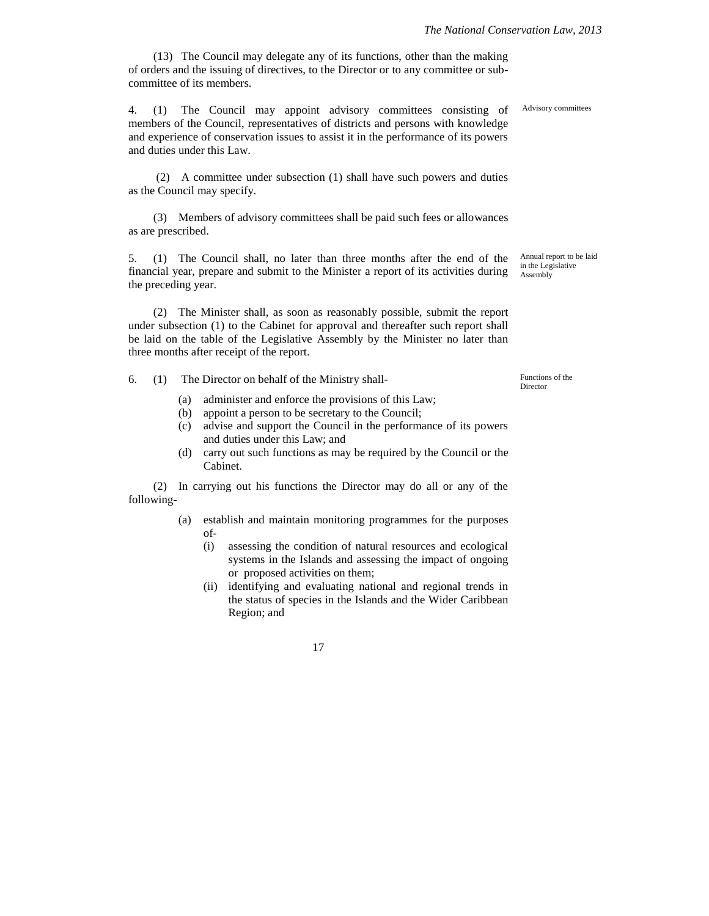(13) The Council may delegate any of its functions, other than the making of orders and the issuing of directives, to the Director or to any committee or subcommittee of its members.

4. (1) The Council may appoint advisory committees consisting of members of the Council, representatives of districts and persons with knowledge and experience of conservation issues to assist it in the performance of its powers and duties under this Law.

(2) A committee under subsection (1) shall have such powers and duties as the Council may specify.

(3) Members of advisory committees shall be paid such fees or allowances as are prescribed.

5. (1) The Council shall, no later than three months after the end of the financial year, prepare and submit to the Minister a report of its activities during the preceding year.

(2) The Minister shall, as soon as reasonably possible, submit the report under subsection (1) to the Cabinet for approval and thereafter such report shall be laid on the table of the Legislative Assembly by the Minister no later than three months after receipt of the report.

6. (1) The Director on behalf of the Ministry shall-

- (a) administer and enforce the provisions of this Law;
- (b) appoint a person to be secretary to the Council;
	- (c) advise and support the Council in the performance of its powers and duties under this Law; and
	- (d) carry out such functions as may be required by the Council or the Cabinet.

(2) In carrying out his functions the Director may do all or any of the following-

- (a) establish and maintain monitoring programmes for the purposes of-
	- (i) assessing the condition of natural resources and ecological systems in the Islands and assessing the impact of ongoing or proposed activities on them;
	- (ii) identifying and evaluating national and regional trends in the status of species in the Islands and the Wider Caribbean Region; and

Annual report to be laid in the Legislative Assembly

Advisory committees

Functions of the Director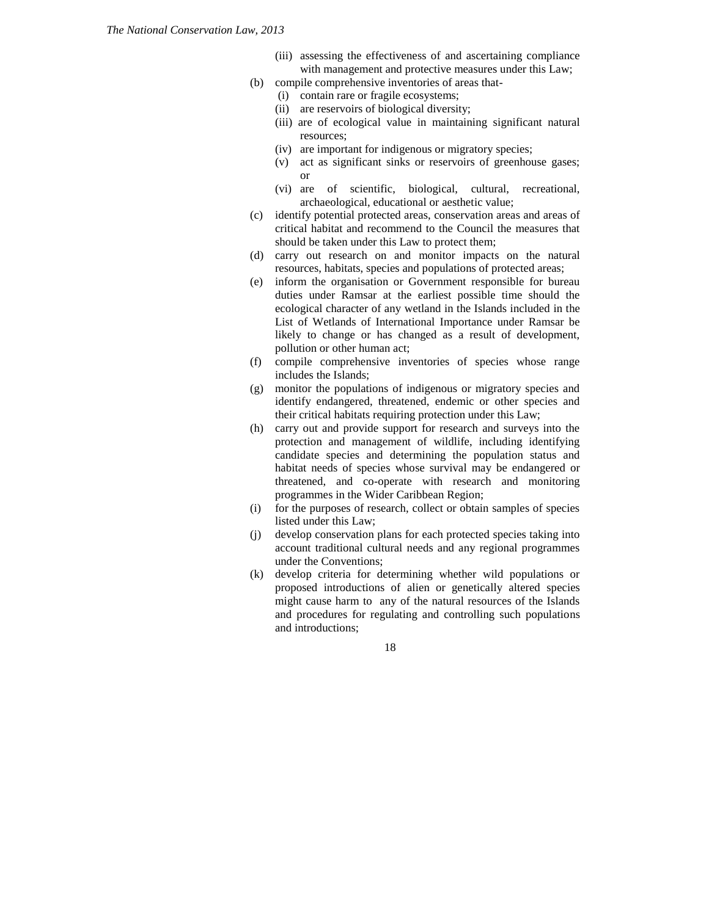- (iii) assessing the effectiveness of and ascertaining compliance with management and protective measures under this Law;
- (b) compile comprehensive inventories of areas that-
	- (i) contain rare or fragile ecosystems;
	- (ii) are reservoirs of biological diversity;
	- (iii) are of ecological value in maintaining significant natural resources;
	- (iv) are important for indigenous or migratory species;
	- (v) act as significant sinks or reservoirs of greenhouse gases; or
	- (vi) are of scientific, biological, cultural, recreational, archaeological, educational or aesthetic value;
- (c) identify potential protected areas, conservation areas and areas of critical habitat and recommend to the Council the measures that should be taken under this Law to protect them;
- (d) carry out research on and monitor impacts on the natural resources, habitats, species and populations of protected areas;
- (e) inform the organisation or Government responsible for bureau duties under Ramsar at the earliest possible time should the ecological character of any wetland in the Islands included in the List of Wetlands of International Importance under Ramsar be likely to change or has changed as a result of development, pollution or other human act;
- (f) compile comprehensive inventories of species whose range includes the Islands;
- (g) monitor the populations of indigenous or migratory species and identify endangered, threatened, endemic or other species and their critical habitats requiring protection under this Law;
- (h) carry out and provide support for research and surveys into the protection and management of wildlife, including identifying candidate species and determining the population status and habitat needs of species whose survival may be endangered or threatened, and co-operate with research and monitoring programmes in the Wider Caribbean Region;
- (i) for the purposes of research, collect or obtain samples of species listed under this Law;
- (j) develop conservation plans for each protected species taking into account traditional cultural needs and any regional programmes under the Conventions;
- (k) develop criteria for determining whether wild populations or proposed introductions of alien or genetically altered species might cause harm to any of the natural resources of the Islands and procedures for regulating and controlling such populations and introductions;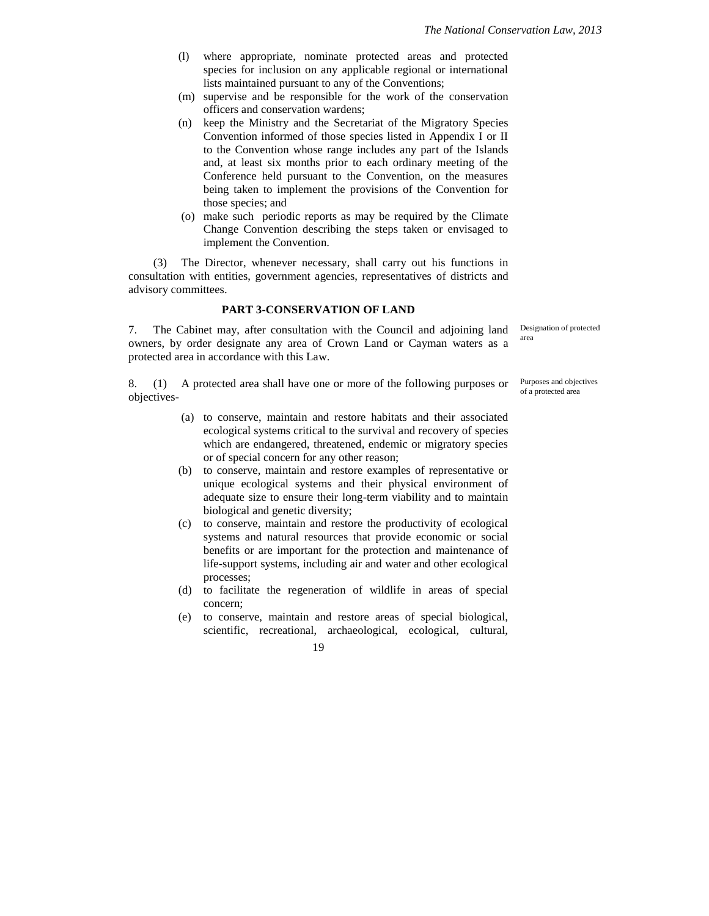- (l) where appropriate, nominate protected areas and protected species for inclusion on any applicable regional or international lists maintained pursuant to any of the Conventions;
- (m) supervise and be responsible for the work of the conservation officers and conservation wardens;
- (n) keep the Ministry and the Secretariat of the Migratory Species Convention informed of those species listed in Appendix I or II to the Convention whose range includes any part of the Islands and, at least six months prior to each ordinary meeting of the Conference held pursuant to the Convention, on the measures being taken to implement the provisions of the Convention for those species; and
- (o) make such periodic reports as may be required by the Climate Change Convention describing the steps taken or envisaged to implement the Convention.

(3) The Director, whenever necessary, shall carry out his functions in consultation with entities, government agencies, representatives of districts and advisory committees.

## **PART 3-CONSERVATION OF LAND**

7. The Cabinet may, after consultation with the Council and adjoining land owners, by order designate any area of Crown Land or Cayman waters as a protected area in accordance with this Law.

Designation of protected area

8. (1) A protected area shall have one or more of the following purposes or objectives-

- (a) to conserve, maintain and restore habitats and their associated ecological systems critical to the survival and recovery of species which are endangered, threatened, endemic or migratory species or of special concern for any other reason;
- (b) to conserve, maintain and restore examples of representative or unique ecological systems and their physical environment of adequate size to ensure their long-term viability and to maintain biological and genetic diversity;
- (c) to conserve, maintain and restore the productivity of ecological systems and natural resources that provide economic or social benefits or are important for the protection and maintenance of life-support systems, including air and water and other ecological processes;
- (d) to facilitate the regeneration of wildlife in areas of special concern;
- (e) to conserve, maintain and restore areas of special biological, scientific, recreational, archaeological, ecological, cultural,
	- 19

Purposes and objectives of a protected area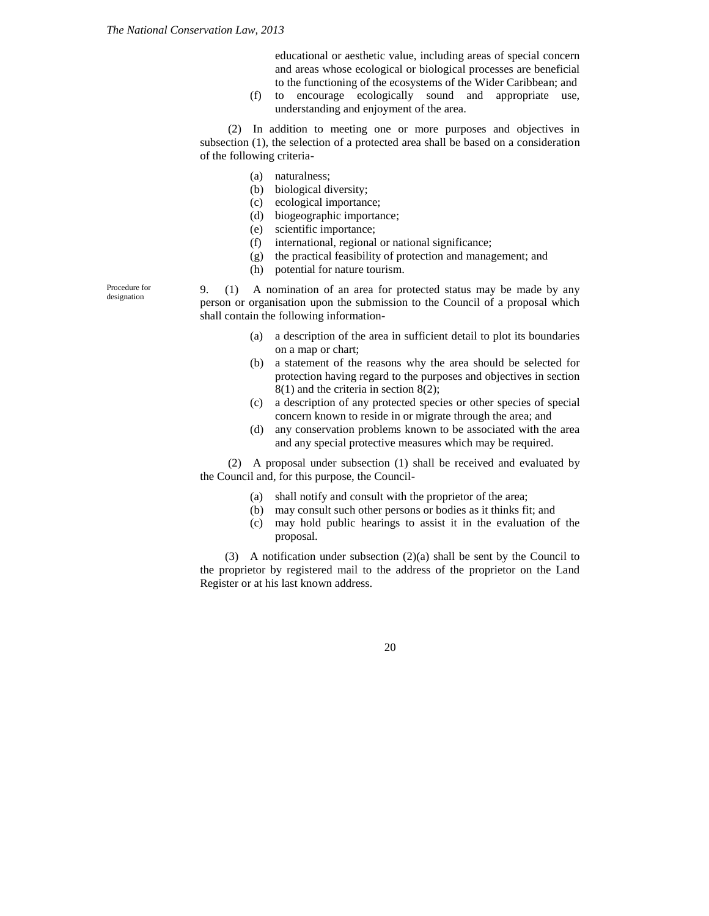educational or aesthetic value, including areas of special concern and areas whose ecological or biological processes are beneficial to the functioning of the ecosystems of the Wider Caribbean; and

(f) to encourage ecologically sound and appropriate use, understanding and enjoyment of the area.

(2) In addition to meeting one or more purposes and objectives in subsection (1), the selection of a protected area shall be based on a consideration of the following criteria-

- (a) naturalness;
- (b) biological diversity;
- (c) ecological importance;
- (d) biogeographic importance;
- (e) scientific importance;
- (f) international, regional or national significance;
- (g) the practical feasibility of protection and management; and
- (h) potential for nature tourism.

Procedure for designation

9. (1) A nomination of an area for protected status may be made by any person or organisation upon the submission to the Council of a proposal which shall contain the following information-

- (a) a description of the area in sufficient detail to plot its boundaries on a map or chart;
- (b) a statement of the reasons why the area should be selected for protection having regard to the purposes and objectives in section 8(1) and the criteria in section 8(2);
- (c) a description of any protected species or other species of special concern known to reside in or migrate through the area; and
- (d) any conservation problems known to be associated with the area and any special protective measures which may be required.

(2) A proposal under subsection (1) shall be received and evaluated by the Council and, for this purpose, the Council-

- (a) shall notify and consult with the proprietor of the area;
- (b) may consult such other persons or bodies as it thinks fit; and
- (c) may hold public hearings to assist it in the evaluation of the proposal.

(3) A notification under subsection (2)(a) shall be sent by the Council to the proprietor by registered mail to the address of the proprietor on the Land Register or at his last known address.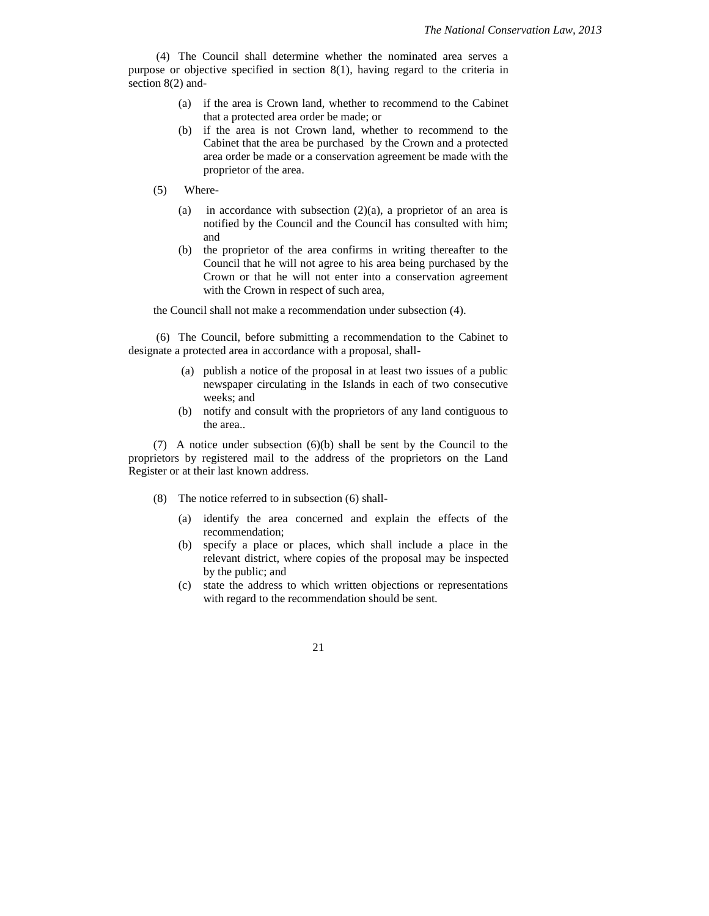(4) The Council shall determine whether the nominated area serves a purpose or objective specified in section 8(1), having regard to the criteria in section 8(2) and-

- (a) if the area is Crown land, whether to recommend to the Cabinet that a protected area order be made; or
- (b) if the area is not Crown land, whether to recommend to the Cabinet that the area be purchased by the Crown and a protected area order be made or a conservation agreement be made with the proprietor of the area.
- (5) Where-
	- (a) in accordance with subsection  $(2)(a)$ , a proprietor of an area is notified by the Council and the Council has consulted with him; and
	- (b) the proprietor of the area confirms in writing thereafter to the Council that he will not agree to his area being purchased by the Crown or that he will not enter into a conservation agreement with the Crown in respect of such area,

the Council shall not make a recommendation under subsection (4).

(6) The Council, before submitting a recommendation to the Cabinet to designate a protected area in accordance with a proposal, shall-

- (a) publish a notice of the proposal in at least two issues of a public newspaper circulating in the Islands in each of two consecutive weeks; and
- (b) notify and consult with the proprietors of any land contiguous to the area..

(7) A notice under subsection (6)(b) shall be sent by the Council to the proprietors by registered mail to the address of the proprietors on the Land Register or at their last known address.

- (8) The notice referred to in subsection (6) shall-
	- (a) identify the area concerned and explain the effects of the recommendation;
	- (b) specify a place or places, which shall include a place in the relevant district, where copies of the proposal may be inspected by the public; and
	- (c) state the address to which written objections or representations with regard to the recommendation should be sent.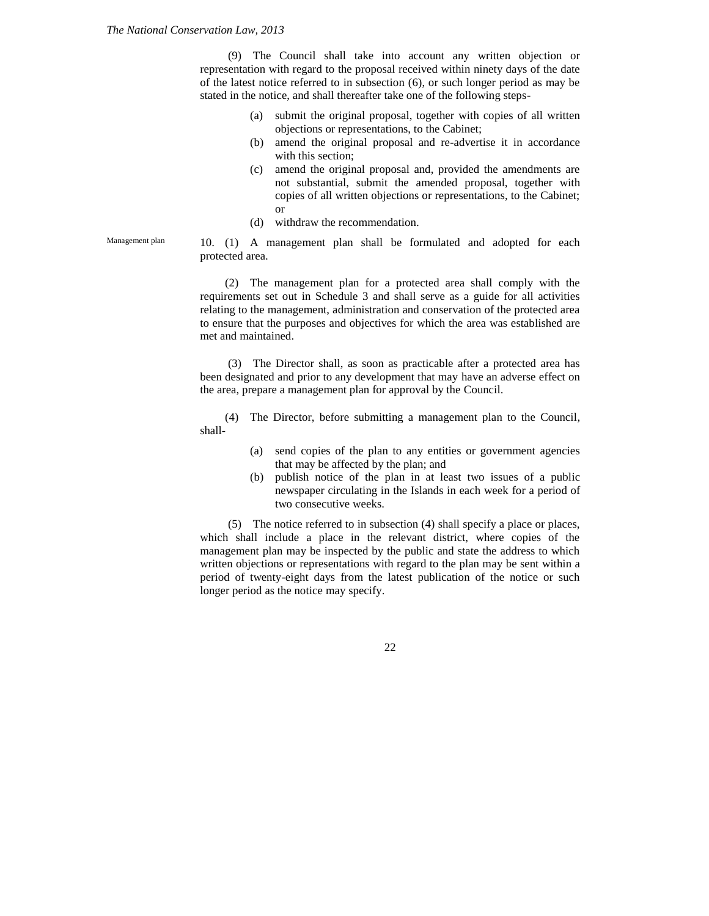(9) The Council shall take into account any written objection or representation with regard to the proposal received within ninety days of the date of the latest notice referred to in subsection (6), or such longer period as may be stated in the notice, and shall thereafter take one of the following steps-

- (a) submit the original proposal, together with copies of all written objections or representations, to the Cabinet;
- (b) amend the original proposal and re-advertise it in accordance with this section;
- (c) amend the original proposal and, provided the amendments are not substantial, submit the amended proposal, together with copies of all written objections or representations, to the Cabinet; or
- (d) withdraw the recommendation.

10. (1) A management plan shall be formulated and adopted for each protected area.

(2) The management plan for a protected area shall comply with the requirements set out in Schedule 3 and shall serve as a guide for all activities relating to the management, administration and conservation of the protected area to ensure that the purposes and objectives for which the area was established are met and maintained.

(3) The Director shall, as soon as practicable after a protected area has been designated and prior to any development that may have an adverse effect on the area, prepare a management plan for approval by the Council.

(4) The Director, before submitting a management plan to the Council, shall-

- (a) send copies of the plan to any entities or government agencies that may be affected by the plan; and
- (b) publish notice of the plan in at least two issues of a public newspaper circulating in the Islands in each week for a period of two consecutive weeks.

(5) The notice referred to in subsection (4) shall specify a place or places, which shall include a place in the relevant district, where copies of the management plan may be inspected by the public and state the address to which written objections or representations with regard to the plan may be sent within a period of twenty-eight days from the latest publication of the notice or such longer period as the notice may specify.

22

Management plan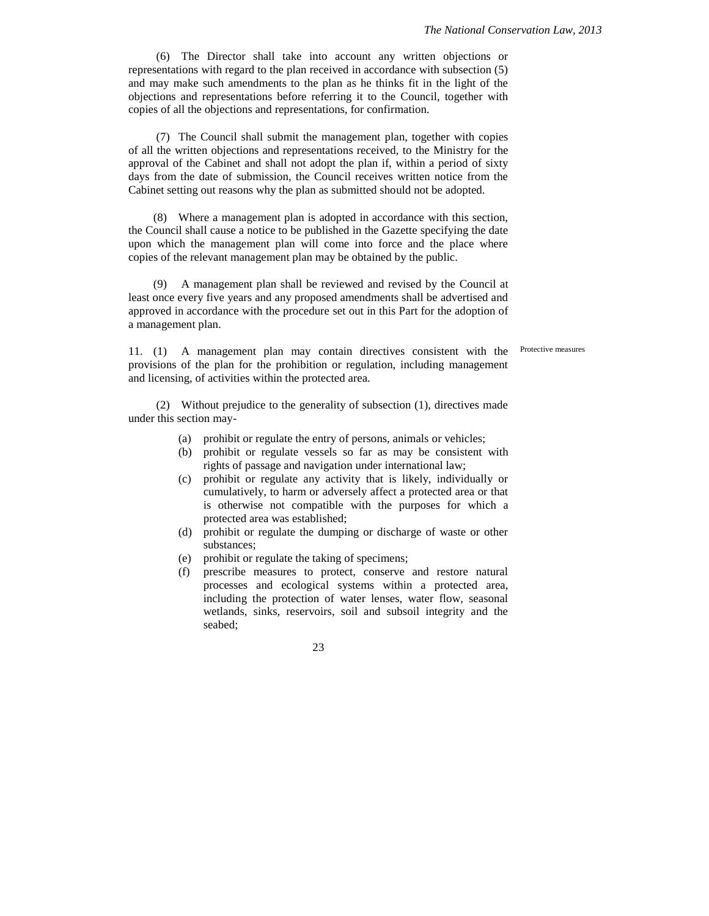(6) The Director shall take into account any written objections or representations with regard to the plan received in accordance with subsection (5) and may make such amendments to the plan as he thinks fit in the light of the objections and representations before referring it to the Council, together with copies of all the objections and representations, for confirmation.

(7) The Council shall submit the management plan, together with copies of all the written objections and representations received, to the Ministry for the approval of the Cabinet and shall not adopt the plan if, within a period of sixty days from the date of submission, the Council receives written notice from the Cabinet setting out reasons why the plan as submitted should not be adopted.

(8) Where a management plan is adopted in accordance with this section, the Council shall cause a notice to be published in the Gazette specifying the date upon which the management plan will come into force and the place where copies of the relevant management plan may be obtained by the public.

(9) A management plan shall be reviewed and revised by the Council at least once every five years and any proposed amendments shall be advertised and approved in accordance with the procedure set out in this Part for the adoption of a management plan.

Protective measures

and licensing, of activities within the protected area. (2) Without prejudice to the generality of subsection (1), directives made

11. (1) A management plan may contain directives consistent with the provisions of the plan for the prohibition or regulation, including management

under this section may-

- (a) prohibit or regulate the entry of persons, animals or vehicles;
- (b) prohibit or regulate vessels so far as may be consistent with rights of passage and navigation under international law;
- (c) prohibit or regulate any activity that is likely, individually or cumulatively, to harm or adversely affect a protected area or that is otherwise not compatible with the purposes for which a protected area was established;
- (d) prohibit or regulate the dumping or discharge of waste or other substances;
- (e) prohibit or regulate the taking of specimens;
- (f) prescribe measures to protect, conserve and restore natural processes and ecological systems within a protected area, including the protection of water lenses, water flow, seasonal wetlands, sinks, reservoirs, soil and subsoil integrity and the seabed;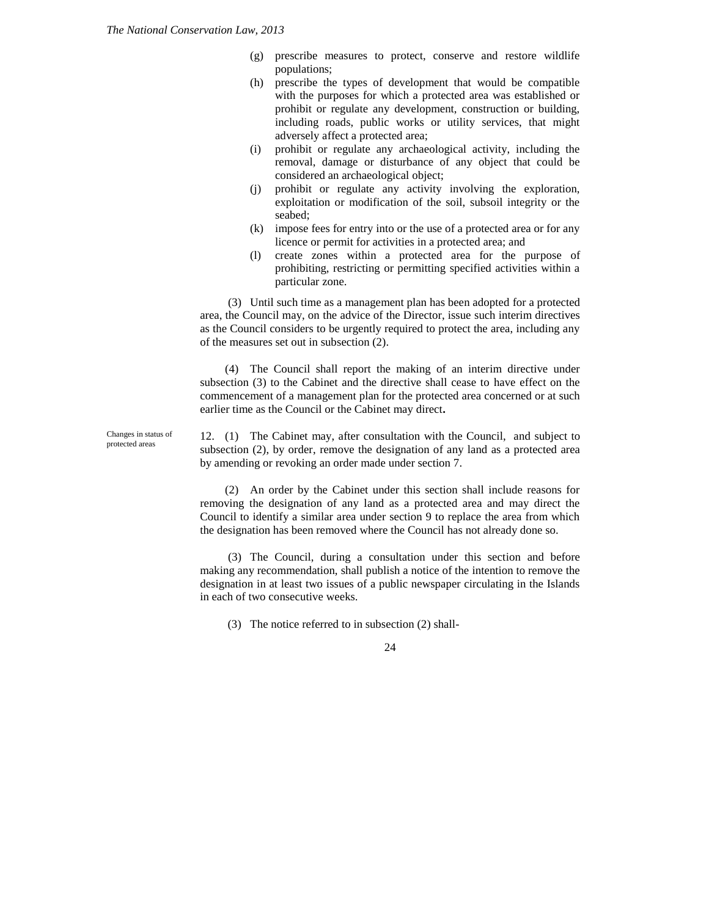- (g) prescribe measures to protect, conserve and restore wildlife populations;
- (h) prescribe the types of development that would be compatible with the purposes for which a protected area was established or prohibit or regulate any development, construction or building, including roads, public works or utility services, that might adversely affect a protected area;
- (i) prohibit or regulate any archaeological activity, including the removal, damage or disturbance of any object that could be considered an archaeological object;
- (j) prohibit or regulate any activity involving the exploration, exploitation or modification of the soil, subsoil integrity or the seabed;
- (k) impose fees for entry into or the use of a protected area or for any licence or permit for activities in a protected area; and
- (l) create zones within a protected area for the purpose of prohibiting, restricting or permitting specified activities within a particular zone.

(3) Until such time as a management plan has been adopted for a protected area, the Council may, on the advice of the Director, issue such interim directives as the Council considers to be urgently required to protect the area, including any of the measures set out in subsection (2).

(4) The Council shall report the making of an interim directive under subsection (3) to the Cabinet and the directive shall cease to have effect on the commencement of a management plan for the protected area concerned or at such earlier time as the Council or the Cabinet may direct**.** 

Changes in status of protected areas

12. (1) The Cabinet may, after consultation with the Council, and subject to subsection (2), by order, remove the designation of any land as a protected area by amending or revoking an order made under section 7.

(2) An order by the Cabinet under this section shall include reasons for removing the designation of any land as a protected area and may direct the Council to identify a similar area under section 9 to replace the area from which the designation has been removed where the Council has not already done so.

(3) The Council, during a consultation under this section and before making any recommendation, shall publish a notice of the intention to remove the designation in at least two issues of a public newspaper circulating in the Islands in each of two consecutive weeks.

(3) The notice referred to in subsection (2) shall-

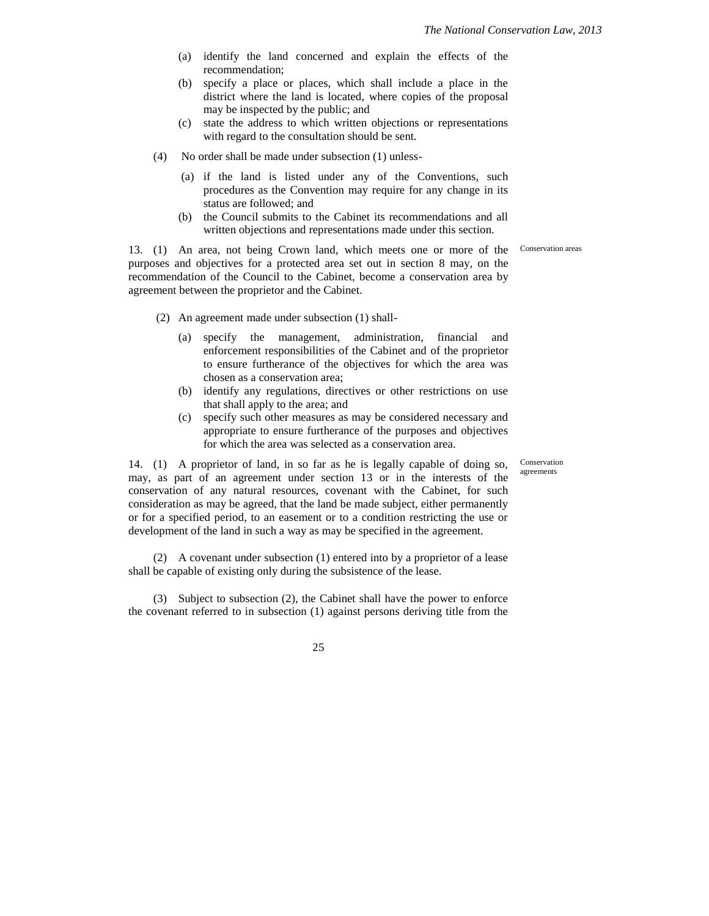- (a) identify the land concerned and explain the effects of the recommendation;
- (b) specify a place or places, which shall include a place in the district where the land is located, where copies of the proposal may be inspected by the public; and
- (c) state the address to which written objections or representations with regard to the consultation should be sent.
- (4) No order shall be made under subsection (1) unless-
	- (a) if the land is listed under any of the Conventions, such procedures as the Convention may require for any change in its status are followed; and
	- (b) the Council submits to the Cabinet its recommendations and all written objections and representations made under this section.

13. (1) An area, not being Crown land, which meets one or more of the purposes and objectives for a protected area set out in section 8 may, on the recommendation of the Council to the Cabinet, become a conservation area by agreement between the proprietor and the Cabinet.

- (2) An agreement made under subsection (1) shall-
	- (a) specify the management, administration, financial and enforcement responsibilities of the Cabinet and of the proprietor to ensure furtherance of the objectives for which the area was chosen as a conservation area;
	- (b) identify any regulations, directives or other restrictions on use that shall apply to the area; and
	- (c) specify such other measures as may be considered necessary and appropriate to ensure furtherance of the purposes and objectives for which the area was selected as a conservation area.

Conservation agreements

14. (1) A proprietor of land, in so far as he is legally capable of doing so, may, as part of an agreement under section 13 or in the interests of the conservation of any natural resources, covenant with the Cabinet, for such consideration as may be agreed, that the land be made subject, either permanently or for a specified period, to an easement or to a condition restricting the use or development of the land in such a way as may be specified in the agreement.

(2) A covenant under subsection (1) entered into by a proprietor of a lease shall be capable of existing only during the subsistence of the lease.

(3) Subject to subsection (2), the Cabinet shall have the power to enforce the covenant referred to in subsection (1) against persons deriving title from the

25

Conservation areas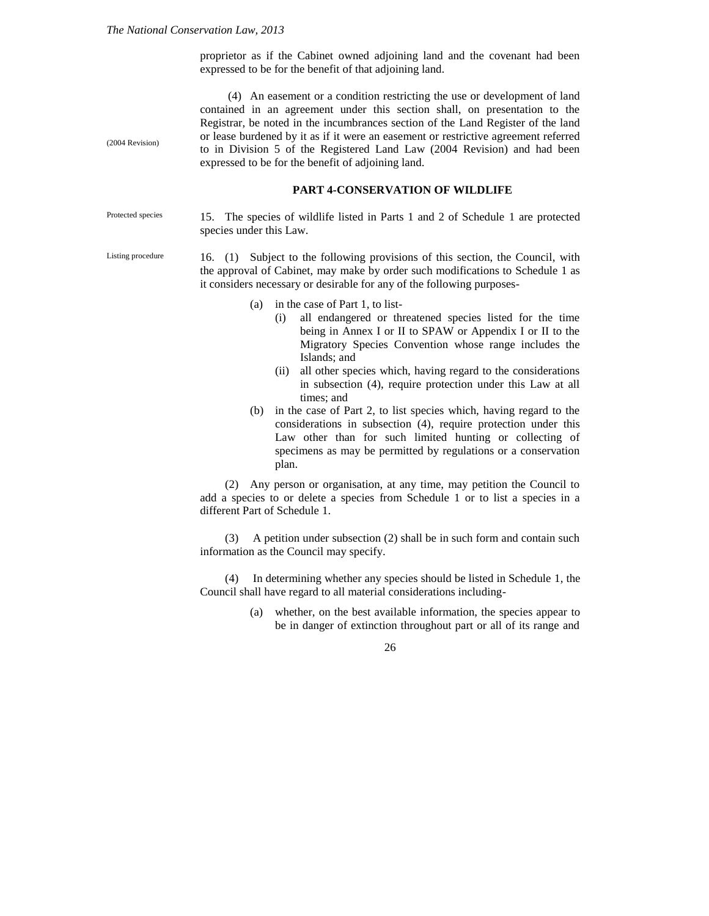(2004 Revision)

proprietor as if the Cabinet owned adjoining land and the covenant had been expressed to be for the benefit of that adjoining land.

(4) An easement or a condition restricting the use or development of land contained in an agreement under this section shall, on presentation to the Registrar, be noted in the incumbrances section of the Land Register of the land or lease burdened by it as if it were an easement or restrictive agreement referred to in Division 5 of the Registered Land Law (2004 Revision) and had been expressed to be for the benefit of adjoining land.

## **PART 4-CONSERVATION OF WILDLIFE**

15. The species of wildlife listed in Parts 1 and 2 of Schedule 1 are protected species under this Law. Protected species

16. (1) Subject to the following provisions of this section, the Council, with the approval of Cabinet, may make by order such modifications to Schedule 1 as it considers necessary or desirable for any of the following purposes- Listing procedure

- (a) in the case of Part 1, to list-
	- (i) all endangered or threatened species listed for the time being in Annex I or II to SPAW or Appendix I or II to the Migratory Species Convention whose range includes the Islands; and
	- (ii) all other species which, having regard to the considerations in subsection (4), require protection under this Law at all times; and
- (b) in the case of Part 2, to list species which, having regard to the considerations in subsection (4), require protection under this Law other than for such limited hunting or collecting of specimens as may be permitted by regulations or a conservation plan.

(2) Any person or organisation, at any time, may petition the Council to add a species to or delete a species from Schedule 1 or to list a species in a different Part of Schedule 1.

(3) A petition under subsection (2) shall be in such form and contain such information as the Council may specify.

(4) In determining whether any species should be listed in Schedule 1, the Council shall have regard to all material considerations including-

> (a) whether, on the best available information, the species appear to be in danger of extinction throughout part or all of its range and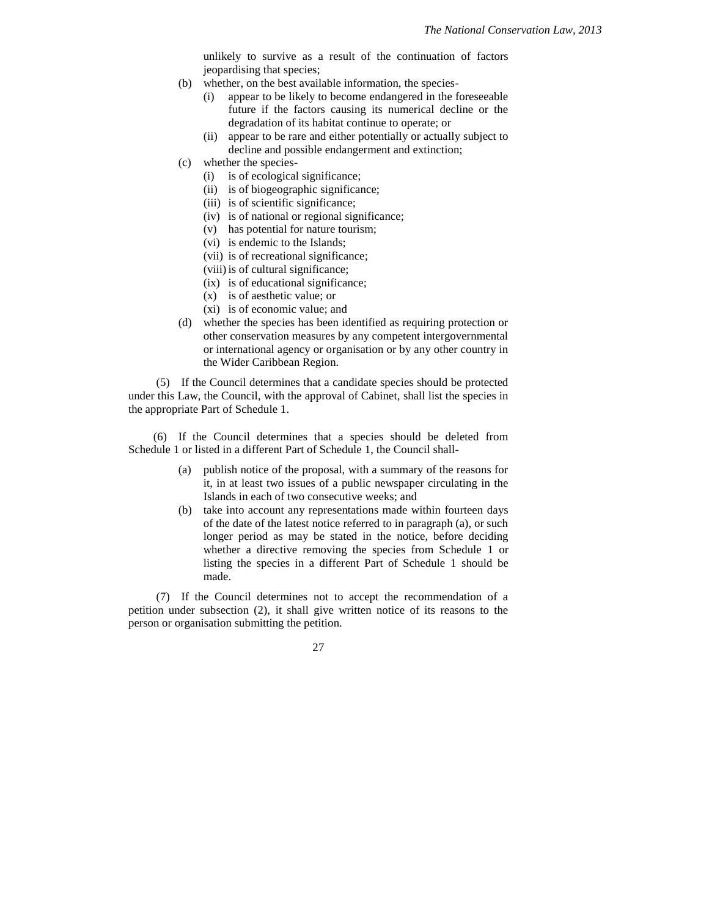unlikely to survive as a result of the continuation of factors jeopardising that species;

- (b) whether, on the best available information, the species-
	- (i) appear to be likely to become endangered in the foreseeable future if the factors causing its numerical decline or the degradation of its habitat continue to operate; or
	- (ii) appear to be rare and either potentially or actually subject to decline and possible endangerment and extinction;
- (c) whether the species-
	- (i) is of ecological significance;
	- (ii) is of biogeographic significance;
	- (iii) is of scientific significance;
	- (iv) is of national or regional significance;
	- (v) has potential for nature tourism;
	- (vi) is endemic to the Islands;
	- (vii) is of recreational significance;
	- (viii) is of cultural significance;
	- (ix) is of educational significance;
	- (x) is of aesthetic value; or
	- (xi) is of economic value; and
- (d) whether the species has been identified as requiring protection or other conservation measures by any competent intergovernmental or international agency or organisation or by any other country in the Wider Caribbean Region.

(5) If the Council determines that a candidate species should be protected under this Law, the Council, with the approval of Cabinet, shall list the species in the appropriate Part of Schedule 1.

(6) If the Council determines that a species should be deleted from Schedule 1 or listed in a different Part of Schedule 1, the Council shall-

- (a) publish notice of the proposal, with a summary of the reasons for it, in at least two issues of a public newspaper circulating in the Islands in each of two consecutive weeks; and
- (b) take into account any representations made within fourteen days of the date of the latest notice referred to in paragraph (a), or such longer period as may be stated in the notice, before deciding whether a directive removing the species from Schedule 1 or listing the species in a different Part of Schedule 1 should be made.

(7) If the Council determines not to accept the recommendation of a petition under subsection (2), it shall give written notice of its reasons to the person or organisation submitting the petition.

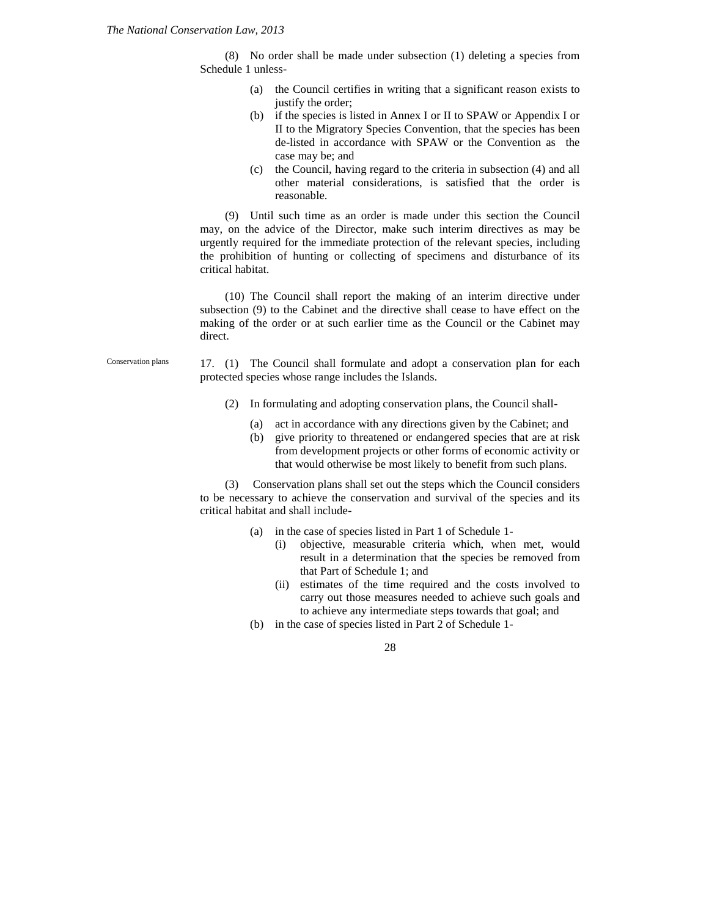(8) No order shall be made under subsection (1) deleting a species from Schedule 1 unless-

- (a) the Council certifies in writing that a significant reason exists to justify the order;
- (b) if the species is listed in Annex I or II to SPAW or Appendix I or II to the Migratory Species Convention, that the species has been de-listed in accordance with SPAW or the Convention as the case may be; and
- (c) the Council, having regard to the criteria in subsection (4) and all other material considerations, is satisfied that the order is reasonable.

(9) Until such time as an order is made under this section the Council may, on the advice of the Director, make such interim directives as may be urgently required for the immediate protection of the relevant species, including the prohibition of hunting or collecting of specimens and disturbance of its critical habitat.

(10) The Council shall report the making of an interim directive under subsection (9) to the Cabinet and the directive shall cease to have effect on the making of the order or at such earlier time as the Council or the Cabinet may direct.

17. (1) The Council shall formulate and adopt a conservation plan for each protected species whose range includes the Islands. Conservation plans

- (2) In formulating and adopting conservation plans, the Council shall-
	- (a) act in accordance with any directions given by the Cabinet; and
	- (b) give priority to threatened or endangered species that are at risk from development projects or other forms of economic activity or that would otherwise be most likely to benefit from such plans.

(3) Conservation plans shall set out the steps which the Council considers to be necessary to achieve the conservation and survival of the species and its critical habitat and shall include-

- (a) in the case of species listed in Part 1 of Schedule 1-
	- (i) objective, measurable criteria which, when met, would result in a determination that the species be removed from that Part of Schedule 1; and
	- (ii) estimates of the time required and the costs involved to carry out those measures needed to achieve such goals and to achieve any intermediate steps towards that goal; and
- (b) in the case of species listed in Part 2 of Schedule 1-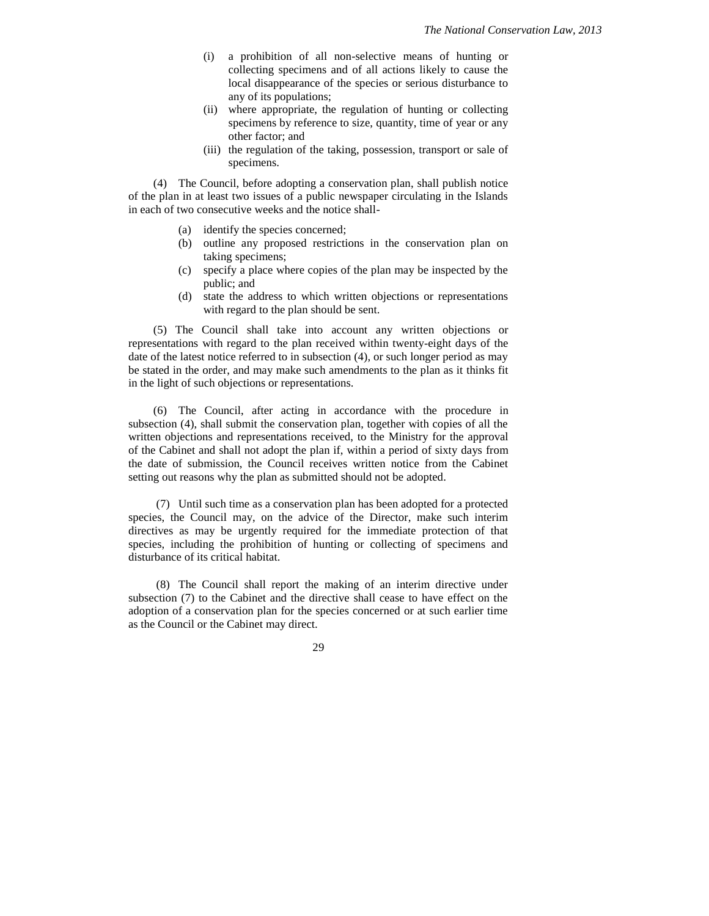- (i) a prohibition of all non-selective means of hunting or collecting specimens and of all actions likely to cause the local disappearance of the species or serious disturbance to any of its populations;
- (ii) where appropriate, the regulation of hunting or collecting specimens by reference to size, quantity, time of year or any other factor; and
- (iii) the regulation of the taking, possession, transport or sale of specimens.

(4) The Council, before adopting a conservation plan, shall publish notice of the plan in at least two issues of a public newspaper circulating in the Islands in each of two consecutive weeks and the notice shall-

- (a) identify the species concerned;
- (b) outline any proposed restrictions in the conservation plan on taking specimens;
- (c) specify a place where copies of the plan may be inspected by the public; and
- (d) state the address to which written objections or representations with regard to the plan should be sent.

(5) The Council shall take into account any written objections or representations with regard to the plan received within twenty-eight days of the date of the latest notice referred to in subsection (4), or such longer period as may be stated in the order, and may make such amendments to the plan as it thinks fit in the light of such objections or representations.

(6) The Council, after acting in accordance with the procedure in subsection (4), shall submit the conservation plan, together with copies of all the written objections and representations received, to the Ministry for the approval of the Cabinet and shall not adopt the plan if, within a period of sixty days from the date of submission, the Council receives written notice from the Cabinet setting out reasons why the plan as submitted should not be adopted.

(7) Until such time as a conservation plan has been adopted for a protected species, the Council may, on the advice of the Director, make such interim directives as may be urgently required for the immediate protection of that species, including the prohibition of hunting or collecting of specimens and disturbance of its critical habitat.

(8) The Council shall report the making of an interim directive under subsection (7) to the Cabinet and the directive shall cease to have effect on the adoption of a conservation plan for the species concerned or at such earlier time as the Council or the Cabinet may direct.

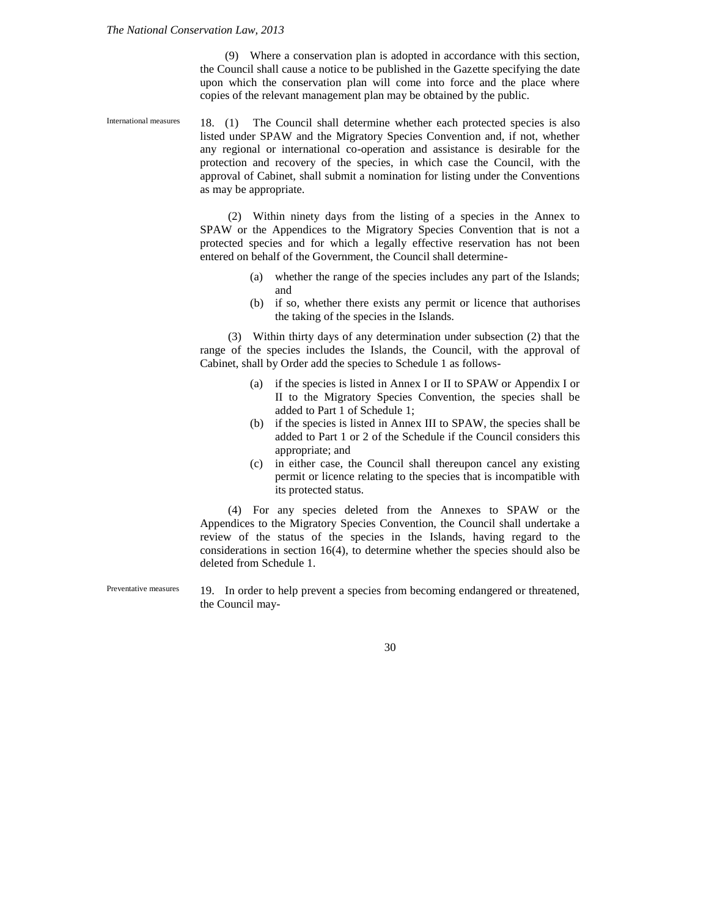(9) Where a conservation plan is adopted in accordance with this section, the Council shall cause a notice to be published in the Gazette specifying the date upon which the conservation plan will come into force and the place where copies of the relevant management plan may be obtained by the public.

18. (1) The Council shall determine whether each protected species is also listed under SPAW and the Migratory Species Convention and, if not, whether any regional or international co-operation and assistance is desirable for the protection and recovery of the species, in which case the Council, with the approval of Cabinet, shall submit a nomination for listing under the Conventions as may be appropriate. (2) Within ninety days from the listing of a species in the Annex to SPAW or the Appendices to the Migratory Species Convention that is not a protected species and for which a legally effective reservation has not been entered on behalf of the Government, the Council shall determine- (a) whether the range of the species includes any part of the Islands; and (b) if so, whether there exists any permit or licence that authorises the taking of the species in the Islands. (3) Within thirty days of any determination under subsection (2) that the range of the species includes the Islands, the Council, with the approval of Cabinet, shall by Order add the species to Schedule 1 as follows- (a) if the species is listed in Annex I or II to SPAW or Appendix I or II to the Migratory Species Convention, the species shall be added to Part 1 of Schedule 1; (b) if the species is listed in Annex III to SPAW, the species shall be added to Part 1 or 2 of the Schedule if the Council considers this appropriate; and (c) in either case, the Council shall thereupon cancel any existing permit or licence relating to the species that is incompatible with its protected status. (4) For any species deleted from the Annexes to SPAW or the Appendices to the Migratory Species Convention, the Council shall undertake a review of the status of the species in the Islands, having regard to the considerations in section 16(4), to determine whether the species should also be deleted from Schedule 1. 19. In order to help prevent a species from becoming endangered or threatened, International measures Preventative measures

the Council may-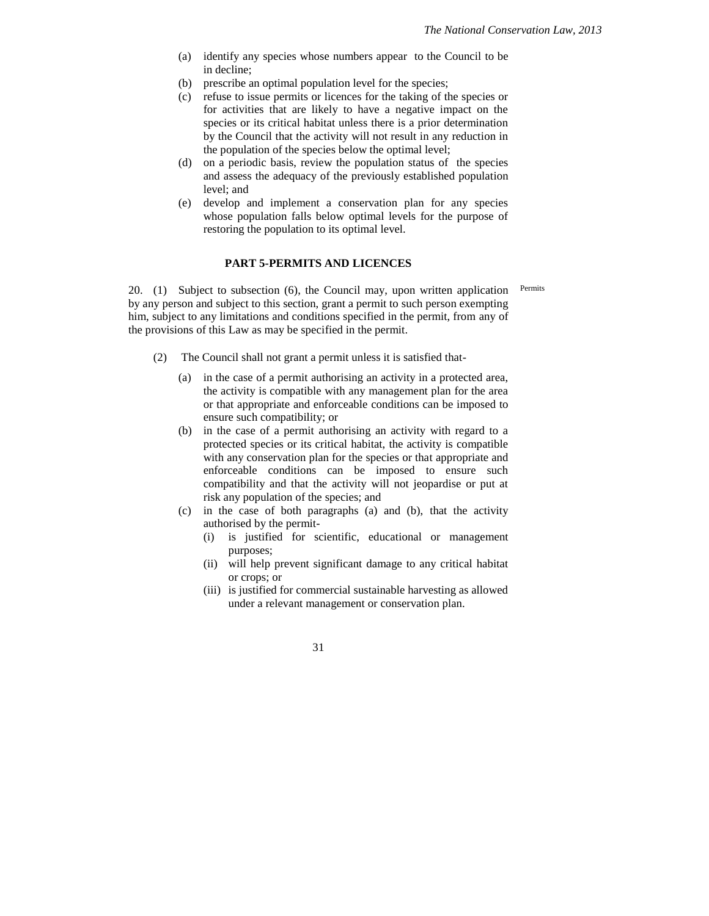- (a) identify any species whose numbers appear to the Council to be in decline;
- (b) prescribe an optimal population level for the species;
- (c) refuse to issue permits or licences for the taking of the species or for activities that are likely to have a negative impact on the species or its critical habitat unless there is a prior determination by the Council that the activity will not result in any reduction in the population of the species below the optimal level;
- (d) on a periodic basis, review the population status of the species and assess the adequacy of the previously established population level; and
- (e) develop and implement a conservation plan for any species whose population falls below optimal levels for the purpose of restoring the population to its optimal level.

## **PART 5-PERMITS AND LICENCES**

Permits

20. (1) Subject to subsection (6), the Council may, upon written application by any person and subject to this section, grant a permit to such person exempting him, subject to any limitations and conditions specified in the permit, from any of the provisions of this Law as may be specified in the permit.

- (2) The Council shall not grant a permit unless it is satisfied that-
	- (a) in the case of a permit authorising an activity in a protected area, the activity is compatible with any management plan for the area or that appropriate and enforceable conditions can be imposed to ensure such compatibility; or
	- (b) in the case of a permit authorising an activity with regard to a protected species or its critical habitat, the activity is compatible with any conservation plan for the species or that appropriate and enforceable conditions can be imposed to ensure such compatibility and that the activity will not jeopardise or put at risk any population of the species; and
	- (c) in the case of both paragraphs (a) and (b), that the activity authorised by the permit-
		- (i) is justified for scientific, educational or management purposes;
		- (ii) will help prevent significant damage to any critical habitat or crops; or
		- (iii) is justified for commercial sustainable harvesting as allowed under a relevant management or conservation plan.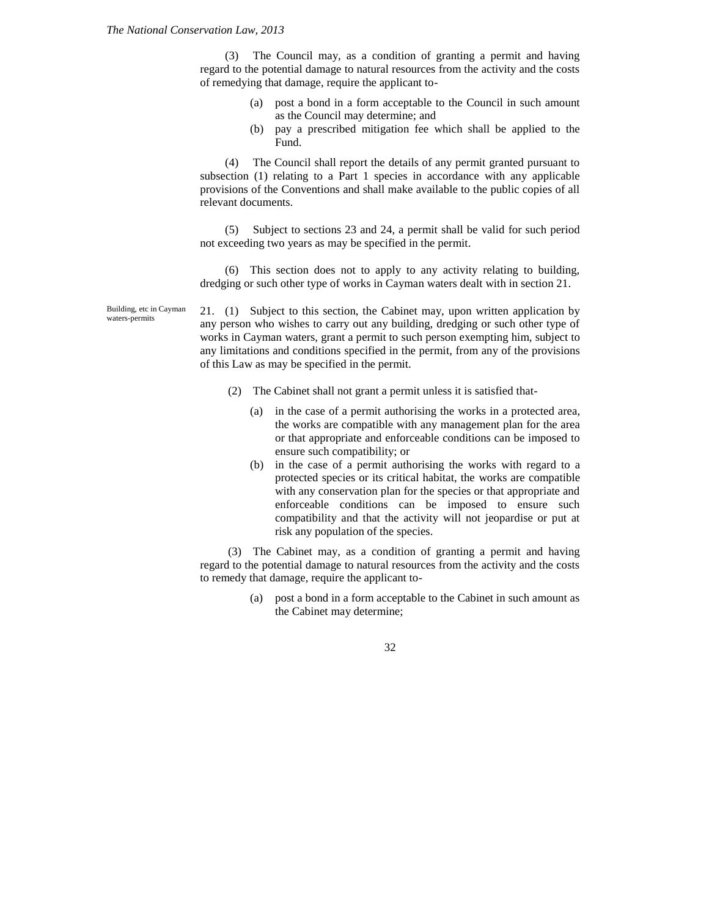(3) The Council may, as a condition of granting a permit and having regard to the potential damage to natural resources from the activity and the costs of remedying that damage, require the applicant to-

- (a) post a bond in a form acceptable to the Council in such amount as the Council may determine; and
- (b) pay a prescribed mitigation fee which shall be applied to the Fund.

(4) The Council shall report the details of any permit granted pursuant to subsection (1) relating to a Part 1 species in accordance with any applicable provisions of the Conventions and shall make available to the public copies of all relevant documents.

(5) Subject to sections 23 and 24, a permit shall be valid for such period not exceeding two years as may be specified in the permit.

(6) This section does not to apply to any activity relating to building, dredging or such other type of works in Cayman waters dealt with in section 21.

21. (1) Subject to this section, the Cabinet may, upon written application by any person who wishes to carry out any building, dredging or such other type of works in Cayman waters, grant a permit to such person exempting him, subject to any limitations and conditions specified in the permit, from any of the provisions of this Law as may be specified in the permit.

- (2) The Cabinet shall not grant a permit unless it is satisfied that-
	- (a) in the case of a permit authorising the works in a protected area, the works are compatible with any management plan for the area or that appropriate and enforceable conditions can be imposed to ensure such compatibility; or
	- (b) in the case of a permit authorising the works with regard to a protected species or its critical habitat, the works are compatible with any conservation plan for the species or that appropriate and enforceable conditions can be imposed to ensure such compatibility and that the activity will not jeopardise or put at risk any population of the species.

(3) The Cabinet may, as a condition of granting a permit and having regard to the potential damage to natural resources from the activity and the costs to remedy that damage, require the applicant to-

> (a) post a bond in a form acceptable to the Cabinet in such amount as the Cabinet may determine;

> > 32

Building, etc in Cayman waters-permits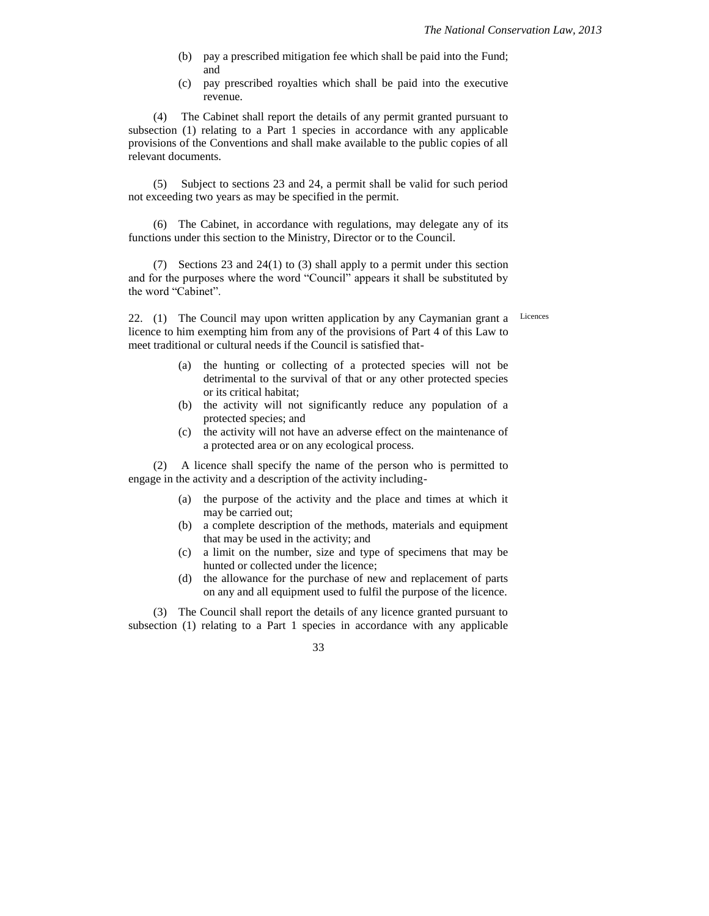- (b) pay a prescribed mitigation fee which shall be paid into the Fund; and
- (c) pay prescribed royalties which shall be paid into the executive revenue.

(4) The Cabinet shall report the details of any permit granted pursuant to subsection (1) relating to a Part 1 species in accordance with any applicable provisions of the Conventions and shall make available to the public copies of all relevant documents.

(5) Subject to sections 23 and 24, a permit shall be valid for such period not exceeding two years as may be specified in the permit.

(6) The Cabinet, in accordance with regulations, may delegate any of its functions under this section to the Ministry, Director or to the Council.

(7) Sections 23 and 24(1) to (3) shall apply to a permit under this section and for the purposes where the word "Council" appears it shall be substituted by the word "Cabinet".

22. (1) The Council may upon written application by any Caymanian grant a licence to him exempting him from any of the provisions of Part 4 of this Law to meet traditional or cultural needs if the Council is satisfied that- Licences

- (a) the hunting or collecting of a protected species will not be detrimental to the survival of that or any other protected species or its critical habitat;
- (b) the activity will not significantly reduce any population of a protected species; and
- (c) the activity will not have an adverse effect on the maintenance of a protected area or on any ecological process.

(2) A licence shall specify the name of the person who is permitted to engage in the activity and a description of the activity including-

- (a) the purpose of the activity and the place and times at which it may be carried out;
- (b) a complete description of the methods, materials and equipment that may be used in the activity; and
- (c) a limit on the number, size and type of specimens that may be hunted or collected under the licence;
- (d) the allowance for the purchase of new and replacement of parts on any and all equipment used to fulfil the purpose of the licence.

(3) The Council shall report the details of any licence granted pursuant to subsection (1) relating to a Part 1 species in accordance with any applicable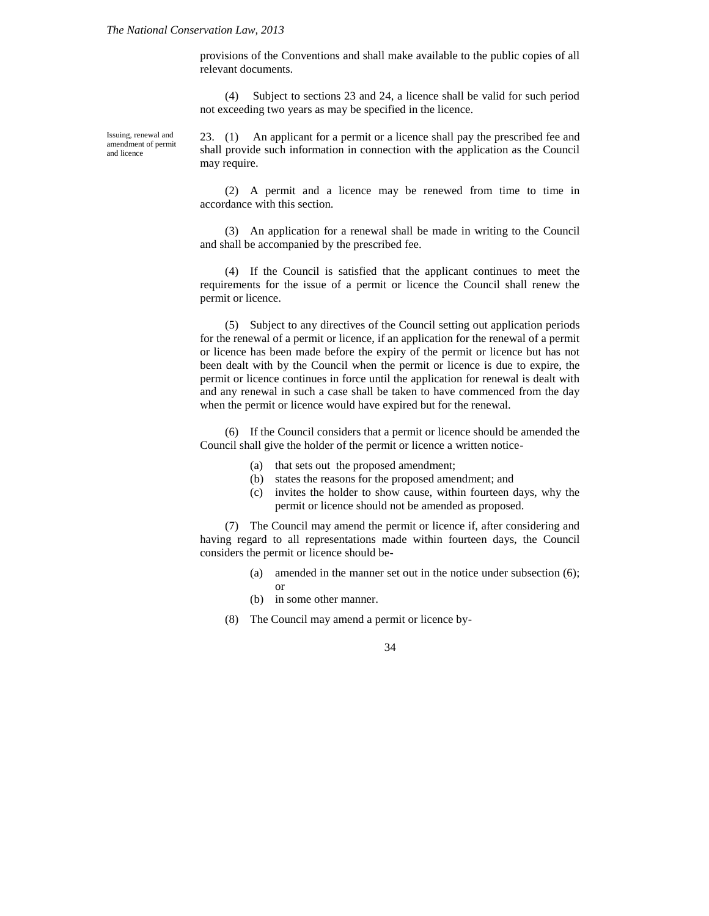provisions of the Conventions and shall make available to the public copies of all relevant documents.

(4) Subject to sections 23 and 24, a licence shall be valid for such period not exceeding two years as may be specified in the licence.

Issuing, renewal and amendment of permit and licence

23. (1) An applicant for a permit or a licence shall pay the prescribed fee and shall provide such information in connection with the application as the Council may require.

(2) A permit and a licence may be renewed from time to time in accordance with this section.

(3) An application for a renewal shall be made in writing to the Council and shall be accompanied by the prescribed fee.

(4) If the Council is satisfied that the applicant continues to meet the requirements for the issue of a permit or licence the Council shall renew the permit or licence.

(5) Subject to any directives of the Council setting out application periods for the renewal of a permit or licence, if an application for the renewal of a permit or licence has been made before the expiry of the permit or licence but has not been dealt with by the Council when the permit or licence is due to expire, the permit or licence continues in force until the application for renewal is dealt with and any renewal in such a case shall be taken to have commenced from the day when the permit or licence would have expired but for the renewal.

(6) If the Council considers that a permit or licence should be amended the Council shall give the holder of the permit or licence a written notice-

- (a) that sets out the proposed amendment;
- (b) states the reasons for the proposed amendment; and
- (c) invites the holder to show cause, within fourteen days, why the permit or licence should not be amended as proposed.

(7) The Council may amend the permit or licence if, after considering and having regard to all representations made within fourteen days, the Council considers the permit or licence should be-

- (a) amended in the manner set out in the notice under subsection (6); or
- (b) in some other manner.
- (8) The Council may amend a permit or licence by-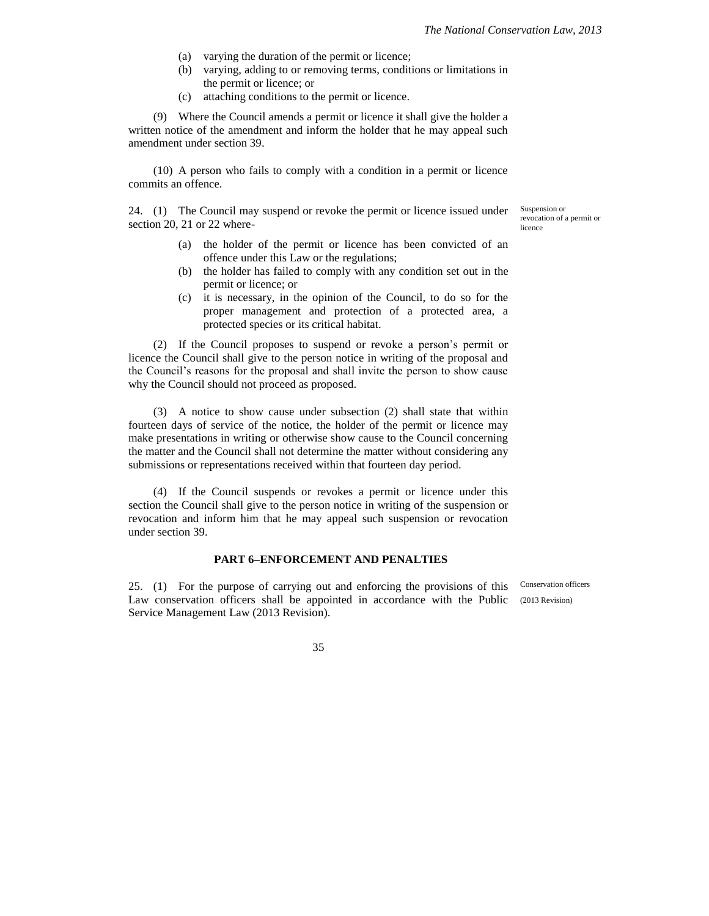- (a) varying the duration of the permit or licence;
- (b) varying, adding to or removing terms, conditions or limitations in the permit or licence; or
- (c) attaching conditions to the permit or licence.

(9) Where the Council amends a permit or licence it shall give the holder a written notice of the amendment and inform the holder that he may appeal such amendment under section 39.

(10) A person who fails to comply with a condition in a permit or licence commits an offence.

24. (1) The Council may suspend or revoke the permit or licence issued under section 20, 21 or 22 where-

Suspension or revocation of a permit or licence

- (a) the holder of the permit or licence has been convicted of an offence under this Law or the regulations;
- (b) the holder has failed to comply with any condition set out in the permit or licence; or
- (c) it is necessary, in the opinion of the Council, to do so for the proper management and protection of a protected area, a protected species or its critical habitat.

(2) If the Council proposes to suspend or revoke a person's permit or licence the Council shall give to the person notice in writing of the proposal and the Council's reasons for the proposal and shall invite the person to show cause why the Council should not proceed as proposed.

(3) A notice to show cause under subsection (2) shall state that within fourteen days of service of the notice, the holder of the permit or licence may make presentations in writing or otherwise show cause to the Council concerning the matter and the Council shall not determine the matter without considering any submissions or representations received within that fourteen day period.

(4) If the Council suspends or revokes a permit or licence under this section the Council shall give to the person notice in writing of the suspension or revocation and inform him that he may appeal such suspension or revocation under section 39.

#### **PART 6–ENFORCEMENT AND PENALTIES**

25. (1) For the purpose of carrying out and enforcing the provisions of this Conservation officers Law conservation officers shall be appointed in accordance with the Public (2013 Revision) Service Management Law (2013 Revision).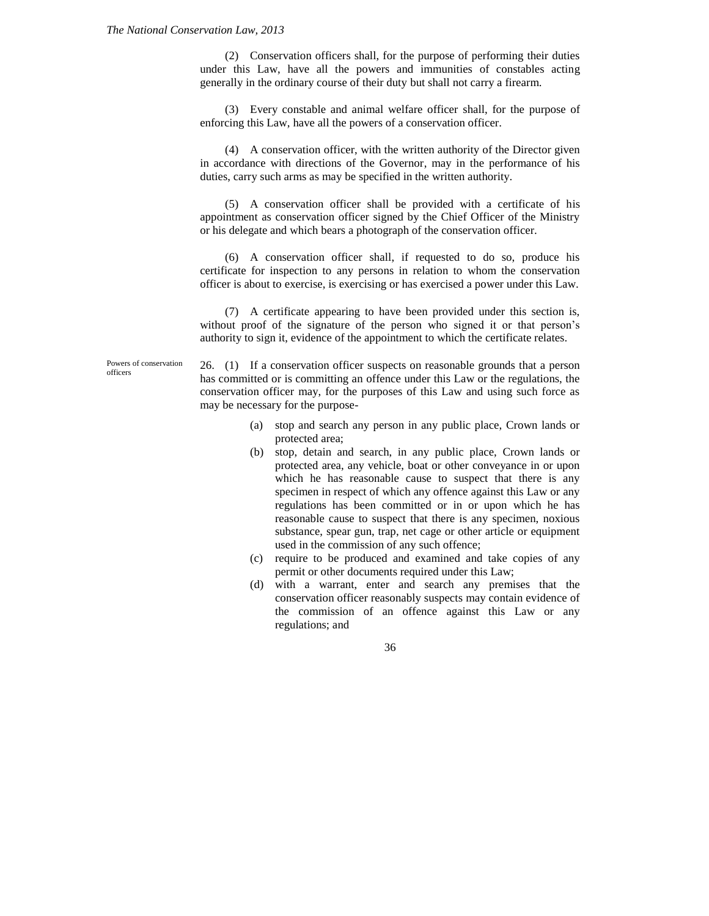(2) Conservation officers shall, for the purpose of performing their duties under this Law, have all the powers and immunities of constables acting generally in the ordinary course of their duty but shall not carry a firearm.

(3) Every constable and animal welfare officer shall, for the purpose of enforcing this Law, have all the powers of a conservation officer.

(4) A conservation officer, with the written authority of the Director given in accordance with directions of the Governor, may in the performance of his duties, carry such arms as may be specified in the written authority.

(5) A conservation officer shall be provided with a certificate of his appointment as conservation officer signed by the Chief Officer of the Ministry or his delegate and which bears a photograph of the conservation officer.

(6) A conservation officer shall, if requested to do so, produce his certificate for inspection to any persons in relation to whom the conservation officer is about to exercise, is exercising or has exercised a power under this Law.

(7) A certificate appearing to have been provided under this section is, without proof of the signature of the person who signed it or that person's authority to sign it, evidence of the appointment to which the certificate relates.

Powers of conservation officers

26. (1) If a conservation officer suspects on reasonable grounds that a person has committed or is committing an offence under this Law or the regulations, the conservation officer may, for the purposes of this Law and using such force as may be necessary for the purpose-

- (a) stop and search any person in any public place, Crown lands or protected area;
- (b) stop, detain and search, in any public place, Crown lands or protected area, any vehicle, boat or other conveyance in or upon which he has reasonable cause to suspect that there is any specimen in respect of which any offence against this Law or any regulations has been committed or in or upon which he has reasonable cause to suspect that there is any specimen, noxious substance, spear gun, trap, net cage or other article or equipment used in the commission of any such offence;
- (c) require to be produced and examined and take copies of any permit or other documents required under this Law;
- (d) with a warrant, enter and search any premises that the conservation officer reasonably suspects may contain evidence of the commission of an offence against this Law or any regulations; and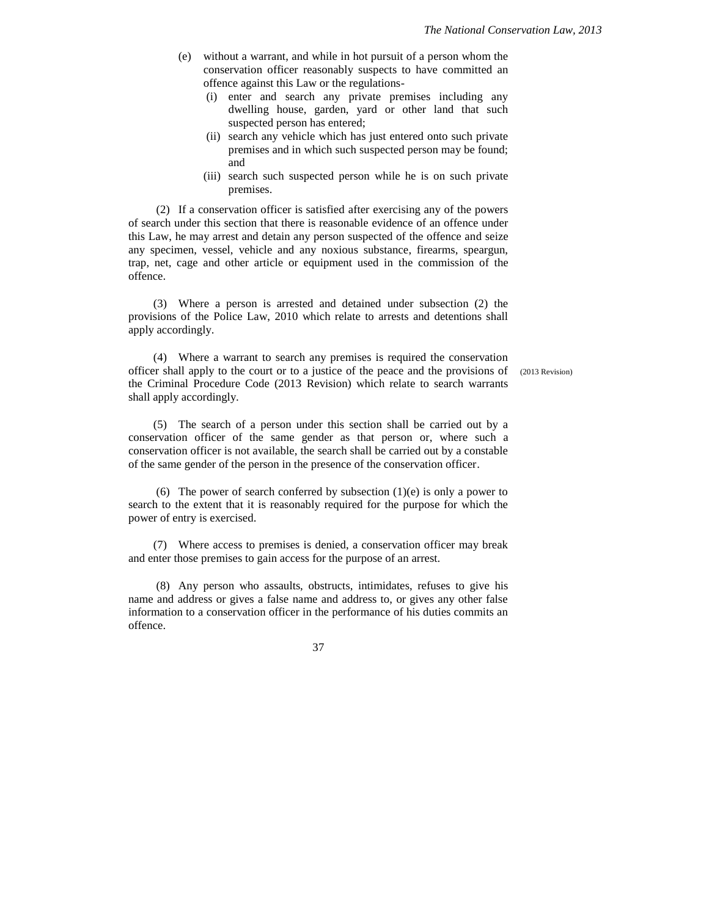- (e) without a warrant, and while in hot pursuit of a person whom the conservation officer reasonably suspects to have committed an offence against this Law or the regulations-
	- (i) enter and search any private premises including any dwelling house, garden, yard or other land that such suspected person has entered;
	- (ii) search any vehicle which has just entered onto such private premises and in which such suspected person may be found; and
	- (iii) search such suspected person while he is on such private premises.

(2) If a conservation officer is satisfied after exercising any of the powers of search under this section that there is reasonable evidence of an offence under this Law, he may arrest and detain any person suspected of the offence and seize any specimen, vessel, vehicle and any noxious substance, firearms, speargun, trap, net, cage and other article or equipment used in the commission of the offence.

(3) Where a person is arrested and detained under subsection (2) the provisions of the Police Law, 2010 which relate to arrests and detentions shall apply accordingly.

(4) Where a warrant to search any premises is required the conservation officer shall apply to the court or to a justice of the peace and the provisions of the Criminal Procedure Code (2013 Revision) which relate to search warrants shall apply accordingly.

(2013 Revision)

(5) The search of a person under this section shall be carried out by a conservation officer of the same gender as that person or, where such a conservation officer is not available, the search shall be carried out by a constable of the same gender of the person in the presence of the conservation officer.

(6) The power of search conferred by subsection  $(1)(e)$  is only a power to search to the extent that it is reasonably required for the purpose for which the power of entry is exercised.

(7) Where access to premises is denied, a conservation officer may break and enter those premises to gain access for the purpose of an arrest.

(8) Any person who assaults, obstructs, intimidates, refuses to give his name and address or gives a false name and address to, or gives any other false information to a conservation officer in the performance of his duties commits an offence.

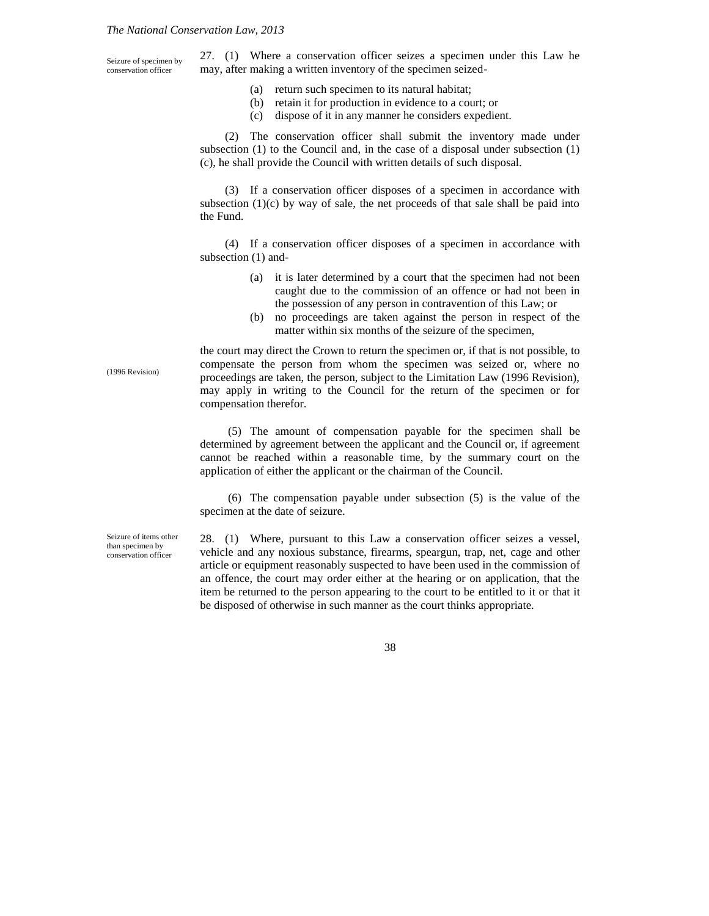#### *The National Conservation Law, 2013*

27. (1) Where a conservation officer seizes a specimen under this Law he may, after making a written inventory of the specimen seized- Seizure of specimen by

- (a) return such specimen to its natural habitat;
- (b) retain it for production in evidence to a court; or
- (c) dispose of it in any manner he considers expedient.

(2) The conservation officer shall submit the inventory made under subsection  $(1)$  to the Council and, in the case of a disposal under subsection  $(1)$ (c), he shall provide the Council with written details of such disposal.

(3) If a conservation officer disposes of a specimen in accordance with subsection  $(1)(c)$  by way of sale, the net proceeds of that sale shall be paid into the Fund.

(4) If a conservation officer disposes of a specimen in accordance with subsection (1) and-

- (a) it is later determined by a court that the specimen had not been caught due to the commission of an offence or had not been in the possession of any person in contravention of this Law; or
- (b) no proceedings are taken against the person in respect of the matter within six months of the seizure of the specimen,

the court may direct the Crown to return the specimen or, if that is not possible, to compensate the person from whom the specimen was seized or, where no proceedings are taken, the person, subject to the Limitation Law (1996 Revision), may apply in writing to the Council for the return of the specimen or for compensation therefor.

(5) The amount of compensation payable for the specimen shall be determined by agreement between the applicant and the Council or, if agreement cannot be reached within a reasonable time, by the summary court on the application of either the applicant or the chairman of the Council.

(6) The compensation payable under subsection (5) is the value of the specimen at the date of seizure.

28. (1) Where, pursuant to this Law a conservation officer seizes a vessel, vehicle and any noxious substance, firearms, speargun, trap, net, cage and other article or equipment reasonably suspected to have been used in the commission of an offence, the court may order either at the hearing or on application, that the item be returned to the person appearing to the court to be entitled to it or that it be disposed of otherwise in such manner as the court thinks appropriate.

38

(1996 Revision)

Seizure of items other than specimen by conservation officer

conservation officer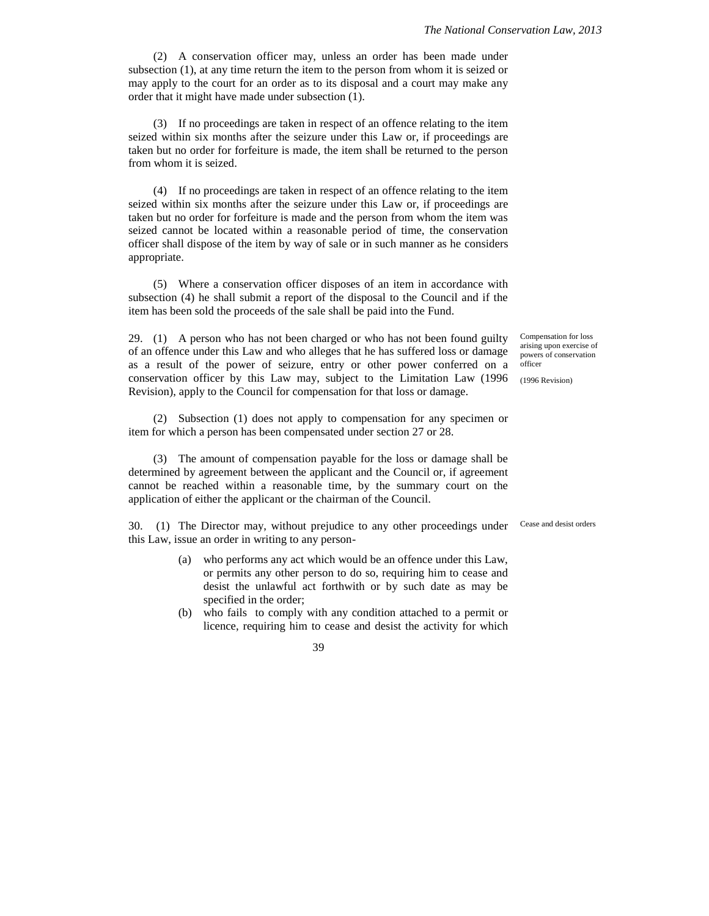(2) A conservation officer may, unless an order has been made under subsection (1), at any time return the item to the person from whom it is seized or may apply to the court for an order as to its disposal and a court may make any order that it might have made under subsection (1).

(3) If no proceedings are taken in respect of an offence relating to the item seized within six months after the seizure under this Law or, if proceedings are taken but no order for forfeiture is made, the item shall be returned to the person from whom it is seized.

(4) If no proceedings are taken in respect of an offence relating to the item seized within six months after the seizure under this Law or, if proceedings are taken but no order for forfeiture is made and the person from whom the item was seized cannot be located within a reasonable period of time, the conservation officer shall dispose of the item by way of sale or in such manner as he considers appropriate.

(5) Where a conservation officer disposes of an item in accordance with subsection (4) he shall submit a report of the disposal to the Council and if the item has been sold the proceeds of the sale shall be paid into the Fund.

29. (1) A person who has not been charged or who has not been found guilty of an offence under this Law and who alleges that he has suffered loss or damage as a result of the power of seizure, entry or other power conferred on a conservation officer by this Law may, subject to the Limitation Law (1996 Revision), apply to the Council for compensation for that loss or damage.

(2) Subsection (1) does not apply to compensation for any specimen or item for which a person has been compensated under section 27 or 28.

(3) The amount of compensation payable for the loss or damage shall be determined by agreement between the applicant and the Council or, if agreement cannot be reached within a reasonable time, by the summary court on the application of either the applicant or the chairman of the Council.

30. (1) The Director may, without prejudice to any other proceedings under this Law, issue an order in writing to any person-

- (a) who performs any act which would be an offence under this Law, or permits any other person to do so, requiring him to cease and desist the unlawful act forthwith or by such date as may be specified in the order;
- (b) who fails to comply with any condition attached to a permit or licence, requiring him to cease and desist the activity for which

39

Compensation for loss arising upon exercise of powers of conservation officer

(1996 Revision)

Cease and desist orders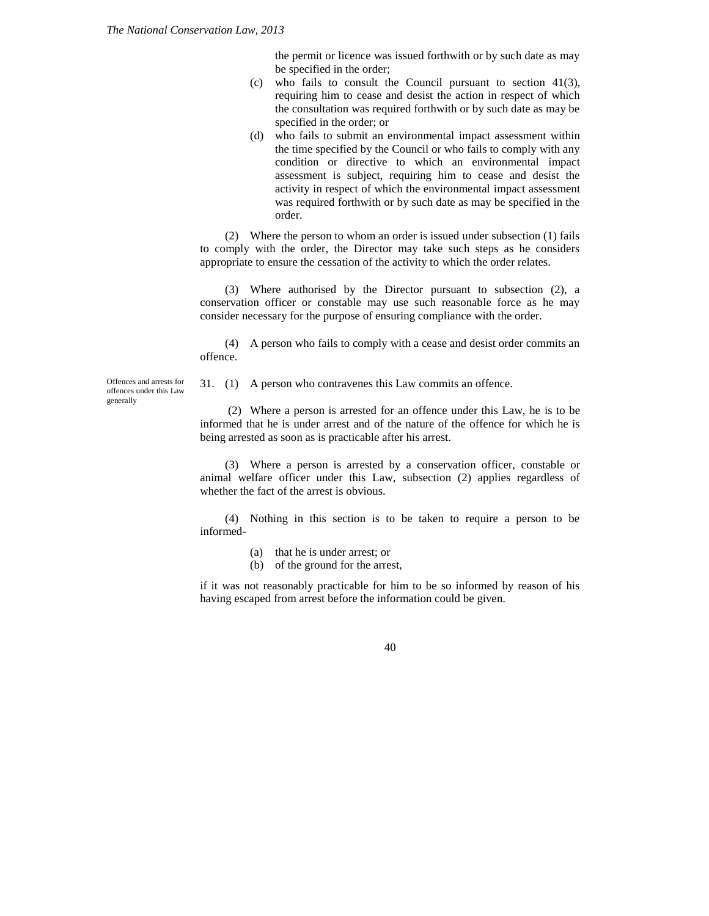the permit or licence was issued forthwith or by such date as may be specified in the order;

- (c) who fails to consult the Council pursuant to section 41(3), requiring him to cease and desist the action in respect of which the consultation was required forthwith or by such date as may be specified in the order; or
- (d) who fails to submit an environmental impact assessment within the time specified by the Council or who fails to comply with any condition or directive to which an environmental impact assessment is subject, requiring him to cease and desist the activity in respect of which the environmental impact assessment was required forthwith or by such date as may be specified in the order.

(2) Where the person to whom an order is issued under subsection (1) fails to comply with the order, the Director may take such steps as he considers appropriate to ensure the cessation of the activity to which the order relates.

(3) Where authorised by the Director pursuant to subsection (2), a conservation officer or constable may use such reasonable force as he may consider necessary for the purpose of ensuring compliance with the order.

(4) A person who fails to comply with a cease and desist order commits an offence.

Offences and arrests for offences under this Law generally

31. (1) A person who contravenes this Law commits an offence.

(2) Where a person is arrested for an offence under this Law, he is to be informed that he is under arrest and of the nature of the offence for which he is being arrested as soon as is practicable after his arrest.

(3) Where a person is arrested by a conservation officer, constable or animal welfare officer under this Law, subsection (2) applies regardless of whether the fact of the arrest is obvious.

(4) Nothing in this section is to be taken to require a person to be informed-

- (a) that he is under arrest; or
- (b) of the ground for the arrest,

if it was not reasonably practicable for him to be so informed by reason of his having escaped from arrest before the information could be given.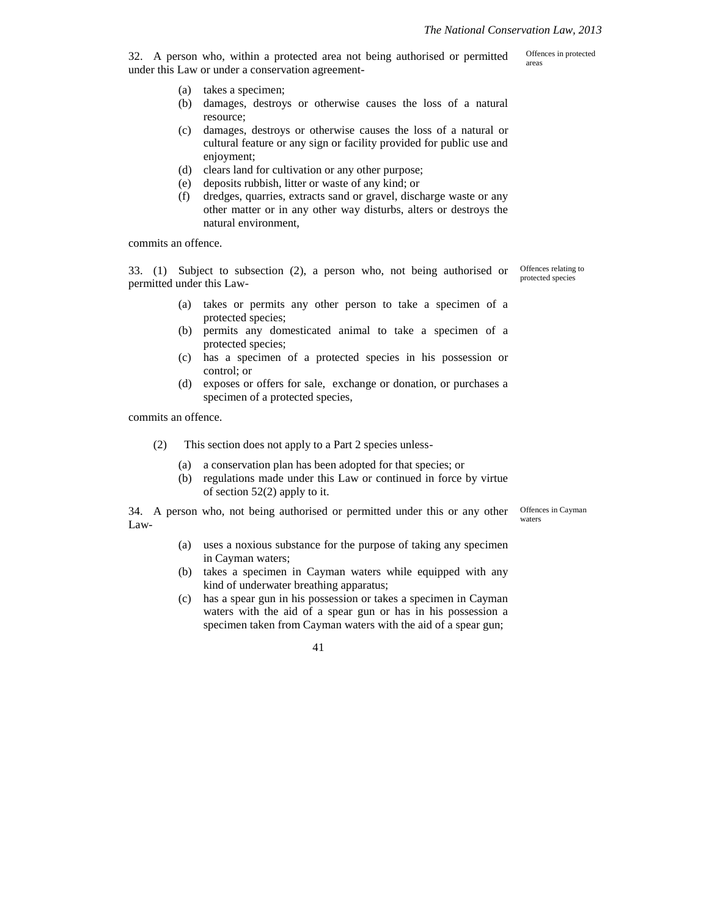areas

32. A person who, within a protected area not being authorised or permitted under this Law or under a conservation agreement-

- (a) takes a specimen;
- (b) damages, destroys or otherwise causes the loss of a natural resource;
- (c) damages, destroys or otherwise causes the loss of a natural or cultural feature or any sign or facility provided for public use and enjoyment;
- (d) clears land for cultivation or any other purpose;
- (e) deposits rubbish, litter or waste of any kind; or
- (f) dredges, quarries, extracts sand or gravel, discharge waste or any other matter or in any other way disturbs, alters or destroys the natural environment,

commits an offence.

33. (1) Subject to subsection (2), a person who, not being authorised or Offences relating to permitted under this Law-

- (a) takes or permits any other person to take a specimen of a protected species;
- (b) permits any domesticated animal to take a specimen of a protected species;
- (c) has a specimen of a protected species in his possession or control; or
- (d) exposes or offers for sale, exchange or donation, or purchases a specimen of a protected species,

commits an offence.

- (2) This section does not apply to a Part 2 species unless-
	- (a) a conservation plan has been adopted for that species; or
	- (b) regulations made under this Law or continued in force by virtue of section 52(2) apply to it.

34. A person who, not being authorised or permitted under this or any other Law-

- (a) uses a noxious substance for the purpose of taking any specimen in Cayman waters;
- (b) takes a specimen in Cayman waters while equipped with any kind of underwater breathing apparatus;
- (c) has a spear gun in his possession or takes a specimen in Cayman waters with the aid of a spear gun or has in his possession a specimen taken from Cayman waters with the aid of a spear gun;

41

protected species

Offences in protected

Offences in Cayman waters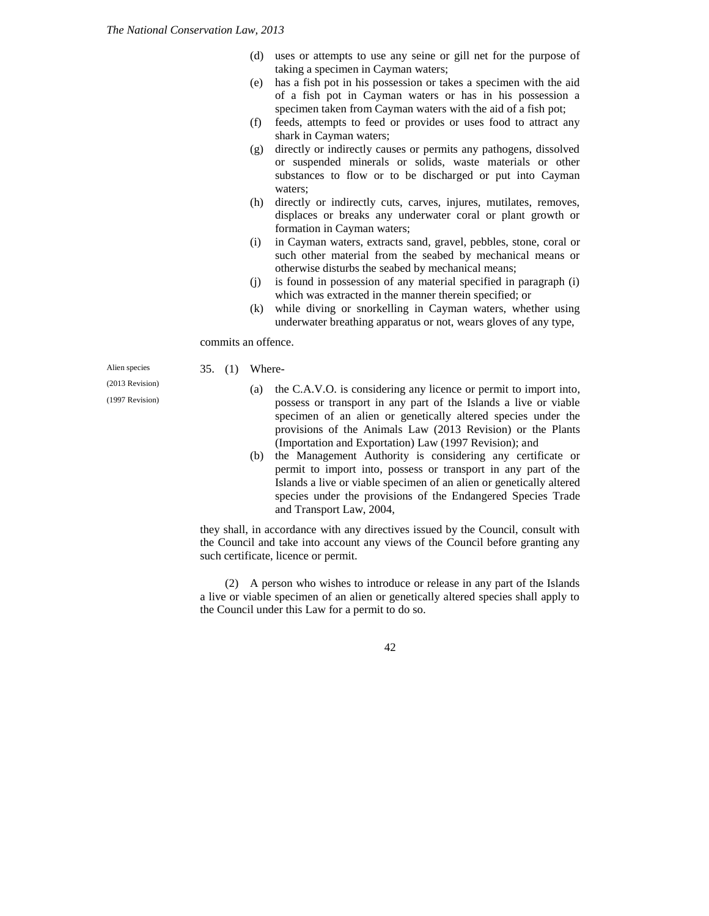- (d) uses or attempts to use any seine or gill net for the purpose of taking a specimen in Cayman waters;
- (e) has a fish pot in his possession or takes a specimen with the aid of a fish pot in Cayman waters or has in his possession a specimen taken from Cayman waters with the aid of a fish pot;
- (f) feeds, attempts to feed or provides or uses food to attract any shark in Cayman waters;
- (g) directly or indirectly causes or permits any pathogens, dissolved or suspended minerals or solids, waste materials or other substances to flow or to be discharged or put into Cayman waters;
- (h) directly or indirectly cuts, carves, injures, mutilates, removes, displaces or breaks any underwater coral or plant growth or formation in Cayman waters;
- (i) in Cayman waters, extracts sand, gravel, pebbles, stone, coral or such other material from the seabed by mechanical means or otherwise disturbs the seabed by mechanical means;
- (j) is found in possession of any material specified in paragraph (i) which was extracted in the manner therein specified; or
- (k) while diving or snorkelling in Cayman waters, whether using underwater breathing apparatus or not, wears gloves of any type,

commits an offence.

Alien species (2013 Revision) (1997 Revision)

- 35. (1) Where-
	- (a) the C.A.V.O. is considering any licence or permit to import into, possess or transport in any part of the Islands a live or viable specimen of an alien or genetically altered species under the provisions of the Animals Law (2013 Revision) or the Plants (Importation and Exportation) Law (1997 Revision); and
	- (b) the Management Authority is considering any certificate or permit to import into, possess or transport in any part of the Islands a live or viable specimen of an alien or genetically altered species under the provisions of the Endangered Species Trade and Transport Law, 2004,

they shall, in accordance with any directives issued by the Council, consult with the Council and take into account any views of the Council before granting any such certificate, licence or permit.

(2) A person who wishes to introduce or release in any part of the Islands a live or viable specimen of an alien or genetically altered species shall apply to the Council under this Law for a permit to do so.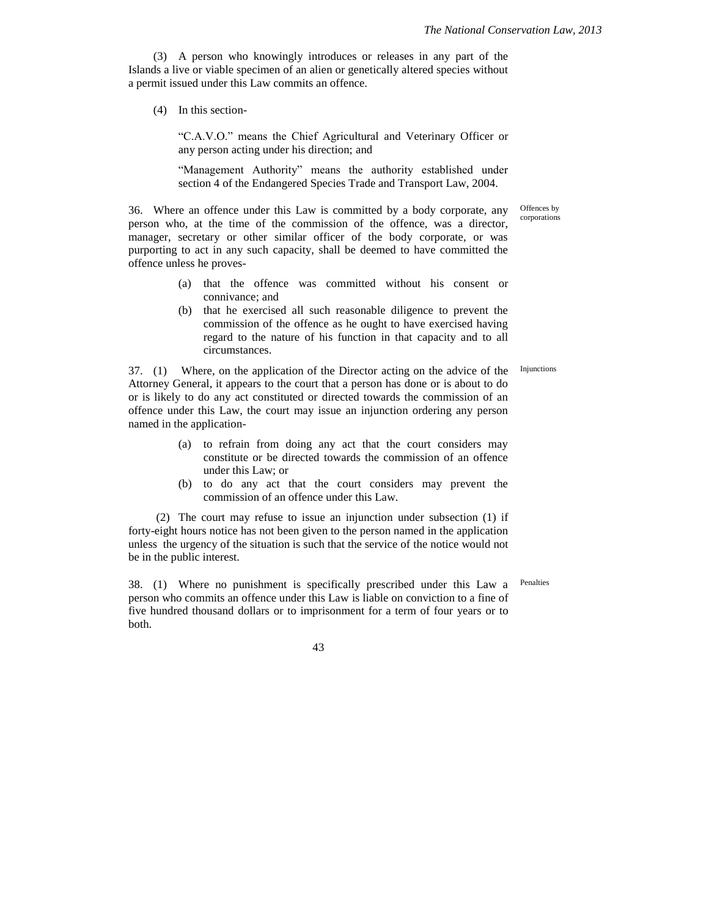(3) A person who knowingly introduces or releases in any part of the Islands a live or viable specimen of an alien or genetically altered species without a permit issued under this Law commits an offence.

(4) In this section-

"C.A.V.O." means the Chief Agricultural and Veterinary Officer or any person acting under his direction; and

"Management Authority" means the authority established under section 4 of the Endangered Species Trade and Transport Law, 2004.

36. Where an offence under this Law is committed by a body corporate, any person who, at the time of the commission of the offence, was a director, manager, secretary or other similar officer of the body corporate, or was purporting to act in any such capacity, shall be deemed to have committed the offence unless he proves-

- (a) that the offence was committed without his consent or connivance; and
- (b) that he exercised all such reasonable diligence to prevent the commission of the offence as he ought to have exercised having regard to the nature of his function in that capacity and to all circumstances.

Injunctions

Offences by corporations

37. (1) Where, on the application of the Director acting on the advice of the Attorney General, it appears to the court that a person has done or is about to do or is likely to do any act constituted or directed towards the commission of an offence under this Law, the court may issue an injunction ordering any person named in the application-

- (a) to refrain from doing any act that the court considers may constitute or be directed towards the commission of an offence under this Law; or
- (b) to do any act that the court considers may prevent the commission of an offence under this Law.

(2) The court may refuse to issue an injunction under subsection (1) if forty-eight hours notice has not been given to the person named in the application unless the urgency of the situation is such that the service of the notice would not be in the public interest.

38. (1) Where no punishment is specifically prescribed under this Law a person who commits an offence under this Law is liable on conviction to a fine of five hundred thousand dollars or to imprisonment for a term of four years or to both. Penalties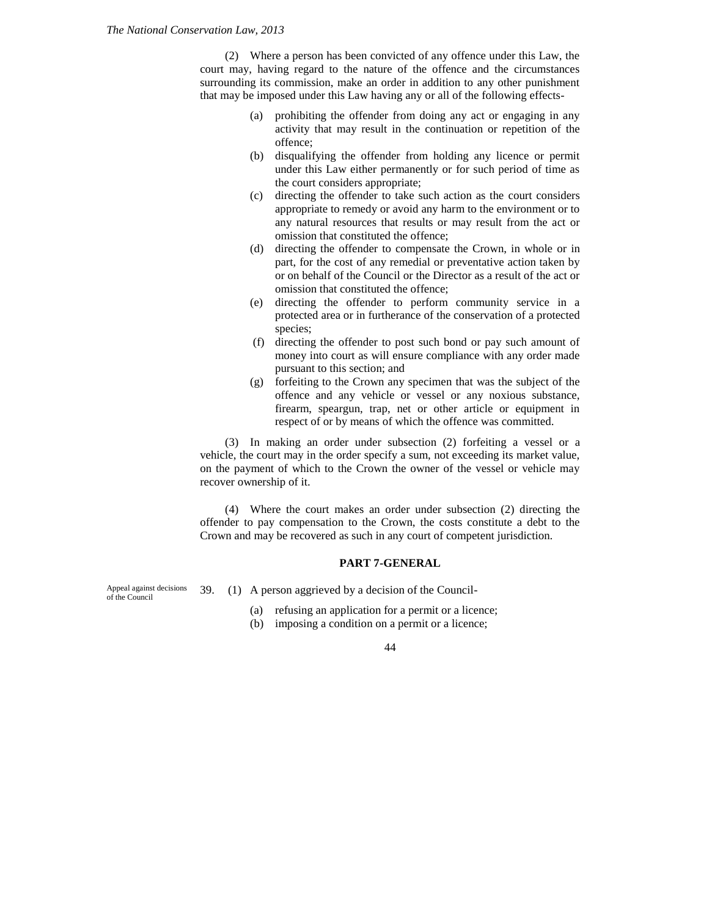(2) Where a person has been convicted of any offence under this Law, the court may, having regard to the nature of the offence and the circumstances surrounding its commission, make an order in addition to any other punishment that may be imposed under this Law having any or all of the following effects-

- (a) prohibiting the offender from doing any act or engaging in any activity that may result in the continuation or repetition of the offence;
- (b) disqualifying the offender from holding any licence or permit under this Law either permanently or for such period of time as the court considers appropriate;
- (c) directing the offender to take such action as the court considers appropriate to remedy or avoid any harm to the environment or to any natural resources that results or may result from the act or omission that constituted the offence;
- (d) directing the offender to compensate the Crown, in whole or in part, for the cost of any remedial or preventative action taken by or on behalf of the Council or the Director as a result of the act or omission that constituted the offence;
- (e) directing the offender to perform community service in a protected area or in furtherance of the conservation of a protected species;
- (f) directing the offender to post such bond or pay such amount of money into court as will ensure compliance with any order made pursuant to this section; and
- (g) forfeiting to the Crown any specimen that was the subject of the offence and any vehicle or vessel or any noxious substance, firearm, speargun, trap, net or other article or equipment in respect of or by means of which the offence was committed.

(3) In making an order under subsection (2) forfeiting a vessel or a vehicle, the court may in the order specify a sum, not exceeding its market value, on the payment of which to the Crown the owner of the vessel or vehicle may recover ownership of it.

(4) Where the court makes an order under subsection (2) directing the offender to pay compensation to the Crown, the costs constitute a debt to the Crown and may be recovered as such in any court of competent jurisdiction.

## **PART 7-GENERAL**

Appeal against decisions of the Council

- 39. (1) A person aggrieved by a decision of the Council-
	- (a) refusing an application for a permit or a licence;
	- (b) imposing a condition on a permit or a licence;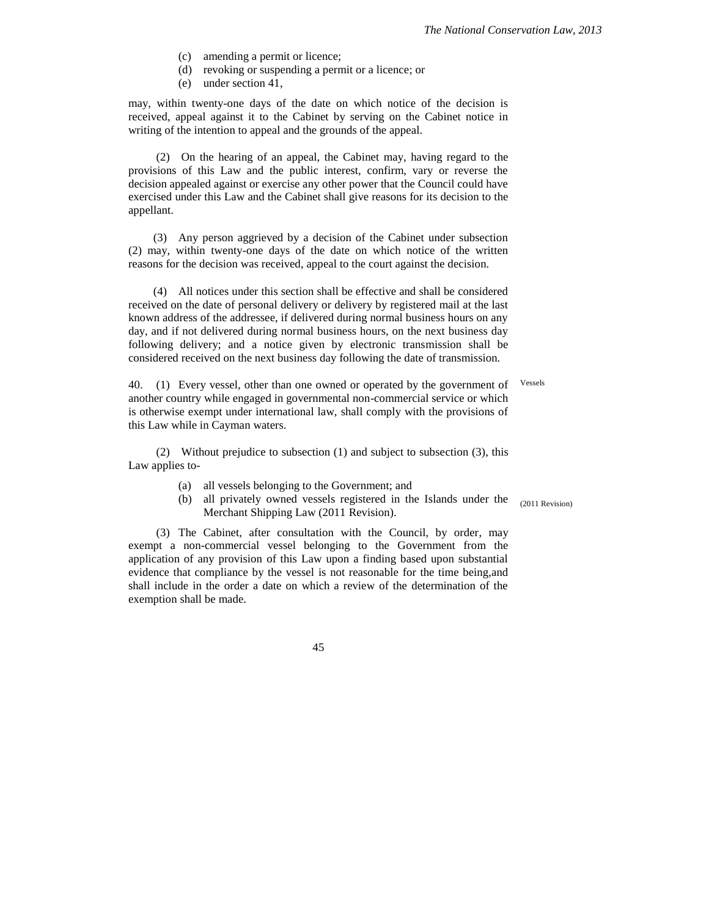- (c) amending a permit or licence;
- (d) revoking or suspending a permit or a licence; or
- (e) under section 41,

may, within twenty-one days of the date on which notice of the decision is received, appeal against it to the Cabinet by serving on the Cabinet notice in writing of the intention to appeal and the grounds of the appeal.

(2) On the hearing of an appeal, the Cabinet may, having regard to the provisions of this Law and the public interest, confirm, vary or reverse the decision appealed against or exercise any other power that the Council could have exercised under this Law and the Cabinet shall give reasons for its decision to the appellant.

(3) Any person aggrieved by a decision of the Cabinet under subsection (2) may, within twenty-one days of the date on which notice of the written reasons for the decision was received, appeal to the court against the decision.

(4) All notices under this section shall be effective and shall be considered received on the date of personal delivery or delivery by registered mail at the last known address of the addressee, if delivered during normal business hours on any day, and if not delivered during normal business hours, on the next business day following delivery; and a notice given by electronic transmission shall be considered received on the next business day following the date of transmission.

40. (1) Every vessel, other than one owned or operated by the government of another country while engaged in governmental non-commercial service or which is otherwise exempt under international law, shall comply with the provisions of this Law while in Cayman waters. Vessels

(2) Without prejudice to subsection (1) and subject to subsection (3), this Law applies to-

- (a) all vessels belonging to the Government; and
- (b) all privately owned vessels registered in the Islands under the Merchant Shipping Law (2011 Revision).

(3) The Cabinet, after consultation with the Council, by order, may exempt a non-commercial vessel belonging to the Government from the application of any provision of this Law upon a finding based upon substantial evidence that compliance by the vessel is not reasonable for the time being,and shall include in the order a date on which a review of the determination of the exemption shall be made.

45

(2011 Revision)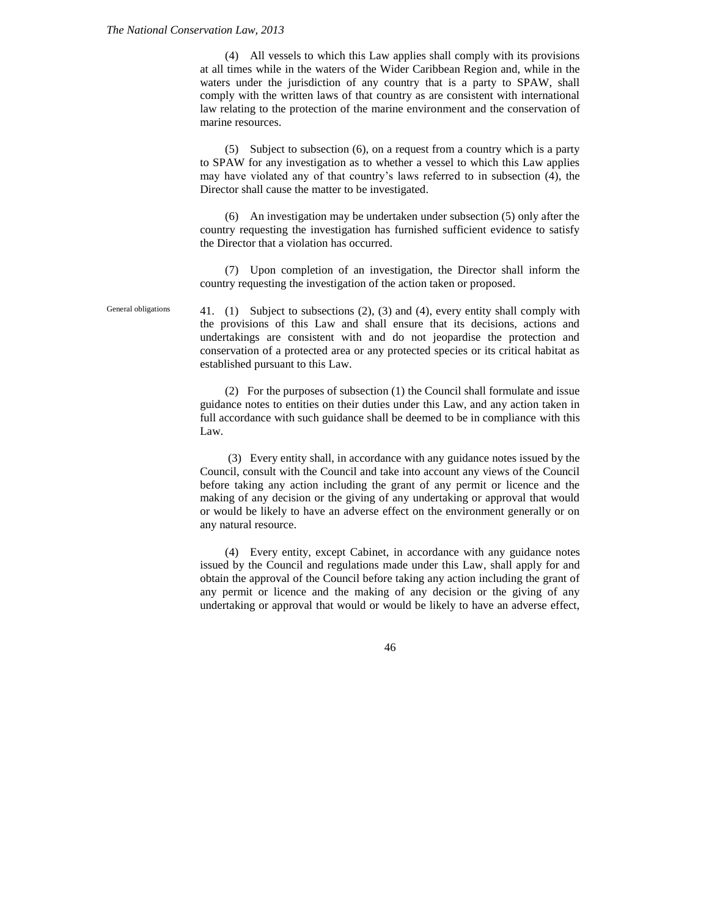#### *The National Conservation Law, 2013*

(4) All vessels to which this Law applies shall comply with its provisions at all times while in the waters of the Wider Caribbean Region and, while in the waters under the jurisdiction of any country that is a party to SPAW, shall comply with the written laws of that country as are consistent with international law relating to the protection of the marine environment and the conservation of marine resources.

(5) Subject to subsection (6), on a request from a country which is a party to SPAW for any investigation as to whether a vessel to which this Law applies may have violated any of that country's laws referred to in subsection (4), the Director shall cause the matter to be investigated.

(6) An investigation may be undertaken under subsection (5) only after the country requesting the investigation has furnished sufficient evidence to satisfy the Director that a violation has occurred.

(7) Upon completion of an investigation, the Director shall inform the country requesting the investigation of the action taken or proposed.

41. (1) Subject to subsections (2), (3) and (4), every entity shall comply with the provisions of this Law and shall ensure that its decisions, actions and undertakings are consistent with and do not jeopardise the protection and conservation of a protected area or any protected species or its critical habitat as established pursuant to this Law.

(2) For the purposes of subsection (1) the Council shall formulate and issue guidance notes to entities on their duties under this Law, and any action taken in full accordance with such guidance shall be deemed to be in compliance with this Law.

(3) Every entity shall, in accordance with any guidance notes issued by the Council, consult with the Council and take into account any views of the Council before taking any action including the grant of any permit or licence and the making of any decision or the giving of any undertaking or approval that would or would be likely to have an adverse effect on the environment generally or on any natural resource.

(4) Every entity, except Cabinet, in accordance with any guidance notes issued by the Council and regulations made under this Law, shall apply for and obtain the approval of the Council before taking any action including the grant of any permit or licence and the making of any decision or the giving of any undertaking or approval that would or would be likely to have an adverse effect,

46

General obligations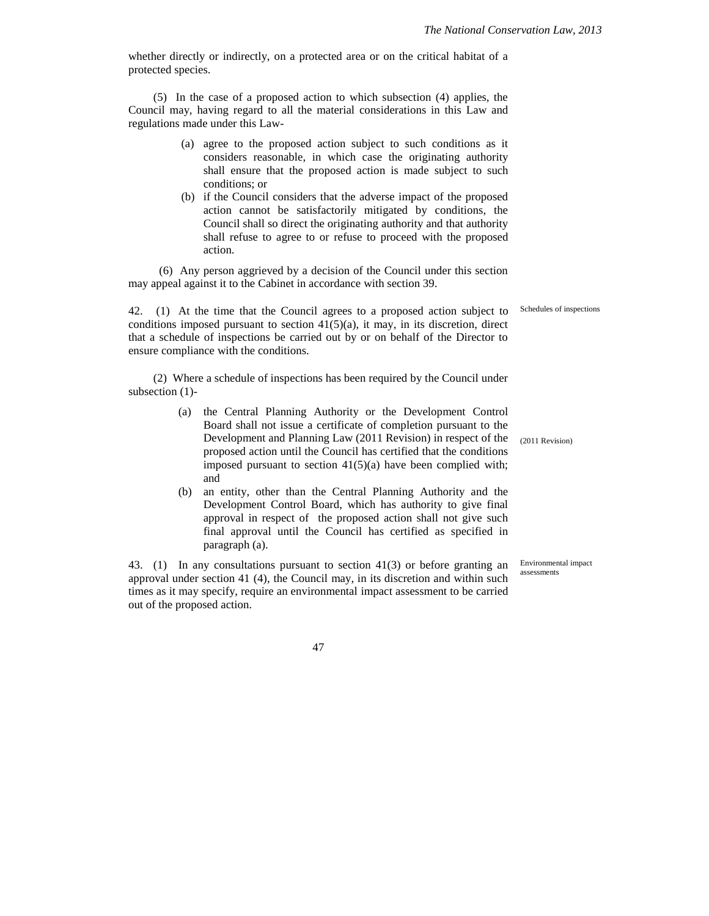whether directly or indirectly, on a protected area or on the critical habitat of a protected species.

(5) In the case of a proposed action to which subsection (4) applies, the Council may, having regard to all the material considerations in this Law and regulations made under this Law-

- (a) agree to the proposed action subject to such conditions as it considers reasonable, in which case the originating authority shall ensure that the proposed action is made subject to such conditions; or
- (b) if the Council considers that the adverse impact of the proposed action cannot be satisfactorily mitigated by conditions, the Council shall so direct the originating authority and that authority shall refuse to agree to or refuse to proceed with the proposed action.

 (6) Any person aggrieved by a decision of the Council under this section may appeal against it to the Cabinet in accordance with section 39.

42. (1) At the time that the Council agrees to a proposed action subject to conditions imposed pursuant to section  $41(5)(a)$ , it may, in its discretion, direct that a schedule of inspections be carried out by or on behalf of the Director to ensure compliance with the conditions.

(2) Where a schedule of inspections has been required by the Council under subsection (1)-

- (a) the Central Planning Authority or the Development Control Board shall not issue a certificate of completion pursuant to the Development and Planning Law (2011 Revision) in respect of the proposed action until the Council has certified that the conditions imposed pursuant to section  $41(5)(a)$  have been complied with; and
- (b) an entity, other than the Central Planning Authority and the Development Control Board, which has authority to give final approval in respect of the proposed action shall not give such final approval until the Council has certified as specified in paragraph (a).

43. (1) In any consultations pursuant to section 41(3) or before granting an approval under section 41 (4), the Council may, in its discretion and within such times as it may specify, require an environmental impact assessment to be carried out of the proposed action.

Schedules of inspections

(2011 Revision)

Environmental impact assessments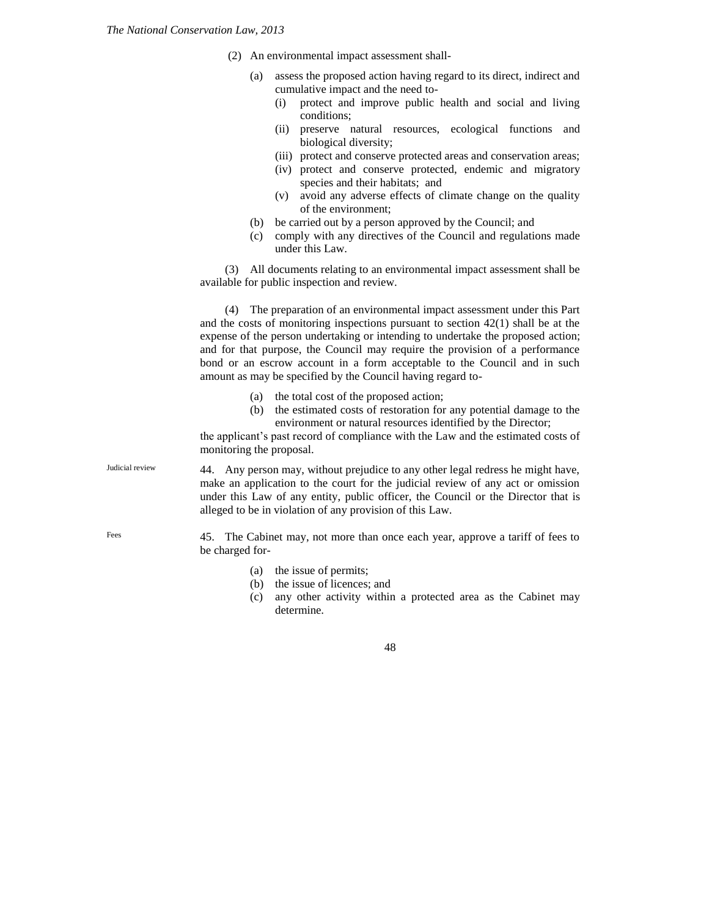Fees

- (2) An environmental impact assessment shall-
	- (a) assess the proposed action having regard to its direct, indirect and cumulative impact and the need to-
		- (i) protect and improve public health and social and living conditions;
		- (ii) preserve natural resources, ecological functions and biological diversity;
		- (iii) protect and conserve protected areas and conservation areas;
		- (iv) protect and conserve protected, endemic and migratory species and their habitats; and
		- (v) avoid any adverse effects of climate change on the quality of the environment;
	- (b) be carried out by a person approved by the Council; and
	- (c) comply with any directives of the Council and regulations made under this Law.

(3) All documents relating to an environmental impact assessment shall be available for public inspection and review.

(4) The preparation of an environmental impact assessment under this Part and the costs of monitoring inspections pursuant to section 42(1) shall be at the expense of the person undertaking or intending to undertake the proposed action; and for that purpose, the Council may require the provision of a performance bond or an escrow account in a form acceptable to the Council and in such amount as may be specified by the Council having regard to-

- (a) the total cost of the proposed action;
- (b) the estimated costs of restoration for any potential damage to the environment or natural resources identified by the Director;

the applicant's past record of compliance with the Law and the estimated costs of monitoring the proposal.

44. Any person may, without prejudice to any other legal redress he might have, make an application to the court for the judicial review of any act or omission under this Law of any entity, public officer, the Council or the Director that is alleged to be in violation of any provision of this Law. Judicial review

> 45. The Cabinet may, not more than once each year, approve a tariff of fees to be charged for-

- (a) the issue of permits;
- (b) the issue of licences; and
- (c) any other activity within a protected area as the Cabinet may determine.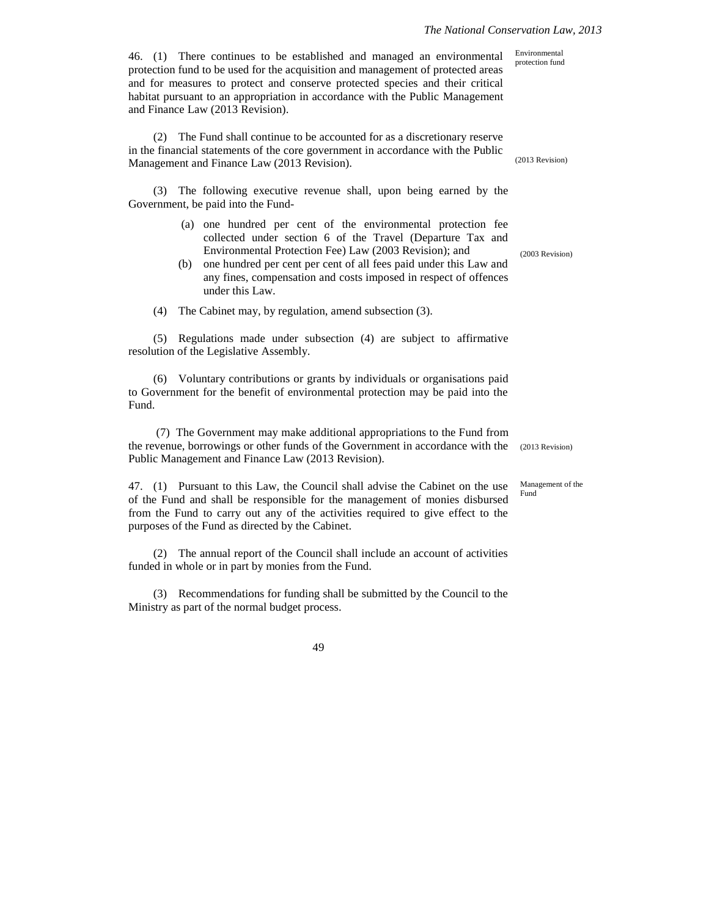46. (1) There continues to be established and managed an environmental protection fund to be used for the acquisition and management of protected areas and for measures to protect and conserve protected species and their critical habitat pursuant to an appropriation in accordance with the Public Management and Finance Law (2013 Revision).

(2) The Fund shall continue to be accounted for as a discretionary reserve in the financial statements of the core government in accordance with the Public Management and Finance Law (2013 Revision).

(3) The following executive revenue shall, upon being earned by the Government, be paid into the Fund-

- (a) one hundred per cent of the environmental protection fee collected under section 6 of the Travel (Departure Tax and Environmental Protection Fee) Law (2003 Revision); and
- (b) one hundred per cent per cent of all fees paid under this Law and any fines, compensation and costs imposed in respect of offences under this Law.
- (4) The Cabinet may, by regulation, amend subsection (3).

(5) Regulations made under subsection (4) are subject to affirmative resolution of the Legislative Assembly.

(6) Voluntary contributions or grants by individuals or organisations paid to Government for the benefit of environmental protection may be paid into the Fund.

(7) The Government may make additional appropriations to the Fund from the revenue, borrowings or other funds of the Government in accordance with the Public Management and Finance Law (2013 Revision).

47. (1) Pursuant to this Law, the Council shall advise the Cabinet on the use of the Fund and shall be responsible for the management of monies disbursed from the Fund to carry out any of the activities required to give effect to the purposes of the Fund as directed by the Cabinet.

(2) The annual report of the Council shall include an account of activities funded in whole or in part by monies from the Fund.

(3) Recommendations for funding shall be submitted by the Council to the Ministry as part of the normal budget process.

49

(2013 Revision)

Environmental protection fund

(2003 Revision)

(2013 Revision)

Management of the Fund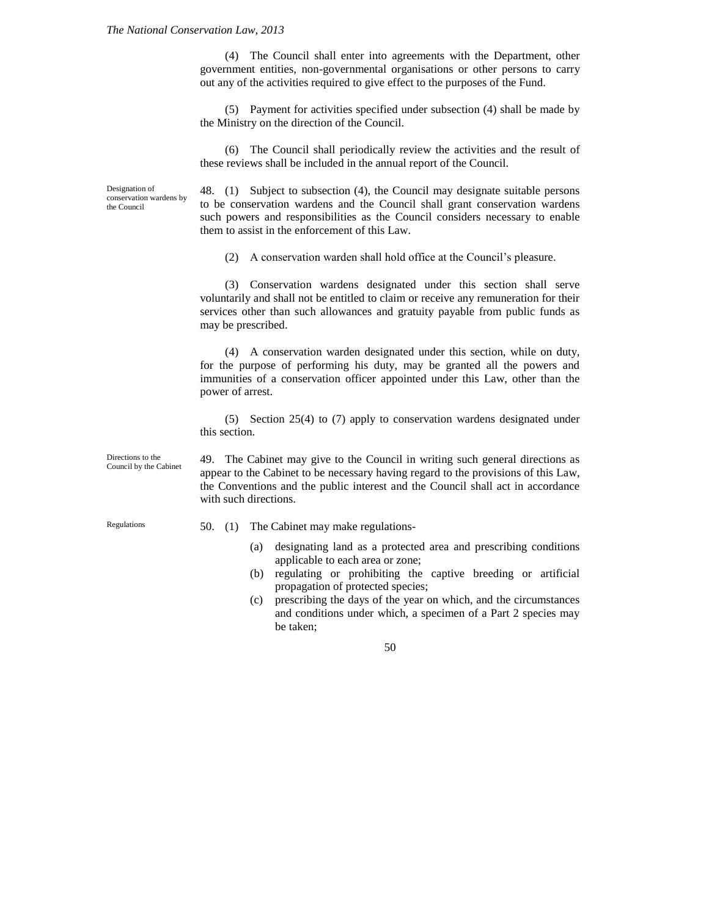#### *The National Conservation Law, 2013*

(4) The Council shall enter into agreements with the Department, other government entities, non-governmental organisations or other persons to carry out any of the activities required to give effect to the purposes of the Fund.

(5) Payment for activities specified under subsection (4) shall be made by the Ministry on the direction of the Council.

(6) The Council shall periodically review the activities and the result of these reviews shall be included in the annual report of the Council.

Designation of conservation wardens by the Council

48. (1) Subject to subsection (4), the Council may designate suitable persons to be conservation wardens and the Council shall grant conservation wardens such powers and responsibilities as the Council considers necessary to enable them to assist in the enforcement of this Law.

(2) A conservation warden shall hold office at the Council's pleasure.

(3) Conservation wardens designated under this section shall serve voluntarily and shall not be entitled to claim or receive any remuneration for their services other than such allowances and gratuity payable from public funds as may be prescribed.

(4) A conservation warden designated under this section, while on duty, for the purpose of performing his duty, may be granted all the powers and immunities of a conservation officer appointed under this Law, other than the power of arrest.

(5) Section 25(4) to (7) apply to conservation wardens designated under this section.

49. The Cabinet may give to the Council in writing such general directions as appear to the Cabinet to be necessary having regard to the provisions of this Law, the Conventions and the public interest and the Council shall act in accordance with such directions.

Regulations

Directions to the Council by the Cabinet

- 50. (1) The Cabinet may make regulations-
	- (a) designating land as a protected area and prescribing conditions applicable to each area or zone;
	- (b) regulating or prohibiting the captive breeding or artificial propagation of protected species;
	- (c) prescribing the days of the year on which, and the circumstances and conditions under which, a specimen of a Part 2 species may be taken;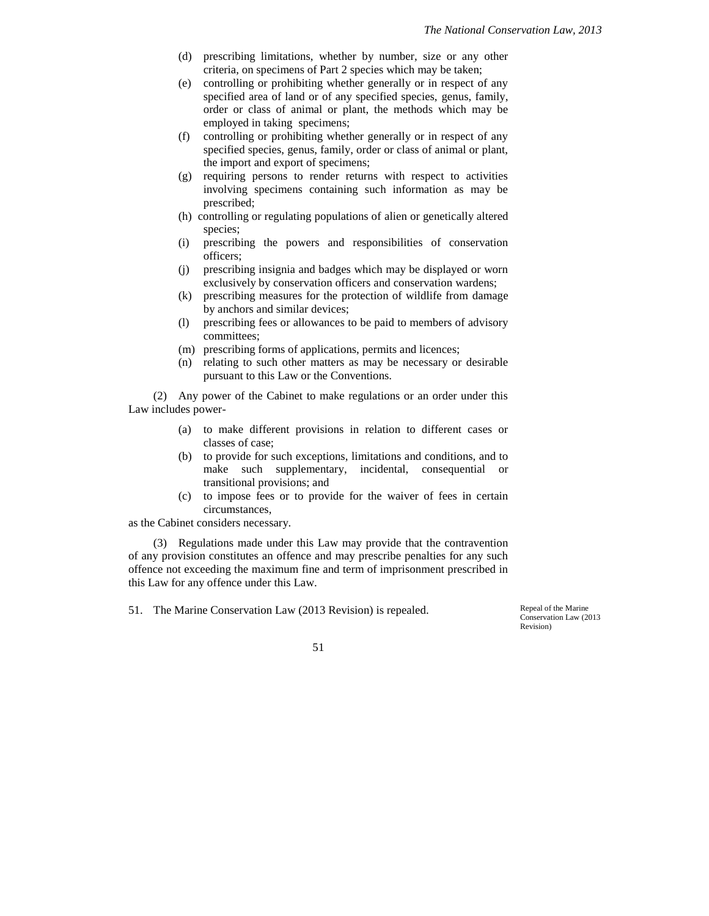- (d) prescribing limitations, whether by number, size or any other criteria, on specimens of Part 2 species which may be taken;
- (e) controlling or prohibiting whether generally or in respect of any specified area of land or of any specified species, genus, family, order or class of animal or plant, the methods which may be employed in taking specimens;
- (f) controlling or prohibiting whether generally or in respect of any specified species, genus, family, order or class of animal or plant, the import and export of specimens;
- (g) requiring persons to render returns with respect to activities involving specimens containing such information as may be prescribed;
- (h) controlling or regulating populations of alien or genetically altered species;
- (i) prescribing the powers and responsibilities of conservation officers;
- (j) prescribing insignia and badges which may be displayed or worn exclusively by conservation officers and conservation wardens;
- (k) prescribing measures for the protection of wildlife from damage by anchors and similar devices;
- (l) prescribing fees or allowances to be paid to members of advisory committees;
- (m) prescribing forms of applications, permits and licences;
- (n) relating to such other matters as may be necessary or desirable pursuant to this Law or the Conventions.

(2) Any power of the Cabinet to make regulations or an order under this Law includes power-

- (a) to make different provisions in relation to different cases or classes of case;
- (b) to provide for such exceptions, limitations and conditions, and to make such supplementary, incidental, consequential or transitional provisions; and
- (c) to impose fees or to provide for the waiver of fees in certain circumstances,

as the Cabinet considers necessary.

(3) Regulations made under this Law may provide that the contravention of any provision constitutes an offence and may prescribe penalties for any such offence not exceeding the maximum fine and term of imprisonment prescribed in this Law for any offence under this Law.

51. The Marine Conservation Law (2013 Revision) is repealed. Repeal of the Marine

Conservation Law (2013 Revision)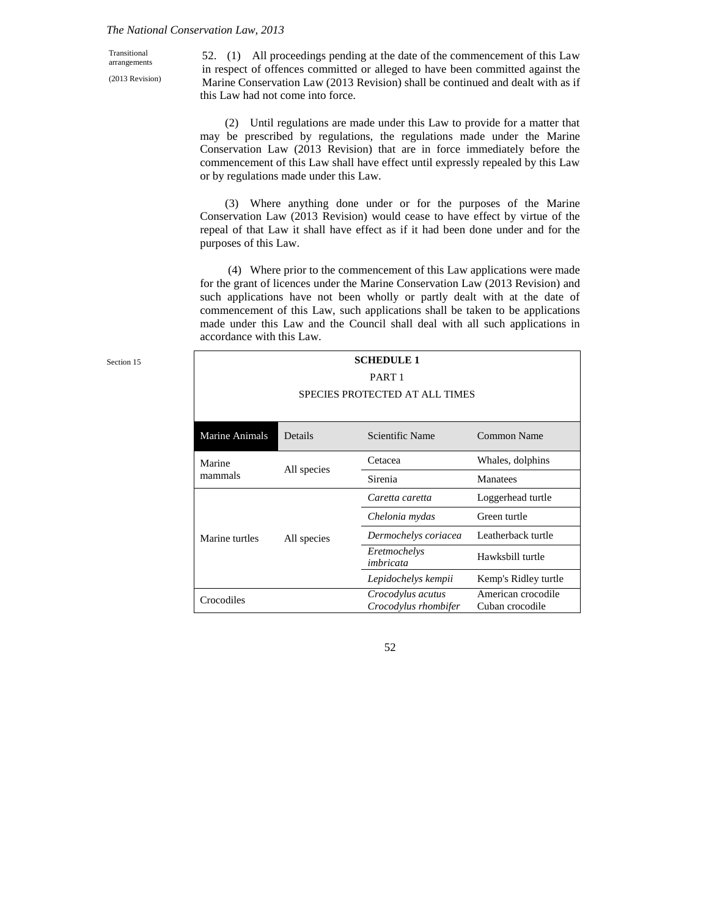#### *The National Conservation Law, 2013*

Transitional arrangements

(2013 Revision)

52. (1) All proceedings pending at the date of the commencement of this Law in respect of offences committed or alleged to have been committed against the Marine Conservation Law (2013 Revision) shall be continued and dealt with as if this Law had not come into force.

(2) Until regulations are made under this Law to provide for a matter that may be prescribed by regulations, the regulations made under the Marine Conservation Law (2013 Revision) that are in force immediately before the commencement of this Law shall have effect until expressly repealed by this Law or by regulations made under this Law.

(3) Where anything done under or for the purposes of the Marine Conservation Law (2013 Revision) would cease to have effect by virtue of the repeal of that Law it shall have effect as if it had been done under and for the purposes of this Law.

(4) Where prior to the commencement of this Law applications were made for the grant of licences under the Marine Conservation Law (2013 Revision) and such applications have not been wholly or partly dealt with at the date of commencement of this Law, such applications shall be taken to be applications made under this Law and the Council shall deal with all such applications in accordance with this Law.

|                   |             | <b>SCHEDULE 1</b>                         |                                       |  |
|-------------------|-------------|-------------------------------------------|---------------------------------------|--|
|                   |             | PART <sub>1</sub>                         |                                       |  |
|                   |             | SPECIES PROTECTED AT ALL TIMES            |                                       |  |
|                   |             |                                           |                                       |  |
| Marine Animals    | Details     | <b>Scientific Name</b>                    | Common Name                           |  |
| Marine<br>mammals | All species | Cetacea                                   | Whales, dolphins                      |  |
|                   |             | Sirenia                                   | <b>Manatees</b>                       |  |
|                   | All species | Caretta caretta                           | Loggerhead turtle                     |  |
|                   |             | Chelonia mydas                            | Green turtle                          |  |
| Marine turtles    |             | Dermochelys coriacea                      | Leatherback turtle                    |  |
|                   |             | Eretmochelys<br>imbricata                 | Hawksbill turtle                      |  |
|                   |             | Lepidochelys kempii                       | Kemp's Ridley turtle                  |  |
| Crocodiles        |             | Crocodylus acutus<br>Crocodylus rhombifer | American crocodile<br>Cuban crocodile |  |

Section 15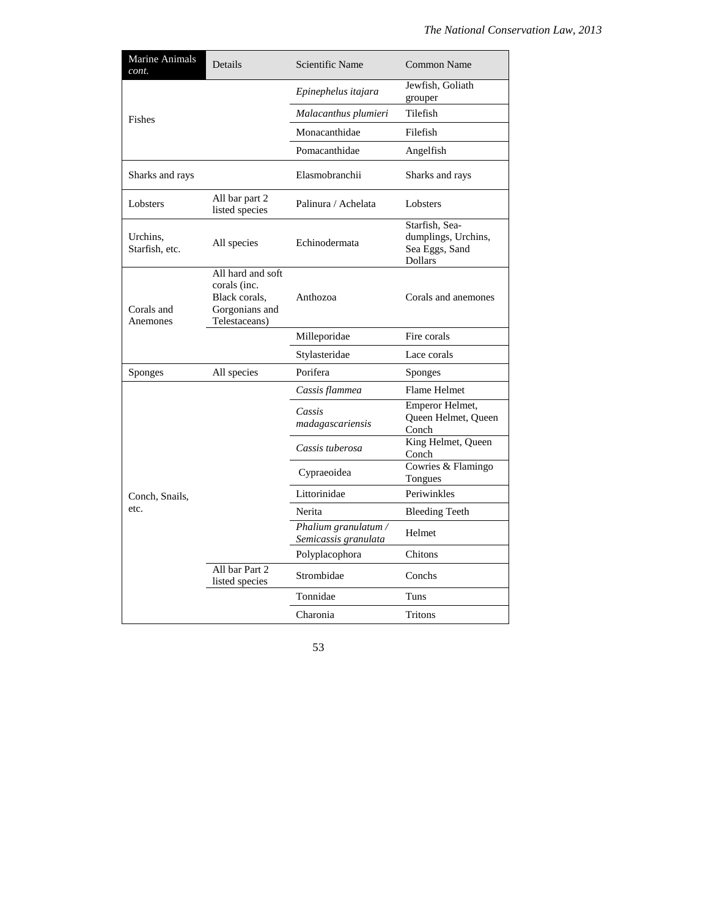| Marine Animals<br>cont.    | Details                                                                               | Scientific Name                              | Common Name                                                        |
|----------------------------|---------------------------------------------------------------------------------------|----------------------------------------------|--------------------------------------------------------------------|
|                            |                                                                                       | Epinephelus itajara                          | Jewfish, Goliath<br>grouper                                        |
| Fishes                     |                                                                                       | Malacanthus plumieri                         | Tilefish                                                           |
|                            |                                                                                       | Monacanthidae                                | Filefish                                                           |
|                            |                                                                                       | Pomacanthidae                                | Angelfish                                                          |
| Sharks and rays            |                                                                                       | Elasmobranchii                               | Sharks and rays                                                    |
| Lobsters                   | All bar part 2<br>listed species                                                      | Palinura / Achelata                          | Lobsters                                                           |
| Urchins.<br>Starfish, etc. | All species                                                                           | Echinodermata                                | Starfish, Sea-<br>dumplings, Urchins,<br>Sea Eggs, Sand<br>Dollars |
| Corals and<br>Anemones     | All hard and soft<br>corals (inc.<br>Black corals,<br>Gorgonians and<br>Telestaceans) | Anthozoa                                     | Corals and anemones                                                |
|                            |                                                                                       | Milleporidae                                 | Fire corals                                                        |
|                            |                                                                                       | Stylasteridae                                | Lace corals                                                        |
| Sponges                    | All species                                                                           | Porifera                                     | Sponges                                                            |
|                            |                                                                                       | Cassis flammea                               | Flame Helmet                                                       |
|                            |                                                                                       | Cassis<br>madagascariensis                   | Emperor Helmet,<br>Queen Helmet, Queen<br>Conch                    |
|                            |                                                                                       | Cassis tuberosa                              | King Helmet, Queen<br>Conch                                        |
|                            |                                                                                       | Cypraeoidea                                  | Cowries & Flamingo<br>Tongues                                      |
| Conch, Snails,             |                                                                                       | Littorinidae                                 | Periwinkles                                                        |
| etc.                       |                                                                                       | Nerita                                       | <b>Bleeding Teeth</b>                                              |
|                            |                                                                                       | Phalium granulatum /<br>Semicassis granulata | Helmet                                                             |
|                            |                                                                                       | Polyplacophora                               | Chitons                                                            |
|                            | All bar Part 2<br>listed species                                                      | Strombidae                                   | Conchs                                                             |
|                            |                                                                                       | Tonnidae                                     | Tuns                                                               |
|                            |                                                                                       | Charonia                                     | Tritons                                                            |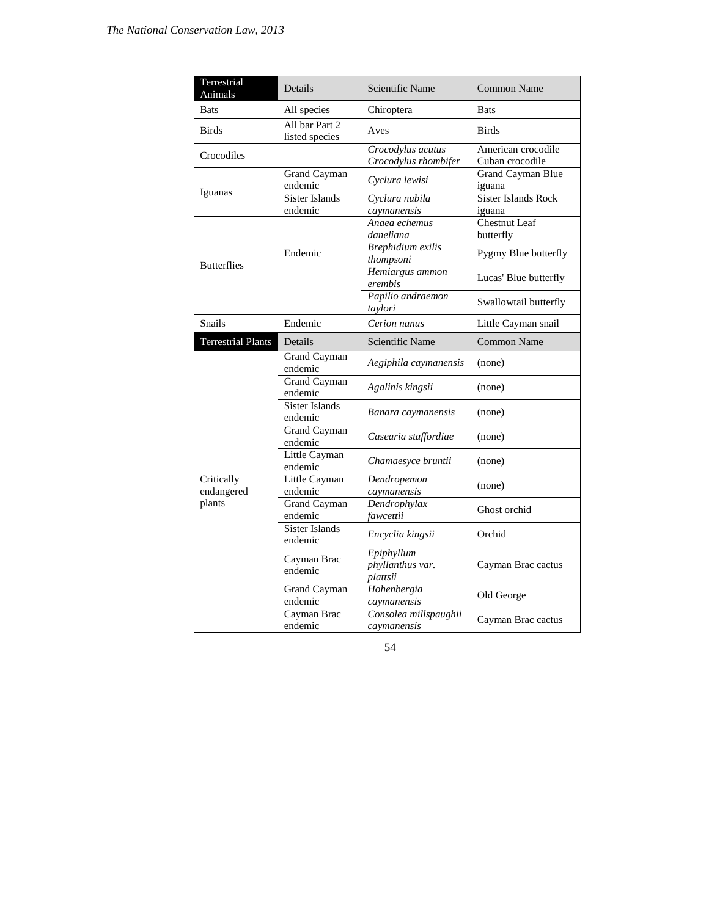| Terrestrial<br>Animals    | Details                          | <b>Scientific Name</b>                     | <b>Common Name</b>                    |
|---------------------------|----------------------------------|--------------------------------------------|---------------------------------------|
| <b>Bats</b>               | All species                      | Chiroptera                                 | <b>Bats</b>                           |
| <b>Birds</b>              | All bar Part 2<br>listed species | Aves                                       | <b>Birds</b>                          |
| Crocodiles                |                                  | Crocodylus acutus<br>Crocodylus rhombifer  | American crocodile<br>Cuban crocodile |
| Iguanas                   | Grand Cayman<br>endemic          | Cyclura lewisi                             | <b>Grand Cayman Blue</b><br>iguana    |
|                           | <b>Sister Islands</b><br>endemic | Cyclura nubila<br>caymanensis              | Sister Islands Rock<br>iguana         |
|                           |                                  | Anaea echemus<br>daneliana                 | Chestnut Leaf<br>butterfly            |
| <b>Butterflies</b>        | Endemic                          | Brephidium exilis<br>thompsoni             | Pygmy Blue butterfly                  |
|                           |                                  | Hemiargus ammon<br>erembis                 | Lucas' Blue butterfly                 |
|                           |                                  | Papilio andraemon<br>tavlori               | Swallowtail butterfly                 |
| Snails                    | Endemic                          | Cerion nanus                               | Little Cayman snail                   |
| <b>Terrestrial Plants</b> | Details                          | <b>Scientific Name</b>                     | <b>Common Name</b>                    |
|                           | Grand Cayman<br>endemic          | Aegiphila caymanensis                      | (none)                                |
|                           | Grand Cayman<br>endemic          | Agalinis kingsii                           | (none)                                |
|                           | <b>Sister Islands</b><br>endemic | Banara caymanensis                         | (none)                                |
|                           | <b>Grand Cayman</b><br>endemic   | Casearia staffordiae                       | (none)                                |
|                           | Little Cayman<br>endemic         | Chamaesyce bruntii                         | (none)                                |
| Critically<br>endangered  | Little Cayman<br>endemic         | Dendropemon<br>caymanensis                 | (none)                                |
| plants                    | <b>Grand Cayman</b><br>endemic   | Dendrophylax<br>fawcettii                  | Ghost orchid                          |
|                           | <b>Sister Islands</b><br>endemic | Encyclia kingsii                           | Orchid                                |
|                           | Cayman Brac<br>endemic           | Epiphyllum<br>phyllanthus var.<br>plattsii | Cayman Brac cactus                    |
|                           | Grand Cayman<br>endemic          | Hohenbergia<br>caymanensis                 | Old George                            |
|                           | Cayman Brac<br>endemic           | Consolea millspaughii<br>caymanensis       | Cayman Brac cactus                    |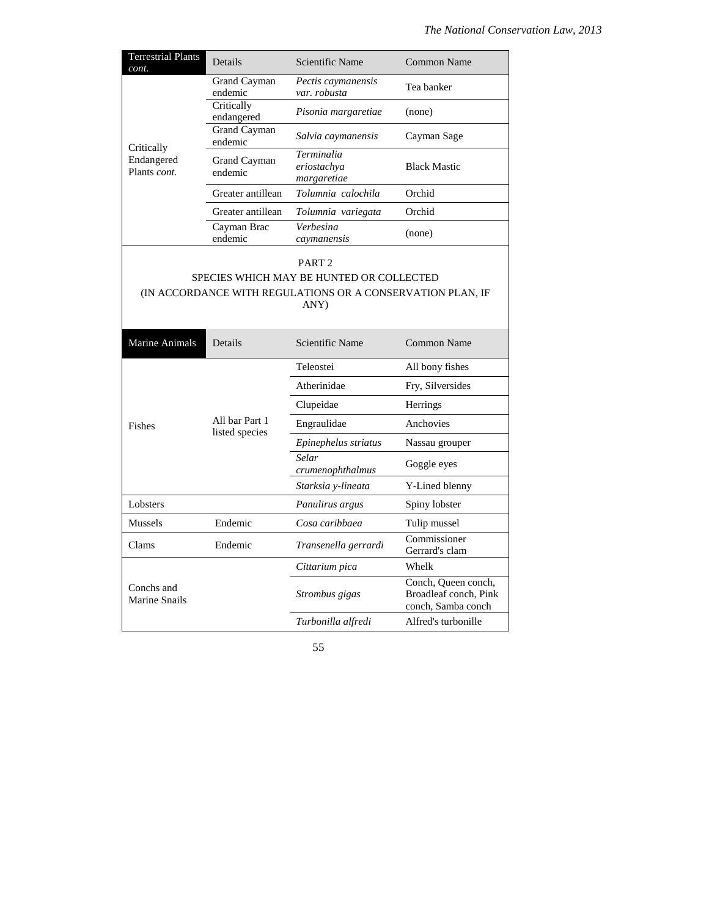| <b>Terrestrial Plants</b><br>cont.       | Details                          | Scientific Name                                 | <b>Common Name</b>                                                 |
|------------------------------------------|----------------------------------|-------------------------------------------------|--------------------------------------------------------------------|
|                                          | Grand Cayman<br>endemic          | Pectis caymanensis<br>var. robusta              | Tea banker                                                         |
|                                          | Critically<br>endangered         | Pisonia margaretiae                             | (none)                                                             |
|                                          | Grand Cayman<br>endemic          | Salvia caymanensis                              | Cayman Sage                                                        |
| Critically<br>Endangered<br>Plants cont. | Grand Cayman<br>endemic          | <b>Terminalia</b><br>eriostachya<br>margaretiae | <b>Black Mastic</b>                                                |
|                                          | Greater antillean                | Tolumnia calochila                              | Orchid                                                             |
|                                          | Greater antillean                | Tolumnia variegata                              | Orchid                                                             |
|                                          | Cayman Brac<br>endemic           | Verbesina<br>caymanensis                        | (none)                                                             |
| Marine Animals                           | Details                          | ANY)<br>Scientific Name                         | Common Name                                                        |
|                                          | All bar Part 1<br>listed species | Teleostei                                       | All bony fishes                                                    |
|                                          |                                  | Atherinidae                                     | Fry, Silversides                                                   |
|                                          |                                  | Clupeidae                                       | Herrings                                                           |
| Fishes                                   |                                  | Engraulidae                                     | Anchovies                                                          |
|                                          |                                  | Epinephelus striatus                            | Nassau grouper                                                     |
|                                          |                                  | Selar<br>crumenophthalmus                       | Goggle eyes                                                        |
|                                          |                                  | Starksia y-lineata                              | Y-Lined blenny                                                     |
| Lobsters                                 |                                  | Panulirus argus                                 | Spiny lobster                                                      |
| <b>Mussels</b>                           | Endemic                          | Cosa caribbaea                                  | Tulip mussel                                                       |
| Clams                                    | Endemic                          | Transenella gerrardi                            | Commissioner<br>Gerrard's clam                                     |
|                                          |                                  | Cittarium pica                                  | Whelk                                                              |
| Conchs and<br><b>Marine Snails</b>       |                                  | Strombus gigas                                  | Conch, Queen conch,<br>Broadleaf conch, Pink<br>conch, Samba conch |
|                                          |                                  | Turbonilla alfredi                              | Alfred's turbonille                                                |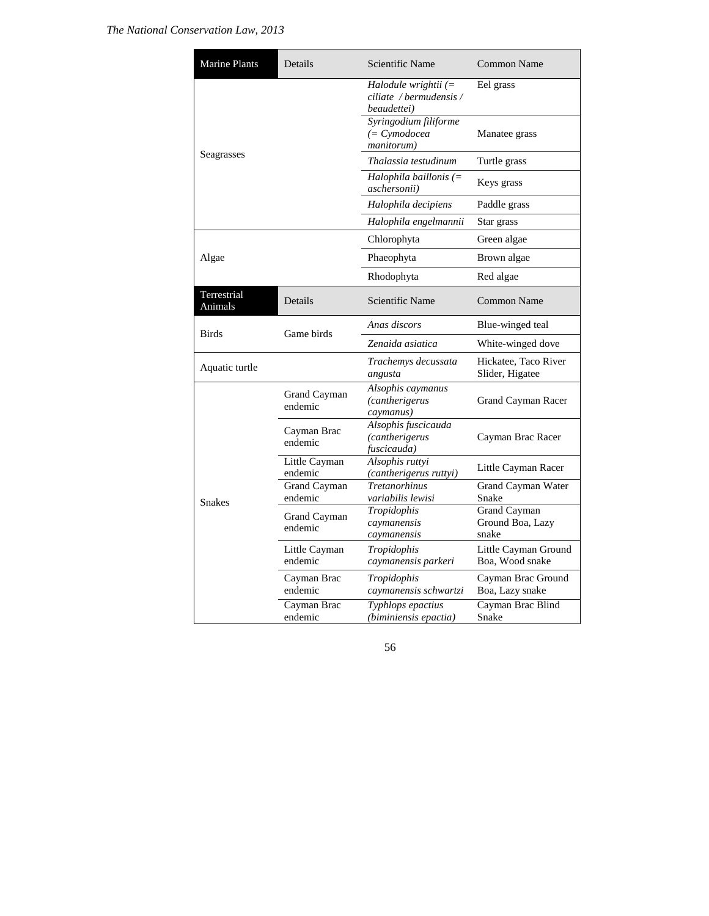| <b>Marine Plants</b>   | Details                  | Scientific Name                                                | <b>Common Name</b>                        |
|------------------------|--------------------------|----------------------------------------------------------------|-------------------------------------------|
|                        |                          | Halodule wrightii (=<br>ciliate / bermudensis /<br>beaudettei) | Eel grass                                 |
|                        |                          | Syringodium filiforme<br>(= Cymodocea<br>manitorum)            | Manatee grass                             |
| Seagrasses             |                          | Thalassia testudinum                                           | Turtle grass                              |
|                        |                          | Halophila baillonis $(=$<br>aschersonii)                       | Keys grass                                |
|                        |                          | Halophila decipiens                                            | Paddle grass                              |
|                        |                          | Halophila engelmannii                                          | Star grass                                |
|                        |                          | Chlorophyta                                                    | Green algae                               |
| Algae                  |                          | Phaeophyta                                                     | Brown algae                               |
|                        |                          | Rhodophyta                                                     | Red algae                                 |
| Terrestrial<br>Animals | Details                  | <b>Scientific Name</b>                                         | <b>Common Name</b>                        |
|                        | Game birds               | Anas discors                                                   | Blue-winged teal                          |
| <b>Birds</b>           |                          | Zenaida asiatica                                               | White-winged dove                         |
| Aquatic turtle         |                          | Trachemys decussata<br>angusta                                 | Hickatee, Taco River<br>Slider, Higatee   |
|                        | Grand Cayman<br>endemic  | Alsophis caymanus<br><i>(cantherigerus</i> )<br>caymanus)      | Grand Cayman Racer                        |
|                        | Cayman Brac<br>endemic   | Alsophis fuscicauda<br><i>(cantherigerus</i> )<br>fuscicauda)  | Cayman Brac Racer                         |
|                        | Little Cayman<br>endemic | Alsophis ruttyi<br><i>(cantherigerus ruttyi)</i>               | Little Cayman Racer                       |
| <b>Snakes</b>          | Grand Cayman<br>endemic  | <b>Tretanorhinus</b><br>variabilis lewisi                      | <b>Grand Cayman Water</b><br>Snake        |
|                        | Grand Cayman<br>endemic  | Tropidophis<br>caymanensis<br>caymanensis                      | Grand Cayman<br>Ground Boa, Lazy<br>snake |
|                        | Little Cayman<br>endemic | Tropidophis<br>caymanensis parkeri                             | Little Cayman Ground<br>Boa, Wood snake   |
|                        | Cayman Brac<br>endemic   | Tropidophis<br>caymanensis schwartzi                           | Cayman Brac Ground<br>Boa, Lazy snake     |
|                        | Cayman Brac<br>endemic   | Typhlops epactius<br>(biminiensis epactia)                     | Cayman Brac Blind<br>Snake                |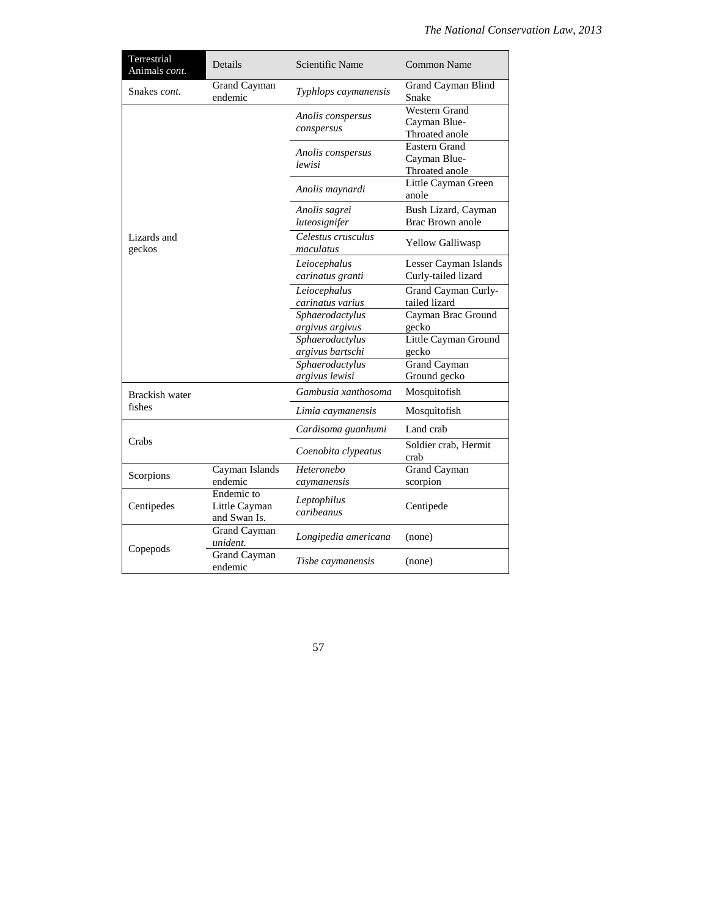| Terrestrial<br>Animals cont. | Details                                     | Scientific Name                     | <b>Common Name</b>                                     |
|------------------------------|---------------------------------------------|-------------------------------------|--------------------------------------------------------|
| Snakes <i>cont</i> .         | Grand Cayman<br>endemic                     | Typhlops caymanensis                | Grand Cayman Blind<br>Snake                            |
|                              |                                             | Anolis conspersus<br>conspersus     | <b>Western Grand</b><br>Cayman Blue-<br>Throated anole |
|                              |                                             | Anolis conspersus<br>lewisi         | <b>Eastern Grand</b><br>Cayman Blue-<br>Throated anole |
|                              |                                             | Anolis maynardi                     | Little Cayman Green<br>anole                           |
|                              |                                             | Anolis sagrei<br>luteosignifer      | Bush Lizard, Cayman<br>Brac Brown anole                |
| Lizards and<br>geckos        |                                             | Celestus crusculus<br>maculatus     | Yellow Galliwasp                                       |
|                              |                                             | Leiocephalus<br>carinatus granti    | Lesser Cayman Islands<br>Curly-tailed lizard           |
|                              |                                             | Leiocephalus<br>carinatus varius    | Grand Cayman Curly-<br>tailed lizard                   |
|                              |                                             | Sphaerodactylus<br>argivus argivus  | Cayman Brac Ground<br>gecko                            |
|                              |                                             | Sphaerodactylus<br>argivus bartschi | Little Cayman Ground<br>gecko                          |
|                              |                                             | Sphaerodactylus<br>argivus lewisi   | Grand Cayman<br>Ground gecko                           |
| Brackish water               |                                             | Gambusia xanthosoma                 | Mosquitofish                                           |
| fishes                       |                                             | Limia caymanensis                   | Mosquitofish                                           |
|                              |                                             | Cardisoma guanhumi                  | Land crab                                              |
| Crabs                        |                                             | Coenobita clypeatus                 | Soldier crab, Hermit<br>crab                           |
| Scorpions                    | Cayman Islands<br>endemic                   | Heteronebo<br>caymanensis           | Grand Cayman<br>scorpion                               |
| Centipedes                   | Endemic to<br>Little Cayman<br>and Swan Is. | Leptophilus<br>caribeanus           | Centipede                                              |
|                              | Grand Cayman<br>unident.                    | Longipedia americana                | (none)                                                 |
| Copepods                     | Grand Cayman<br>endemic                     | Tisbe caymanensis                   | (none)                                                 |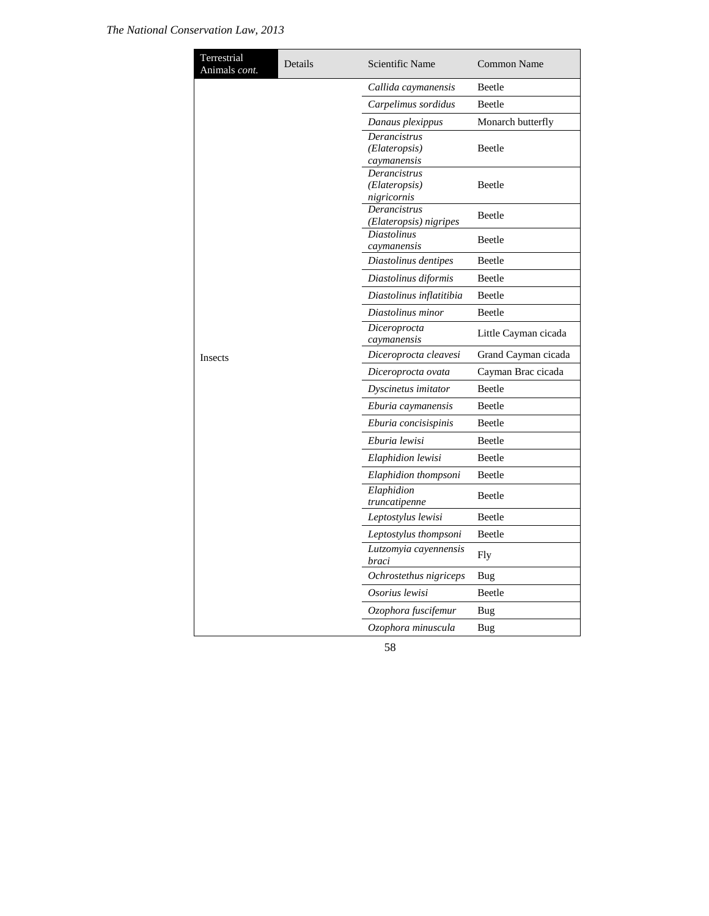## *The National Conservation Law, 2013*

| Terrestrial<br>Animals cont. | Details | Scientific Name                                     | <b>Common Name</b>   |
|------------------------------|---------|-----------------------------------------------------|----------------------|
|                              |         | Callida caymanensis                                 | Beetle               |
|                              |         | Carpelimus sordidus                                 | Beetle               |
|                              |         | Danaus plexippus                                    | Monarch butterfly    |
|                              |         | <b>Derancistrus</b><br>(Elateropsis)<br>caymanensis | Beetle               |
|                              |         | <b>Derancistrus</b><br>(Elateropsis)<br>nigricornis | Beetle               |
|                              |         | <b>Derancistrus</b><br>(Elateropsis) nigripes       | Beetle               |
|                              |         | <i>Diastolinus</i><br>caymanensis                   | Beetle               |
|                              |         | Diastolinus dentipes                                | Beetle               |
|                              |         | Diastolinus diformis                                | Beetle               |
|                              |         | Diastolinus inflatitibia                            | Beetle               |
|                              |         | Diastolinus minor                                   | Beetle               |
|                              |         | Diceroprocta<br>caymanensis                         | Little Cayman cicada |
| <b>Insects</b>               |         | Diceroprocta cleavesi                               | Grand Cayman cicada  |
|                              |         | Diceroprocta ovata                                  | Cayman Brac cicada   |
|                              |         | Dyscinetus imitator                                 | Beetle               |
|                              |         | Eburia caymanensis                                  | Beetle               |
|                              |         | Eburia concisispinis                                | Beetle               |
|                              |         | Eburia lewisi                                       | Beetle               |
|                              |         | Elaphidion lewisi                                   | Beetle               |
|                              |         | Elaphidion thompsoni                                | Beetle               |
|                              |         | Elaphidion<br>truncatipenne                         | Beetle               |
|                              |         | Leptostylus lewisi                                  | <b>Beetle</b>        |
|                              |         | Leptostylus thompsoni                               | Beetle               |
|                              |         | Lutzomyia cayennensis<br>braci                      | Fly                  |
|                              |         | Ochrostethus nigriceps                              | Bug                  |
|                              |         | Osorius lewisi                                      | Beetle               |
|                              |         | Ozophora fuscifemur                                 | Bug                  |
|                              |         | Ozophora minuscula                                  | Bug                  |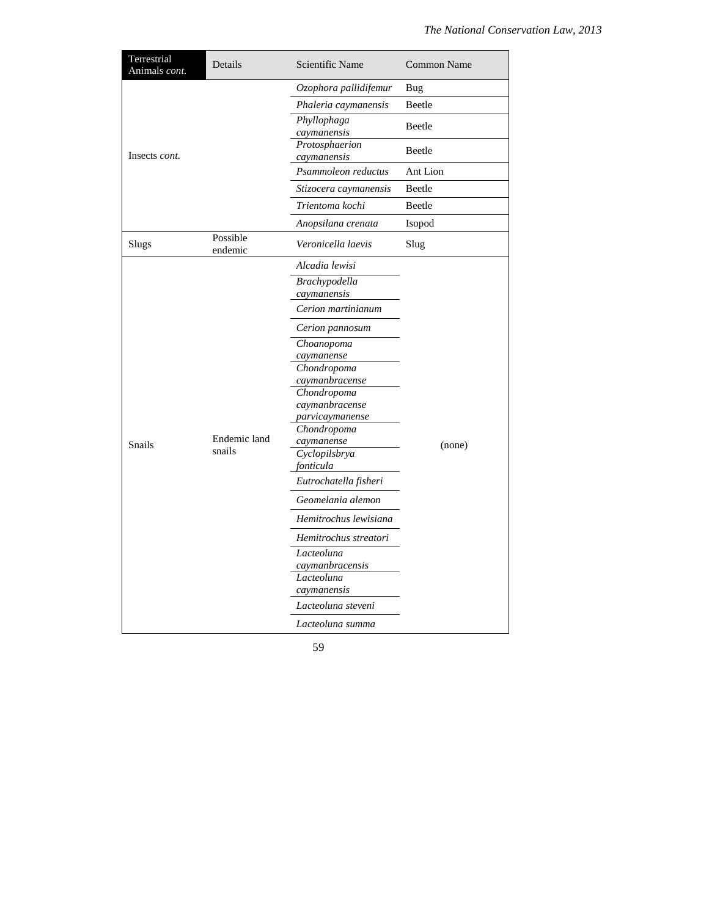| Terrestrial<br>Animals cont. | Details             | Scientific Name               | Common Name   |
|------------------------------|---------------------|-------------------------------|---------------|
|                              |                     | Ozophora pallidifemur         | Bug           |
|                              |                     | Phaleria caymanensis          | Beetle        |
|                              |                     | Phyllophaga<br>caymanensis    | Beetle        |
| Insects cont.                |                     | Protosphaerion<br>caymanensis | <b>Beetle</b> |
|                              |                     | Psammoleon reductus           | Ant Lion      |
|                              |                     | Stizocera caymanensis         | Beetle        |
|                              |                     | Trientoma kochi               | Beetle        |
|                              |                     | Anopsilana crenata            | Isopod        |
| Slugs                        | Possible<br>endemic | Veronicella laevis            | Slug          |
|                              |                     | Alcadia lewisi                |               |
|                              |                     | Brachypodella                 |               |
|                              |                     | caymanensis                   |               |
|                              |                     | Cerion martinianum            |               |
|                              |                     | Cerion pannosum               |               |
|                              |                     | Choanopoma                    |               |
|                              |                     | caymanense                    |               |
|                              |                     | Chondropoma                   |               |
|                              |                     | caymanbracense                |               |
|                              |                     | Chondropoma                   |               |
|                              |                     | caymanbracense                |               |
|                              |                     | parvicaymanense               |               |
|                              | Endemic land        | Chondropoma                   |               |
| <b>Snails</b>                | snails              | caymanense<br>Cyclopilsbrya   | (none)        |
|                              |                     | fonticula                     |               |
|                              |                     | Eutrochatella fisheri         |               |
|                              |                     | Geomelania alemon             |               |
|                              |                     | Hemitrochus lewisiana         |               |
|                              |                     | Hemitrochus streatori         |               |
|                              |                     | Lacteoluna                    |               |
|                              |                     | caymanbracensis               |               |
|                              |                     | Lacteoluna                    |               |
|                              |                     | caymanensis                   |               |
|                              |                     | Lacteoluna steveni            |               |
|                              |                     | Lacteoluna summa              |               |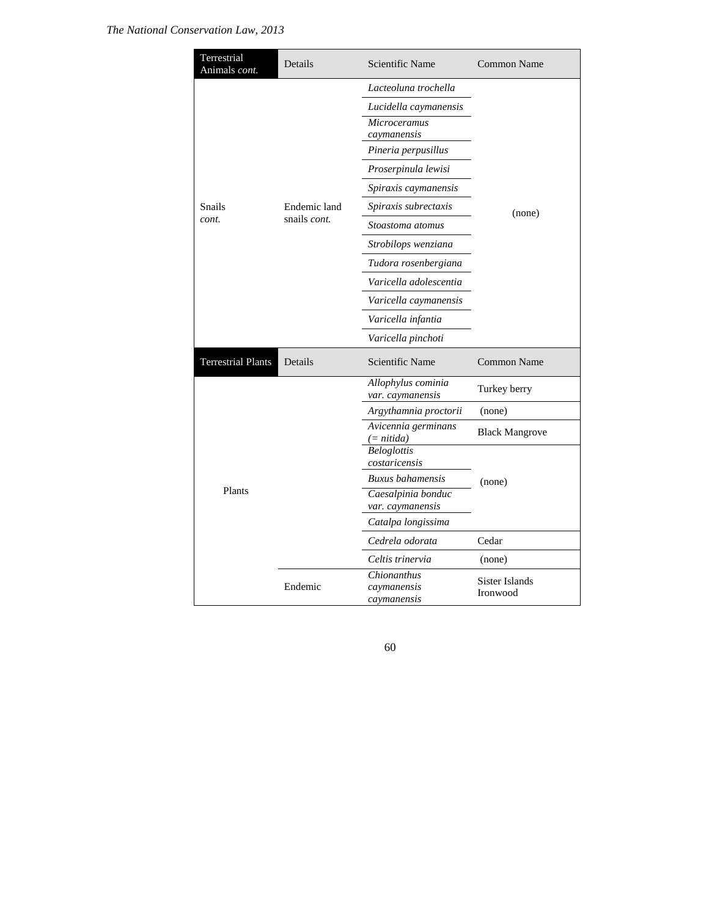## *The National Conservation Law, 2013*

| Terrestrial<br>Animals cont. | Details      | <b>Scientific Name</b>                    | Common Name                |
|------------------------------|--------------|-------------------------------------------|----------------------------|
|                              |              | Lacteoluna trochella                      |                            |
|                              |              | Lucidella caymanensis                     |                            |
|                              |              | <b>Microceramus</b><br>caymanensis        |                            |
|                              |              | Pineria perpusillus                       |                            |
|                              |              | Proserpinula lewisi                       |                            |
|                              |              | Spiraxis caymanensis                      |                            |
| Snails                       | Endemic land | Spiraxis subrectaxis                      | (none)                     |
| cont.                        | snails cont. | Stoastoma atomus                          |                            |
|                              |              | Strobilops wenziana                       |                            |
|                              |              | Tudora rosenbergiana                      |                            |
|                              |              | Varicella adolescentia                    |                            |
|                              |              | Varicella caymanensis                     |                            |
|                              |              | Varicella infantia                        |                            |
|                              |              | Varicella pinchoti                        |                            |
| <b>Terrestrial Plants</b>    | Details      | Scientific Name                           | <b>Common Name</b>         |
|                              |              | Allophylus cominia<br>var. caymanensis    | Turkey berry               |
|                              |              | Argythamnia proctorii                     | (none)                     |
|                              |              | Avicennia germinans<br>$(= nitida)$       | <b>Black Mangrove</b>      |
|                              |              | <b>Beloglottis</b><br>costaricensis       |                            |
|                              |              | Buxus bahamensis                          | (none)                     |
| Plants                       |              | Caesalpinia bonduc<br>var. caymanensis    |                            |
|                              |              | Catalpa longissima                        |                            |
|                              |              | Cedrela odorata                           | Cedar                      |
|                              |              | Celtis trinervia                          | (none)                     |
|                              | Endemic      | Chionanthus<br>caymanensis<br>caymanensis | Sister Islands<br>Ironwood |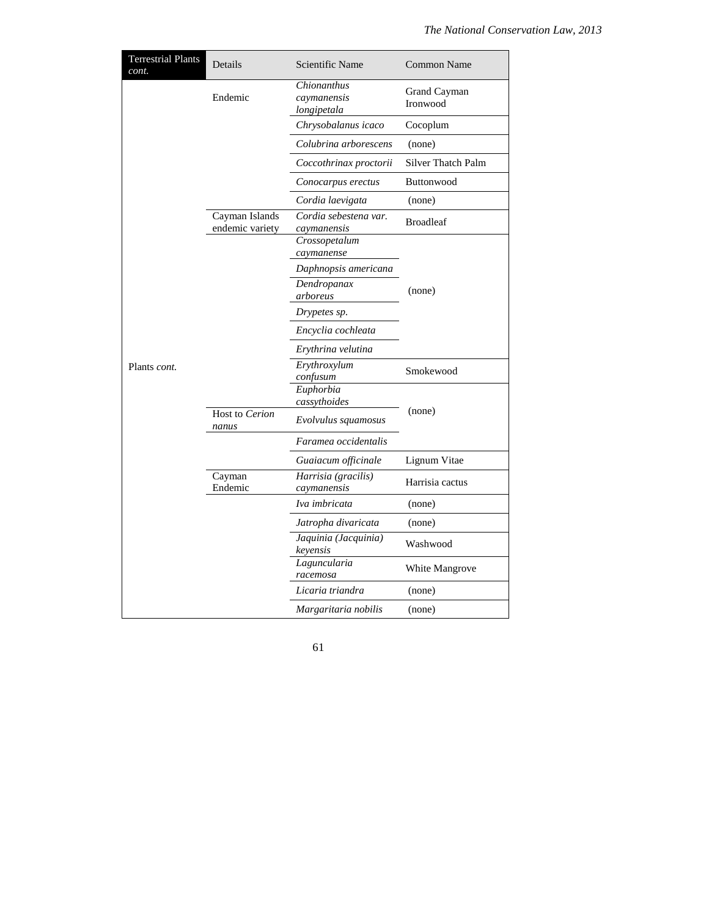| <b>Terrestrial Plants</b><br>cont. | Details                           | Scientific Name                           | Common Name              |
|------------------------------------|-----------------------------------|-------------------------------------------|--------------------------|
|                                    | Endemic                           | Chionanthus<br>caymanensis<br>longipetala | Grand Cayman<br>Ironwood |
|                                    |                                   | Chrysobalanus icaco                       | Cocoplum                 |
|                                    |                                   | Colubrina arborescens                     | (none)                   |
|                                    |                                   | Coccothrinax proctorii                    | Silver Thatch Palm       |
|                                    |                                   | Conocarpus erectus                        | Buttonwood               |
|                                    |                                   | Cordia laevigata                          | (none)                   |
|                                    | Cayman Islands<br>endemic variety | Cordia sebestena var.<br>caymanensis      | <b>Broadleaf</b>         |
|                                    |                                   | Crossopetalum<br>caymanense               |                          |
|                                    |                                   | Daphnopsis americana                      |                          |
|                                    |                                   | Dendropanax<br>arboreus                   | (none)                   |
|                                    |                                   | Drypetes sp.                              |                          |
|                                    |                                   | Encyclia cochleata                        |                          |
|                                    |                                   | Erythrina velutina                        |                          |
| Plants cont.                       |                                   | Erythroxylum<br>confusum                  | Smokewood                |
|                                    |                                   | Euphorbia<br>cassythoides                 |                          |
|                                    | Host to Cerion<br>nanus           | Evolvulus squamosus                       | (none)                   |
|                                    |                                   | Faramea occidentalis                      |                          |
|                                    |                                   | Guaiacum officinale                       | Lignum Vitae             |
|                                    | Cayman<br>Endemic                 | Harrisia (gracilis)<br>caymanensis        | Harrisia cactus          |
|                                    |                                   | Iva imbricata                             | (none)                   |
|                                    |                                   | Jatropha divaricata                       | (none)                   |
|                                    |                                   | Jaquinia (Jacquinia)<br>keyensis          | Washwood                 |
|                                    |                                   | Laguncularia<br>racemosa                  | White Mangrove           |
|                                    |                                   | Licaria triandra                          | (none)                   |
|                                    |                                   | Margaritaria nobilis                      | (none)                   |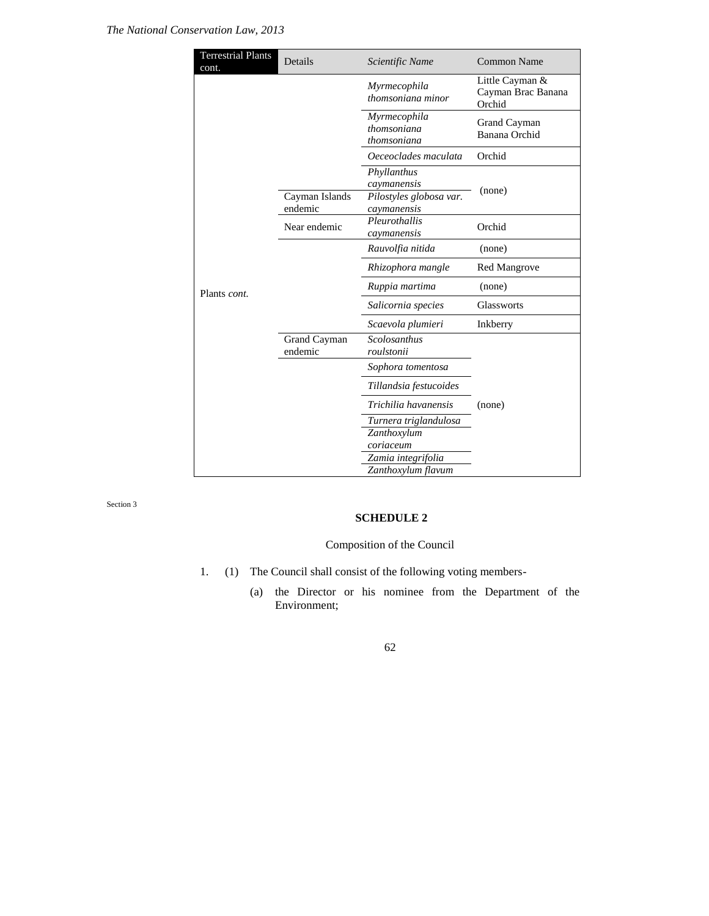## *The National Conservation Law, 2013*

| <b>Terrestrial Plants</b><br>cont. | Details                   | Scientific Name                                                      | Common Name                                     |
|------------------------------------|---------------------------|----------------------------------------------------------------------|-------------------------------------------------|
|                                    |                           | Myrmecophila<br>thomsoniana minor                                    | Little Cayman &<br>Cayman Brac Banana<br>Orchid |
|                                    |                           | Myrmecophila<br>thomsoniana<br>thomsoniana                           | Grand Cayman<br>Banana Orchid                   |
|                                    |                           | Oeceoclades maculata                                                 | Orchid                                          |
|                                    | Cayman Islands<br>endemic | Phyllanthus<br>caymanensis<br>Pilostyles globosa var.<br>caymanensis | (none)                                          |
|                                    | Near endemic              | Pleurothallis<br>caymanensis                                         | Orchid                                          |
|                                    |                           | Rauvolfia nitida                                                     | (none)                                          |
|                                    |                           | Rhizophora mangle                                                    | <b>Red Mangrove</b>                             |
| Plants cont.                       |                           | Ruppia martima                                                       | (none)                                          |
|                                    |                           | Salicornia species                                                   | Glassworts                                      |
|                                    |                           | Scaevola plumieri                                                    | Inkberry                                        |
|                                    | Grand Cayman<br>endemic   | <b>Scolosanthus</b><br>roulstonii                                    |                                                 |
|                                    |                           | Sophora tomentosa                                                    |                                                 |
|                                    |                           | Tillandsia festucoides                                               |                                                 |
|                                    |                           | Trichilia havanensis                                                 | (none)                                          |
|                                    |                           | Turnera triglandulosa                                                |                                                 |
|                                    |                           | Zanthoxylum                                                          |                                                 |
|                                    |                           |                                                                      |                                                 |
|                                    |                           |                                                                      |                                                 |
|                                    |                           | coriaceum<br>Zamia integrifolia<br>Zanthoxylum flavum                |                                                 |

Section 3

## **SCHEDULE 2**

# Composition of the Council

- 1. (1) The Council shall consist of the following voting members-
	- (a) the Director or his nominee from the Department of the Environment;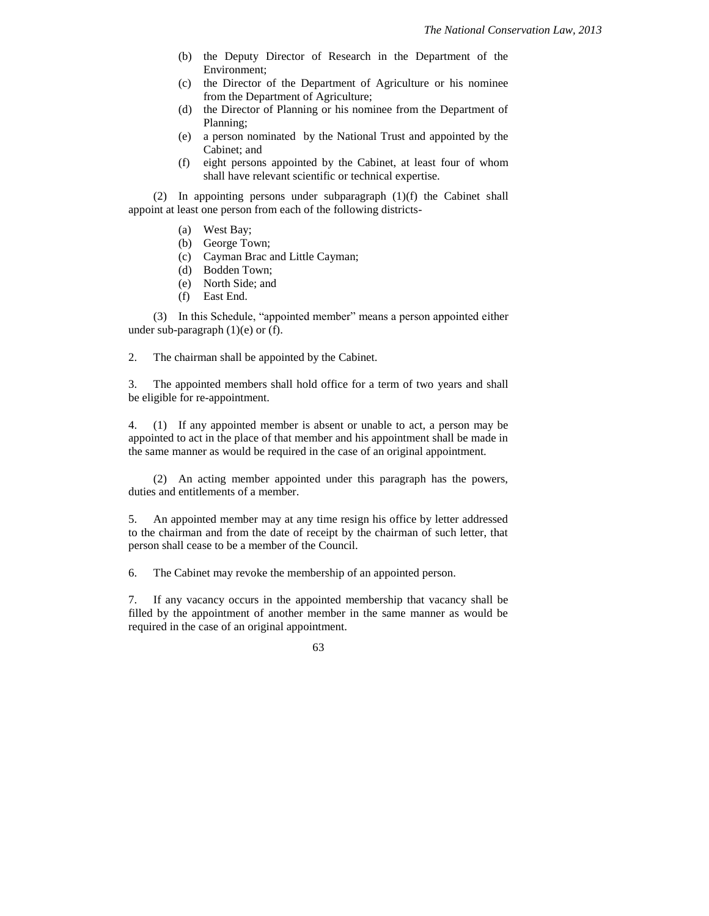- (b) the Deputy Director of Research in the Department of the Environment;
- (c) the Director of the Department of Agriculture or his nominee from the Department of Agriculture;
- (d) the Director of Planning or his nominee from the Department of Planning;
- (e) a person nominated by the National Trust and appointed by the Cabinet; and
- (f) eight persons appointed by the Cabinet, at least four of whom shall have relevant scientific or technical expertise.

(2) In appointing persons under subparagraph (1)(f) the Cabinet shall appoint at least one person from each of the following districts-

- (a) West Bay;
- (b) George Town;
- (c) Cayman Brac and Little Cayman;
- (d) Bodden Town;
- (e) North Side; and
- (f) East End.

(3) In this Schedule, "appointed member" means a person appointed either under sub-paragraph (1)(e) or (f).

2. The chairman shall be appointed by the Cabinet.

3. The appointed members shall hold office for a term of two years and shall be eligible for re-appointment.

4. (1) If any appointed member is absent or unable to act, a person may be appointed to act in the place of that member and his appointment shall be made in the same manner as would be required in the case of an original appointment.

(2) An acting member appointed under this paragraph has the powers, duties and entitlements of a member.

5. An appointed member may at any time resign his office by letter addressed to the chairman and from the date of receipt by the chairman of such letter, that person shall cease to be a member of the Council.

6. The Cabinet may revoke the membership of an appointed person.

7. If any vacancy occurs in the appointed membership that vacancy shall be filled by the appointment of another member in the same manner as would be required in the case of an original appointment.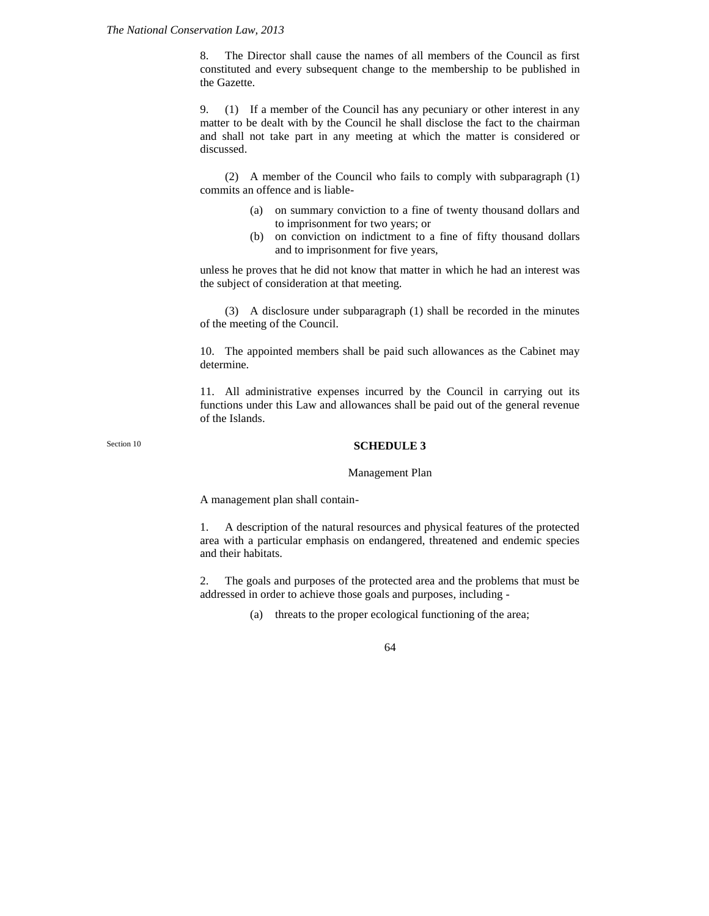8. The Director shall cause the names of all members of the Council as first constituted and every subsequent change to the membership to be published in the Gazette.

9. (1) If a member of the Council has any pecuniary or other interest in any matter to be dealt with by the Council he shall disclose the fact to the chairman and shall not take part in any meeting at which the matter is considered or discussed.

(2) A member of the Council who fails to comply with subparagraph (1) commits an offence and is liable-

- (a) on summary conviction to a fine of twenty thousand dollars and to imprisonment for two years; or
- (b) on conviction on indictment to a fine of fifty thousand dollars and to imprisonment for five years,

unless he proves that he did not know that matter in which he had an interest was the subject of consideration at that meeting.

(3) A disclosure under subparagraph (1) shall be recorded in the minutes of the meeting of the Council.

10. The appointed members shall be paid such allowances as the Cabinet may determine.

11. All administrative expenses incurred by the Council in carrying out its functions under this Law and allowances shall be paid out of the general revenue of the Islands.

Section 10

## **SCHEDULE 3**

#### Management Plan

A management plan shall contain-

1. A description of the natural resources and physical features of the protected area with a particular emphasis on endangered, threatened and endemic species and their habitats.

2. The goals and purposes of the protected area and the problems that must be addressed in order to achieve those goals and purposes, including -

(a) threats to the proper ecological functioning of the area;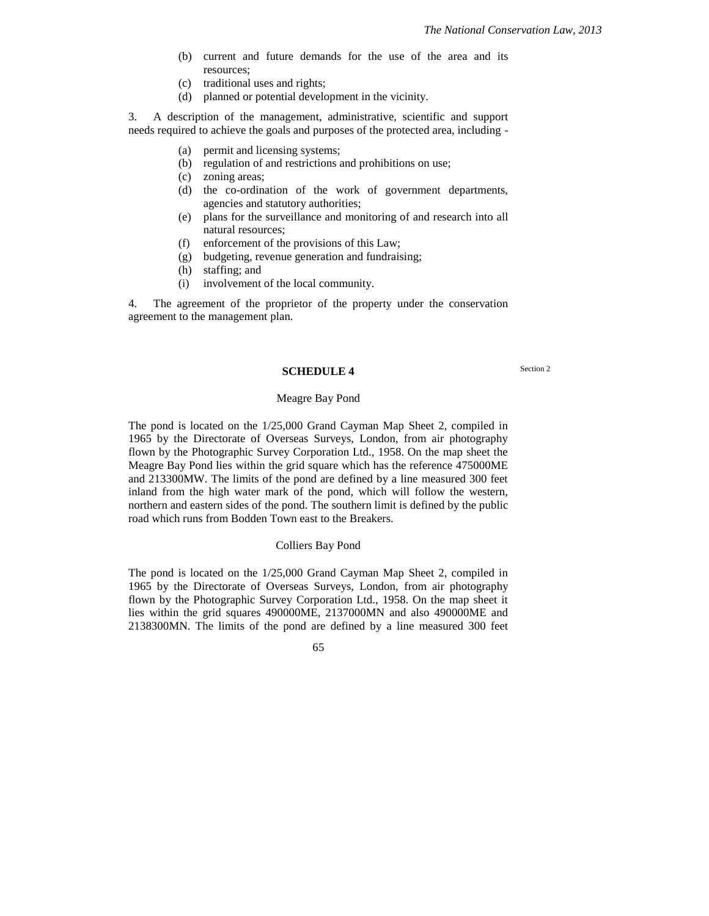- (b) current and future demands for the use of the area and its resources;
- (c) traditional uses and rights;
- (d) planned or potential development in the vicinity.

3. A description of the management, administrative, scientific and support needs required to achieve the goals and purposes of the protected area, including -

- (a) permit and licensing systems;
- (b) regulation of and restrictions and prohibitions on use;
- (c) zoning areas;
- (d) the co-ordination of the work of government departments, agencies and statutory authorities;
- (e) plans for the surveillance and monitoring of and research into all natural resources;
- (f) enforcement of the provisions of this Law;
- (g) budgeting, revenue generation and fundraising;
- (h) staffing; and
- (i) involvement of the local community.

4. The agreement of the proprietor of the property under the conservation agreement to the management plan.

### **SCHEDULE 4**

Section 2

### Meagre Bay Pond

The pond is located on the 1/25,000 Grand Cayman Map Sheet 2, compiled in 1965 by the Directorate of Overseas Surveys, London, from air photography flown by the Photographic Survey Corporation Ltd., 1958. On the map sheet the Meagre Bay Pond lies within the grid square which has the reference 475000ME and 213300MW. The limits of the pond are defined by a line measured 300 feet inland from the high water mark of the pond, which will follow the western, northern and eastern sides of the pond. The southern limit is defined by the public road which runs from Bodden Town east to the Breakers.

#### Colliers Bay Pond

The pond is located on the 1/25,000 Grand Cayman Map Sheet 2, compiled in 1965 by the Directorate of Overseas Surveys, London, from air photography flown by the Photographic Survey Corporation Ltd., 1958. On the map sheet it lies within the grid squares 490000ME, 2137000MN and also 490000ME and 2138300MN. The limits of the pond are defined by a line measured 300 feet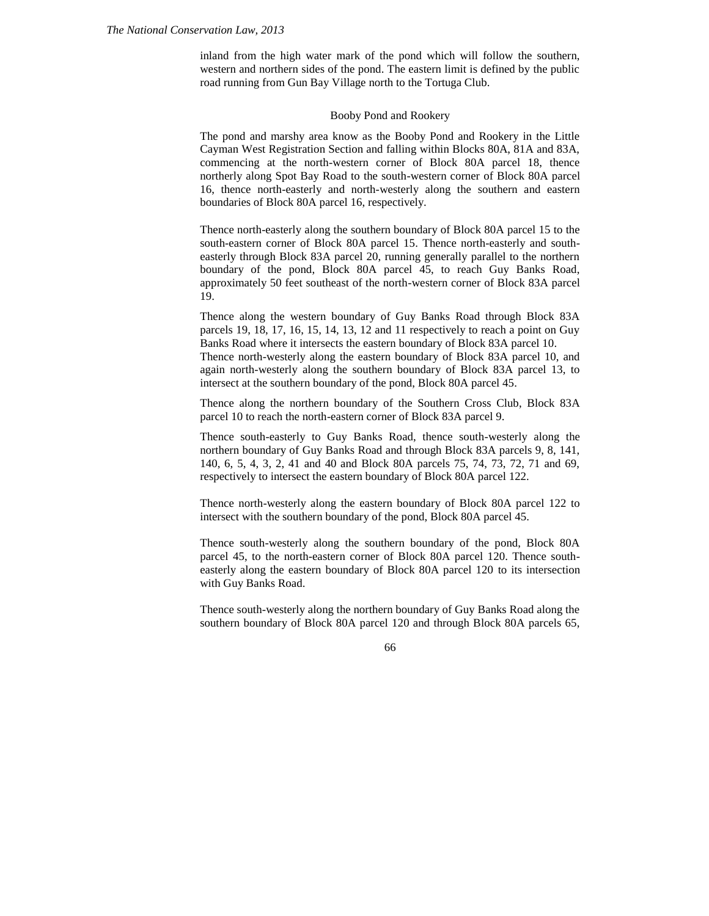inland from the high water mark of the pond which will follow the southern, western and northern sides of the pond. The eastern limit is defined by the public road running from Gun Bay Village north to the Tortuga Club.

#### Booby Pond and Rookery

The pond and marshy area know as the Booby Pond and Rookery in the Little Cayman West Registration Section and falling within Blocks 80A, 81A and 83A, commencing at the north-western corner of Block 80A parcel 18, thence northerly along Spot Bay Road to the south-western corner of Block 80A parcel 16, thence north-easterly and north-westerly along the southern and eastern boundaries of Block 80A parcel 16, respectively.

Thence north-easterly along the southern boundary of Block 80A parcel 15 to the south-eastern corner of Block 80A parcel 15. Thence north-easterly and southeasterly through Block 83A parcel 20, running generally parallel to the northern boundary of the pond, Block 80A parcel 45, to reach Guy Banks Road, approximately 50 feet southeast of the north-western corner of Block 83A parcel 19.

Thence along the western boundary of Guy Banks Road through Block 83A parcels 19, 18, 17, 16, 15, 14, 13, 12 and 11 respectively to reach a point on Guy Banks Road where it intersects the eastern boundary of Block 83A parcel 10.

Thence north-westerly along the eastern boundary of Block 83A parcel 10, and again north-westerly along the southern boundary of Block 83A parcel 13, to intersect at the southern boundary of the pond, Block 80A parcel 45.

Thence along the northern boundary of the Southern Cross Club, Block 83A parcel 10 to reach the north-eastern corner of Block 83A parcel 9.

Thence south-easterly to Guy Banks Road, thence south-westerly along the northern boundary of Guy Banks Road and through Block 83A parcels 9, 8, 141, 140, 6, 5, 4, 3, 2, 41 and 40 and Block 80A parcels 75, 74, 73, 72, 71 and 69, respectively to intersect the eastern boundary of Block 80A parcel 122.

Thence north-westerly along the eastern boundary of Block 80A parcel 122 to intersect with the southern boundary of the pond, Block 80A parcel 45.

Thence south-westerly along the southern boundary of the pond, Block 80A parcel 45, to the north-eastern corner of Block 80A parcel 120. Thence southeasterly along the eastern boundary of Block 80A parcel 120 to its intersection with Guy Banks Road.

Thence south-westerly along the northern boundary of Guy Banks Road along the southern boundary of Block 80A parcel 120 and through Block 80A parcels 65,